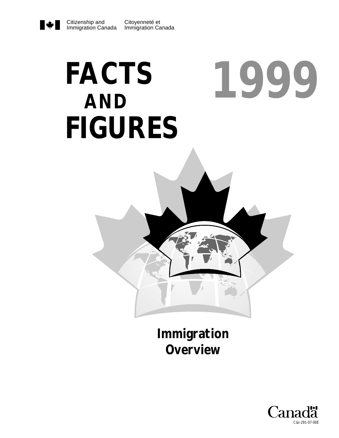#### Citizenship and Immigration Canada

# **FACTS** 1999 **AND FIGURES**



Immigration **Overview** 

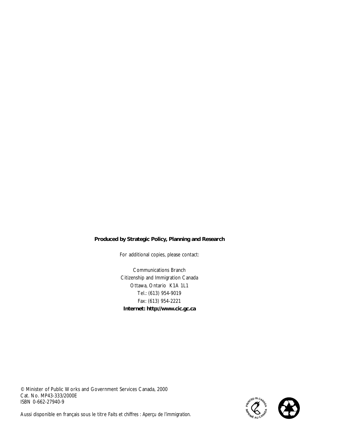#### **Produced by Strategic Policy, Planning and Research**

For additional copies, please contact:

Communications Branch Citizenship and Immigration Canada Ottawa, Ontario K1A 1L1 Tel.: (613) 954-9019 Fax: (613) 954-2221 **Internet: http://www.cic.gc.ca**

© Minister of Public Works and Government Services Canada, 2000 Cat. No. MP43-333/2000E ISBN 0-662-27940-9



Aussi disponible en français sous le titre *Faits et chiffres : Aperçu de l'immigration.*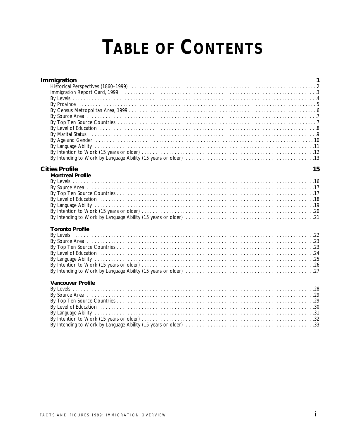# **TABLE OF CONTENTS**

| Immigration<br>By Level of Education (1) 1996 (1) 1896 (1) 1896 (1) 1896 (1) 1896 (1) 1896 (1) 1896 (1) 1896 (1) 1896 (1) 189<br>By Age and Gender (and according to the control of the control of the control of the control of the control of the control of the control of the control of the control of the control of the control of the control of the co | 1  |
|-----------------------------------------------------------------------------------------------------------------------------------------------------------------------------------------------------------------------------------------------------------------------------------------------------------------------------------------------------------------|----|
| <b>Cities Profile</b><br><b>Montreal Profile</b>                                                                                                                                                                                                                                                                                                                | 15 |
| <b>Toronto Profile</b>                                                                                                                                                                                                                                                                                                                                          |    |
|                                                                                                                                                                                                                                                                                                                                                                 |    |
| <b>Vancouver Profile</b>                                                                                                                                                                                                                                                                                                                                        |    |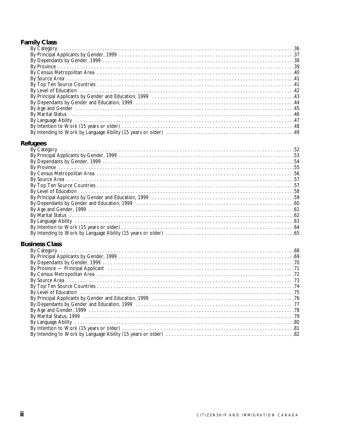# **Family Class**

| By Language Ability (and according to the control of the control of the control of the control of the control of the control of the control of the control of the control of the control of the control of the control of the |  |
|-------------------------------------------------------------------------------------------------------------------------------------------------------------------------------------------------------------------------------|--|
|                                                                                                                                                                                                                               |  |
|                                                                                                                                                                                                                               |  |
|                                                                                                                                                                                                                               |  |

# **Refugees**

# **Business Class**

| By Province — Principal Applicant (and the content of the content of the content of the content of the content of the content of the content of the content of the content of the content of the content of the content of the |  |
|--------------------------------------------------------------------------------------------------------------------------------------------------------------------------------------------------------------------------------|--|
|                                                                                                                                                                                                                                |  |
|                                                                                                                                                                                                                                |  |
|                                                                                                                                                                                                                                |  |
|                                                                                                                                                                                                                                |  |
|                                                                                                                                                                                                                                |  |
|                                                                                                                                                                                                                                |  |
|                                                                                                                                                                                                                                |  |
|                                                                                                                                                                                                                                |  |
|                                                                                                                                                                                                                                |  |
|                                                                                                                                                                                                                                |  |
|                                                                                                                                                                                                                                |  |
|                                                                                                                                                                                                                                |  |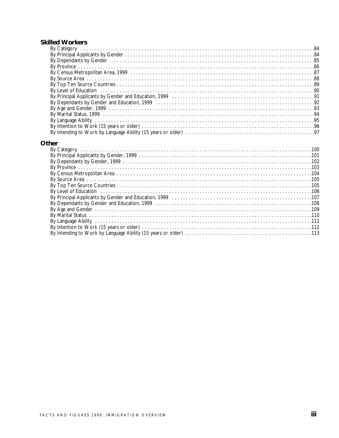#### **Skilled Workers**

| By Dependants by Gender (1111) 185 |  |
|------------------------------------|--|
|                                    |  |
|                                    |  |
|                                    |  |
|                                    |  |
|                                    |  |
|                                    |  |
|                                    |  |
|                                    |  |
|                                    |  |
|                                    |  |
|                                    |  |
|                                    |  |
|                                    |  |

#### Other

| By Level of Education (1996) 106                           |  |
|------------------------------------------------------------|--|
|                                                            |  |
|                                                            |  |
|                                                            |  |
|                                                            |  |
| By Language Ability (1999) 111 March 2014 12: 1999 12: 111 |  |
|                                                            |  |
|                                                            |  |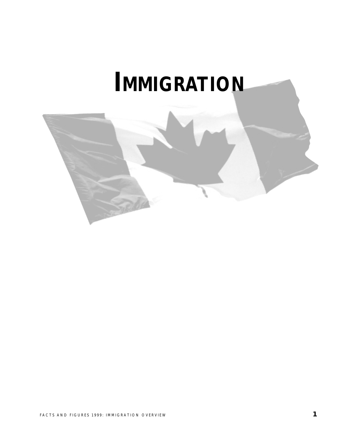# **IMMIGRATION**

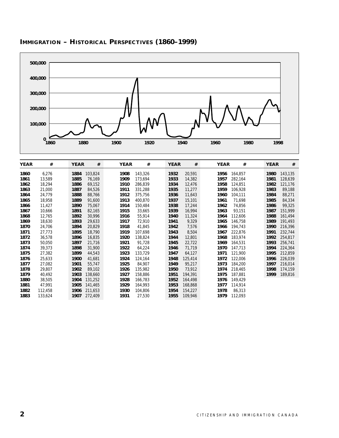

# **IMMIGRATION – HISTORICAL PERSPECTIVES (1860–1999)**

| <b>YEAR</b> | #       | <b>YEAR</b> | #       | <b>YEAR</b> | #       | <b>YEAR</b> | #       | <b>YEAR</b> | #       | <b>YEAR</b> | #       |
|-------------|---------|-------------|---------|-------------|---------|-------------|---------|-------------|---------|-------------|---------|
| 1860        | 6,276   | 1884        | 103,824 | 1908        | 143,326 | 1932        | 20,591  | 1956        | 164,857 | 1980        | 143,135 |
| 1861        | 13,589  | 1885        | 76,169  | 1909        | 173,694 | 1933        | 14,382  | 1957        | 282,164 | 1981        | 128,639 |
| 1862        | 18,294  | 1886        | 69,152  | 1910        | 286,839 | 1934        | 12,476  | 1958        | 124,851 | 1982        | 121,176 |
| 1863        | 21,000  | 1887        | 84,526  | 1911        | 331,288 | 1935        | 11,277  | 1959        | 106,928 | 1983        | 89,188  |
| 1864        | 24,779  | 1888        | 88,766  | 1912        | 375,756 | 1936        | 11,643  | 1960        | 104,111 | 1984        | 88,271  |
| 1865        | 18,958  | 1889        | 91,600  | 1913        | 400,870 | 1937        | 15,101  | 1961        | 71,698  | 1985        | 84,334  |
| 1866        | 11,427  | 1890        | 75,067  | 1914        | 150,484 | 1938        | 17,244  | 1962        | 74,856  | 1986        | 99,325  |
| 1867        | 10,666  | 1891        | 82,165  | 1915        | 33,665  | 1939        | 16,994  | 1963        | 93,151  | 1987        | 151,999 |
| 1868        | 12,765  | 1892        | 30,996  | 1916        | 55,914  | 1940        | 11,324  | 1964        | 112,606 | 1988        | 161,494 |
| 1869        | 18,630  | 1893        | 29,633  | 1917        | 72,910  | 1941        | 9,329   | 1965        | 146,758 | 1989        | 191,493 |
| 1870        | 24,706  | 1894        | 20,829  | 1918        | 41,845  | 1942        | 7,576   | 1966        | 194,743 | 1990        | 216,396 |
| 1871        | 27,773  | 1895        | 18,790  | 1919        | 107,698 | 1943        | 8,504   | 1967        | 222,876 | 1991        | 232,744 |
| 1872        | 36,578  | 1896        | 16,835  | 1920        | 138,824 | 1944        | 12,801  | 1968        | 183,974 | 1992        | 254,817 |
| 1873        | 50,050  | 1897        | 21,716  | 1921        | 91,728  | 1945        | 22,722  | 1969        | 164,531 | 1993        | 256,741 |
| 1874        | 39,373  | 1898        | 31,900  | 1922        | 64,224  | 1946        | 71,719  | 1970        | 147,713 | 1994        | 224,364 |
| 1875        | 27,382  | 1899        | 44,543  | 1923        | 133,729 | 1947        | 64,127  | 1971        | 121,900 | 1995        | 212,859 |
| 1876        | 25,633  | 1900        | 41,681  | 1924        | 124,164 | 1948        | 125,414 | 1972        | 122,006 | 1996        | 226,039 |
| 1877        | 27,082  | 1901        | 55,747  | 1925        | 84,907  | 1949        | 95,217  | 1973        | 184,200 | 1997        | 216,014 |
| 1878        | 29,807  | 1902        | 89,102  | 1926        | 135,982 | 1950        | 73,912  | 1974        | 218,465 | 1998        | 174,159 |
| 1879        | 40,492  | 1903        | 138,660 | 1927        | 158,886 | 1951        | 194,391 | 1975        | 187,881 | 1999        | 189,816 |
| 1880        | 38,505  | 1904        | 131,252 | 1928        | 166,783 | 1952        | 164,498 | 1976        | 149,429 |             |         |
| 1881        | 47,991  | 1905        | 141,465 | 1929        | 164,993 | 1953        | 168,868 | 1977        | 114,914 |             |         |
| 1882        | 112,458 | 1906        | 211,653 | 1930        | 104,806 | 1954        | 154,227 | 1978        | 86,313  |             |         |
| 1883        | 133,624 | 1907        | 272,409 | 1931        | 27,530  | 1955        | 109,946 | 1979        | 112,093 |             |         |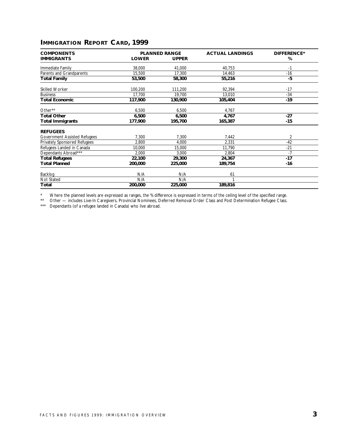# **IMMIGRATION REPORT CARD, 1999**

| <b>COMPONENTS</b>            |              | <b>PLANNED RANGE</b> | <b>ACTUAL LANDINGS</b> | <b>DIFFERENCE*</b> |
|------------------------------|--------------|----------------------|------------------------|--------------------|
| <b>IMMIGRANTS</b>            | <b>LOWER</b> | <b>UPPER</b>         |                        | %                  |
| Immediate Family             | 38,000       | 41,000               | 40,753                 | -1                 |
| Parents and Grandparents     | 15,500       | 17,300               | 14,463                 | $-16$              |
| Total Family                 | 53,500       | 58,300               | 55,216                 | -5                 |
| Skilled Worker               | 100,200      | 111,200              | 92,394                 | $-17$              |
| <b>Business</b>              | 17,700       | 19,700               | 13,010                 | $-34$              |
| <b>Total Economic</b>        | 117,900      | 130,900              | 105,404                | $-19$              |
| Other**                      | 6,500        | 6,500                | 4,767                  |                    |
| <b>Total Other</b>           | 6,500        | 6,500                | 4,767                  | $-27$              |
| <b>Total Immigrants</b>      | 177,900      | 195,700              | 165,387                | -15                |
| <b>REFUGEES</b>              |              |                      |                        |                    |
| Government Assisted Refugees | 7,300        | 7,300                | 7,442                  | 2                  |
| Privately Sponsored Refugees | 2,800        | 4.000                | 2,331                  | $-42$              |
| Refugees Landed in Canada    | 10,000       | 15,000               | 11,790                 | $-21$              |
| Dependants Abroad***         | 2,000        | 3,000                | 2,804                  | $-7$               |
| <b>Total Refugees</b>        | 22,100       | 29,300               | 24,367                 | $-17$              |
| <b>Total Planned</b>         | 200,000      | 225,000              | 189,754                | -16                |
| Backlog                      | N/A          | N/A                  | 61                     |                    |
| Not Stated                   | N/A          | N/A                  |                        |                    |
| Total                        | 200,000      | 225,000              | 189,816                |                    |

\* Where the planned levels are expressed as ranges, the % difference is expressed in terms of the ceiling level of the specified range.

\*\* Other — includes Live-In Caregivers, Provincial Nominees, Deferred Removal Order Class and Post Determination Refugee Class.

\*\*\* Dependants (of a refugee landed in Canada) who live abroad.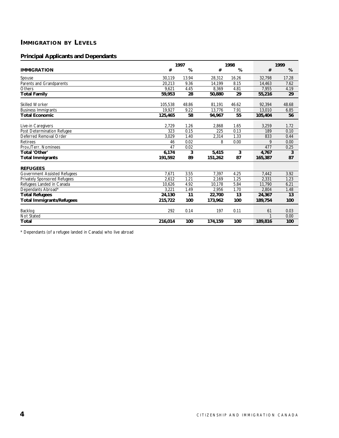# **IMMIGRATION BY LEVELS**

#### **Principal Applicants and Dependants**

|                                     |         | 1997  |         | 1998  |         | 1999  |  |
|-------------------------------------|---------|-------|---------|-------|---------|-------|--|
| <b>IMMIGRATION</b>                  | #       | %     | #       | %     | #       | %     |  |
| Spouse                              | 30.119  | 13.94 | 28.312  | 16.26 | 32.798  | 17.28 |  |
| Parents and Grandparents            | 20.213  | 9.36  | 14.199  | 8.15  | 14.463  | 7.62  |  |
| Others                              | 9.621   | 4.45  | 8.369   | 4.81  | 7.955   | 4.19  |  |
| <b>Total Family</b>                 | 59,953  | 28    | 50,880  | 29    | 55,216  | 29    |  |
| Skilled Worker                      | 105,538 | 48.86 | 81,191  | 46.62 | 92,394  | 48.68 |  |
| <b>Business Immigrants</b>          | 19,927  | 9.22  | 13,776  | 7.91  | 13,010  | 6.85  |  |
| <b>Total Economic</b>               | 125,465 | 58    | 94,967  | 55    | 105,404 | 56    |  |
| Live-in Caregivers                  | 2,729   | 1.26  | 2,868   | 1.65  | 3,259   | 1.72  |  |
| Post Determination Refugee          | 323     | 0.15  | 225     | 0.13  | 189     | 0.10  |  |
| Deferred Removal Order              | 3,029   | 1.40  | 2,314   | 1.33  | 833     | 0.44  |  |
| <b>Retirees</b>                     | 46      | 0.02  | 8       | 0.00  | 9       | 0.00  |  |
| Prov./Terr. Nominees                | 47      | 0.02  |         |       | 477     | 0.25  |  |
| Total 'Other'                       | 6,174   | 3     | 5,415   | 3     | 4,767   | 3     |  |
| <b>Total Immigrants</b>             | 191,592 | 89    | 151,262 | 87    | 165,387 | 87    |  |
| <b>REFUGEES</b>                     |         |       |         |       |         |       |  |
| <b>Government Assisted Refugees</b> | 7.671   | 3.55  | 7.397   | 4.25  | 7.442   | 3.92  |  |
| Privately Sponsored Refugees        | 2.612   | 1.21  | 2.169   | 1.25  | 2,331   | 1.23  |  |
| Refugees Landed in Canada           | 10,626  | 4.92  | 10,178  | 5.84  | 11,790  | 6.21  |  |
| Dependants Abroad*                  | 3.221   | 1.49  | 2.956   | 1.70  | 2.804   | 1.48  |  |
| <b>Total Refugees</b>               | 24,130  | 11    | 22,700  | 13    | 24,367  | 13    |  |
| <b>Total Immigrants/Refugees</b>    | 215,722 | 100   | 173,962 | 100   | 189,754 | 100   |  |
| Backlog                             | 292     | 0.14  | 197     | 0.11  | 61      | 0.03  |  |
| Not Stated                          |         |       |         |       | 1       | 0.00  |  |
| Total                               | 216,014 | 100   | 174,159 | 100   | 189,816 | 100   |  |

\* Dependants (of a refugee landed in Canada) who live abroad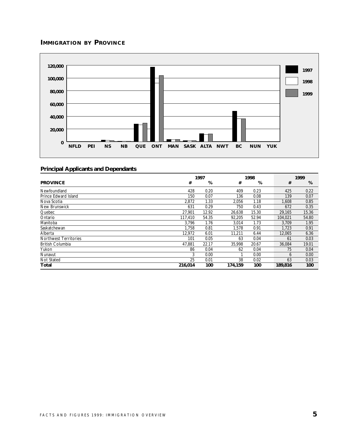# **IMMIGRATION BY PROVINCE**



|                              |         | 1997  |         | 1998  |         | 1999  |
|------------------------------|---------|-------|---------|-------|---------|-------|
| <b>PROVINCE</b>              | #       | %     | #       | %     | #       | %     |
| Newfoundland                 | 428     | 0.20  | 409     | 0.23  | 425     | 0.22  |
| Prince Edward Island         | 150     | 0.07  | 136     | 0.08  | 139     | 0.07  |
| Nova Scotia                  | 2,872   | 1.33  | 2,056   | 1.18  | 1,608   | 0.85  |
| New Brunswick                | 631     | 0.29  | 750     | 0.43  | 672     | 0.35  |
| Quebec                       | 27.901  | 12.92 | 26,638  | 15.30 | 29,165  | 15.36 |
| Ontario                      | 117,410 | 54.35 | 92,205  | 52.94 | 104,021 | 54.80 |
| Manitoba                     | 3.796   | 1.76  | 3,014   | 1.73  | 3.709   | 1.95  |
| Saskatchewan                 | 1.758   | 0.81  | 1.578   | 0.91  | 1.723   | 0.91  |
| Alberta                      | 12,972  | 6.01  | 11,211  | 6.44  | 12,065  | 6.36  |
| <b>Northwest Territories</b> | 101     | 0.05  | 63      | 0.04  | 61      | 0.03  |
| <b>British Columbia</b>      | 47,881  | 22.17 | 35,998  | 20.67 | 36,084  | 19.01 |
| Yukon                        | 86      | 0.04  | 62      | 0.04  | 75      | 0.04  |
| Nunavut                      | 3       | 0.00  |         | 0.00  | 6       | 0.00  |
| Not Stated                   | 25      | 0.01  | 38      | 0.02  | 63      | 0.03  |
| Total                        | 216.014 | 100   | 174.159 | 100   | 189,816 | 100   |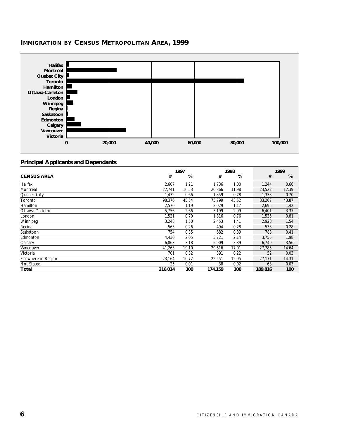

#### **IMMIGRATION BY CENSUS METROPOLITAN AREA, 1999**

|                     |         | 1997  |         | 1998  |         | 1999  |
|---------------------|---------|-------|---------|-------|---------|-------|
| <b>CENSUS AREA</b>  | #       | %     | #       | %     | #       | %     |
| Halifax             | 2,607   | 1.21  | 1,736   | 1.00  | 1,244   | 0.66  |
| Montréal            | 22.741  | 10.53 | 20.866  | 11.98 | 23,522  | 12.39 |
| Quebec City         | 1,432   | 0.66  | 1,359   | 0.78  | 1,333   | 0.70  |
| Toronto             | 98.376  | 45.54 | 75.799  | 43.52 | 83.267  | 43.87 |
| Hamilton            | 2,570   | 1.19  | 2,029   | 1.17  | 2,695   | 1.42  |
| Ottawa-Carleton     | 5,756   | 2.66  | 5,199   | 2.99  | 6,401   | 3.37  |
| London              | 1,521   | 0.70  | 1,316   | 0.76  | 1,535   | 0.81  |
| Winnipeg            | 3,248   | 1.50  | 2,453   | 1.41  | 2,928   | 1.54  |
| Regina              | 563     | 0.26  | 494     | 0.28  | 533     | 0.28  |
| Saskatoon           | 754     | 0.35  | 682     | 0.39  | 783     | 0.41  |
| Edmonton            | 4.430   | 2.05  | 3,721   | 2.14  | 3,755   | 1.98  |
| Calgary             | 6,863   | 3.18  | 5,909   | 3.39  | 6,749   | 3.56  |
| Vancouver           | 41,263  | 19.10 | 29,616  | 17.01 | 27,785  | 14.64 |
| Victoria            | 701     | 0.32  | 391     | 0.22  | 52      | 0.03  |
| Elsewhere in Region | 23,164  | 10.72 | 22,551  | 12.95 | 27,171  | 14.31 |
| Not Stated          | 25      | 0.01  | 38      | 0.02  | 63      | 0.03  |
| Total               | 216,014 | 100   | 174,159 | 100   | 189,816 | 100   |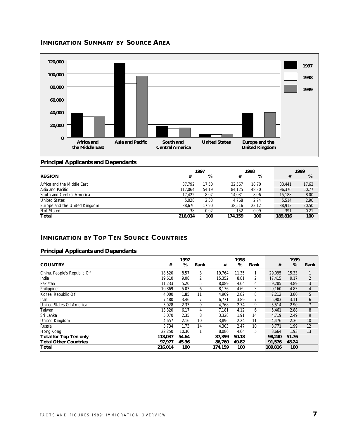# **IMMIGRATION SUMMARY BY SOURCE AREA**



#### **Principal Applicants and Dependants**

| 1998<br>1997                  |         |       | 1999    |       |         |       |
|-------------------------------|---------|-------|---------|-------|---------|-------|
| <b>REGION</b>                 | #       | %     | #       | %     | #       | %     |
| Africa and the Middle East    | 37.792  | 17.50 | 32.567  | 18.70 | 33.441  | 17.62 |
| Asia and Pacific              | 117.064 | 54.19 | 84.125  | 48.30 | 96.370  | 50.77 |
| South and Central America     | 17.422  | 8.07  | 14.031  | 8.06  | 15,188  | 8.00  |
| <b>United States</b>          | 5.028   | 2.33  | 4.768   | 2.74  | 5.514   | 2.90  |
| Europe and the United Kingdom | 38.670  | 17.90 | 38.516  | 22.12 | 38,912  | 20.50 |
| Not Stated                    | 38      | 0.02  | 152     | 0.09  | 391     | 0.21  |
| Total                         | 216.014 | 100   | 174.159 | 100   | 189,816 | 100   |

#### **IMMIGRATION BY TOP TEN SOURCE COUNTRIES**

|                               |         | 1997  |      |         | 1998  |                |         | 1999  |                |
|-------------------------------|---------|-------|------|---------|-------|----------------|---------|-------|----------------|
| <b>COUNTRY</b>                | #       | %     | Rank | #       | %     | Rank           | #       | %     | Rank           |
| China, People's Republic Of   | 18.520  | 8.57  | 3    | 19.764  | 11.35 |                | 29.095  | 15.33 |                |
| India                         | 19.610  | 9.08  | 2    | 15,352  | 8.81  | $\overline{2}$ | 17.415  | 9.17  | $\overline{2}$ |
| Pakistan                      | 11.233  | 5.20  | 5    | 8,089   | 4.64  | 4              | 9.285   | 4.89  | 3              |
| Philippines                   | 10.869  | 5.03  | 6    | 8,176   | 4.69  | 3              | 9.160   | 4.83  | 4              |
| Korea, Republic Of            | 4.000   | 1.85  | 11   | 4,909   | 2.82  | 8              | 7.212   | 3.80  | 5              |
| Iran                          | 7.480   | 3.46  |      | 6,771   | 3.89  |                | 5.903   | 3.11  | 6              |
| United States Of America      | 5.028   | 2.33  | 9    | 4,768   | 2.74  | 9              | 5,514   | 2.90  | 7              |
| Taiwan                        | 13,320  | 6.17  | 4    | 7.181   | 4.12  | 6              | 5,461   | 2.88  | 8              |
| Sri Lanka                     | 5,070   | 2.35  | 8    | 3,328   | 1.91  | 14             | 4.719   | 2.49  | 9              |
| United Kingdom                | 4,657   | 2.16  | 10   | 3,896   | 2.24  | 11             | 4,476   | 2.36  | 10             |
| Russia                        | 3,734   | 1.73  | 14   | 4,303   | 2.47  | 10             | 3.771   | 1.99  | 12             |
| Hong Kong                     | 22.250  | 10.30 |      | 8,086   | 4.64  | 5              | 3.664   | 1.93  | 13             |
| <b>Total for Top Ten only</b> | 118,037 | 54.64 |      | 87,399  | 50.18 |                | 98,240  | 51.76 |                |
| <b>Total Other Countries</b>  | 97.977  | 45.36 |      | 86.760  | 49.82 |                | 91,576  | 48.24 |                |
| Total                         | 216.014 | 100   |      | 174.159 | 100   |                | 189,816 | 100   |                |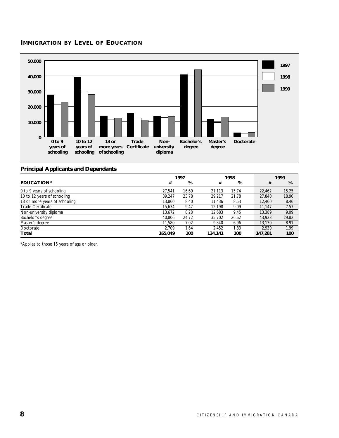# **IMMIGRATION BY LEVEL OF EDUCATION**



#### **Principal Applicants and Dependants**

|                               |         | 1997  |         | 1998  |         | 1999  |
|-------------------------------|---------|-------|---------|-------|---------|-------|
| <b>EDUCATION*</b>             | #       | %     | #       | %     | #       | %     |
| 0 to 9 years of schooling     | 27.541  | 16.69 | 21,113  | 15.74 | 22,462  | 15.25 |
| 10 to 12 years of schooling   | 39.247  | 23.78 | 29,217  | 21.78 | 27,840  | 18.90 |
| 13 or more years of schooling | 13.860  | 8.40  | 11.436  | 8.53  | 12,460  | 8.46  |
| <b>Trade Certificate</b>      | 15.634  | 9.47  | 12,198  | 9.09  | 11,147  | 7.57  |
| Non-university diploma        | 13,672  | 8.28  | 12,683  | 9.45  | 13,389  | 9.09  |
| Bachelor's degree             | 40,806  | 24.72 | 35,702  | 26.62 | 43,923  | 29.82 |
| Master's degree               | 11.580  | 7.02  | 9.340   | 6.96  | 13.130  | 8.91  |
| Doctorate                     | 2.709   | 1.64  | 2.452   | 1.83  | 2.930   | 1.99  |
| Total                         | 165.049 | 100   | 134,141 | 100   | 147,281 | 100   |

\*Applies to those 15 years of age or older.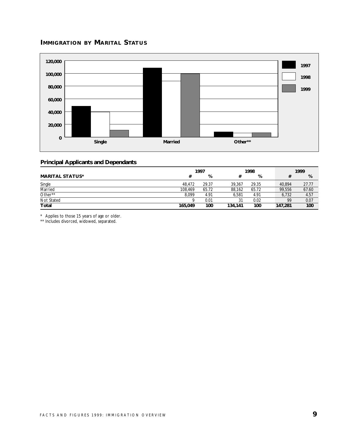#### **IMMIGRATION BY MARITAL STATUS**



#### **Principal Applicants and Dependants**

|                        |         | 1997  |         | 1998  |         | 1999  |  |  |
|------------------------|---------|-------|---------|-------|---------|-------|--|--|
| <b>MARITAL STATUS*</b> | #       | %     |         | %     |         | %     |  |  |
| Single                 | 48.472  | 29.37 | 39.367  | 29.35 | 40.894  | 27.77 |  |  |
| Married                | 108.469 | 65.72 | 88.162  | 65.72 | 99.556  | 67.60 |  |  |
| Other**                | 8,099   | 4.91  | 6.581   | 4.91  | 6.732   | 4.57  |  |  |
| Not Stated             |         | 0.01  | 31      | 0.02  | 99      | 0.07  |  |  |
| <b>Total</b>           | 165.049 | 100   | 134.141 | 100   | 147.281 | 100   |  |  |

\* Applies to those 15 years of age or older.

\*\* Includes divorced, widowed, separated.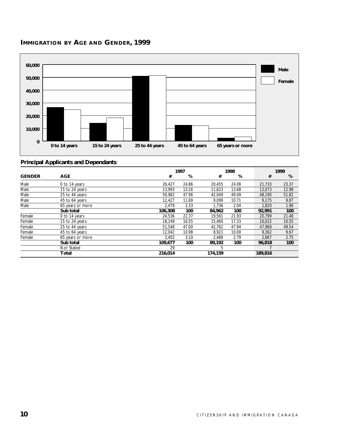



|               |                  |         | 1997  |         | 1998  |         | 1999  |
|---------------|------------------|---------|-------|---------|-------|---------|-------|
| <b>GENDER</b> | <b>AGE</b>       | #       | %     | #       | %     | #       | %     |
| Male          | 0 to 14 years    | 26.427  | 24.86 | 20.455  | 24.08 | 21,733  | 23.37 |
| Male          | 15 to 24 years   | 13.993  | 13.16 | 11.623  | 13.68 | 12.073  | 12.98 |
| Male          | 25 to 44 years   | 50.982  | 47.96 | 42,049  | 49.49 | 48,190  | 51.82 |
| Male          | 45 to 64 years   | 12.427  | 11.69 | 9.099   | 10.71 | 9,175   | 9.87  |
| Male          | 65 years or more | 2.479   | 2.33  | 1.736   | 2.04  | 1.820   | 1.96  |
|               | Sub total        | 106,308 | 100   | 84,962  | 100   | 92.991  | 100   |
| Female        | 0 to 14 years    | 24,536  | 22.37 | 19.561  | 21.93 | 20.799  | 21.48 |
| Female        | 15 to 24 years   | 18,149  | 16.55 | 15,460  | 17.33 | 16,022  | 16.55 |
| Female        | 25 to 44 years   | 51,548  | 47.00 | 42,762  | 47.94 | 47,968  | 49.54 |
| Female        | 45 to 64 years   | 12,042  | 10.98 | 8,921   | 10.00 | 9,362   | 9.67  |
| Female        | 65 years or more | 3.402   | 3.10  | 2.488   | 2.79  | 2,667   | 2.75  |
|               | Sub total        | 109,677 | 100   | 89,192  | 100   | 96.818  | 100   |
|               | Not Stated       | 29      |       | 5       |       |         |       |
|               | Total            | 216,014 |       | 174,159 |       | 189,816 |       |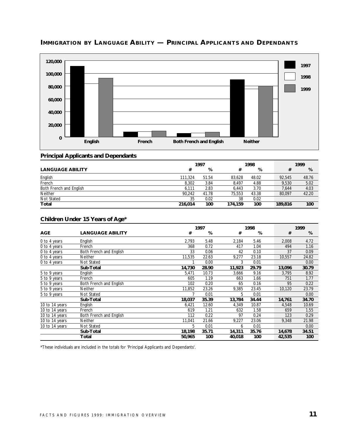

# **IMMIGRATION BY LANGUAGE ABILITY — PRINCIPAL APPLICANTS AND DEPENDANTS**

#### **Principal Applicants and Dependants**

|                         | 1997    |       |         | 1998  |         | 1999  |  |  |
|-------------------------|---------|-------|---------|-------|---------|-------|--|--|
| <b>LANGUAGE ABILITY</b> | #       | %     |         | %     |         | %     |  |  |
| English                 | 111.324 | 51.54 | 83.628  | 48.02 | 92.545  | 48.76 |  |  |
| French                  | 8.302   | 3.84  | 8.497   | 4.88  | 9.530   | 5.02  |  |  |
| Both French and English | 6,111   | 2.83  | 6.443   | 3.70  | 7.644   | 4.03  |  |  |
| Neither                 | 90.242  | 41.78 | 75.553  | 43.38 | 80,097  | 42.20 |  |  |
| Not Stated              | 35      | 0.02  | 38      | 0.02  |         |       |  |  |
| Total                   | 216.014 | 100   | 174,159 | 100   | 189,816 | 100   |  |  |

#### **Children Under 15 Years of Age\***

|                |                         |        | 1997  |        | 1998  |        | 1999  |
|----------------|-------------------------|--------|-------|--------|-------|--------|-------|
| <b>AGE</b>     | <b>LANGUAGE ABILITY</b> | #      | %     | #      | %     | #      | %     |
| 0 to 4 years   | English                 | 2,793  | 5.48  | 2,184  | 5.46  | 2,008  | 4.72  |
| 0 to 4 years   | French                  | 368    | 0.72  | 417    | 1.04  | 494    | 1.16  |
| 0 to 4 years   | Both French and English | 33     | 0.06  | 42     | 0.10  | 37     | 0.09  |
| 0 to 4 years   | <b>Neither</b>          | 11,535 | 22.63 | 9,277  | 23.18 | 10,557 | 24.82 |
| 0 to 4 years   | Not Stated              |        | 0.00  | 3      | 0.01  |        | 0.00  |
|                | Sub-Total               | 14,730 | 28.90 | 11,923 | 29.79 | 13,096 | 30.79 |
| 5 to 9 years   | English                 | 5,471  | 10.73 | 3,666  | 9.16  | 3,795  | 8.92  |
| 5 to 9 years   | French                  | 605    | 1.19  | 663    | 1.66  | 751    | 1.77  |
| 5 to 9 years   | Both French and English | 102    | 0.20  | 65     | 0.16  | 95     | 0.22  |
| 5 to 9 years   | <b>Neither</b>          | 11,852 | 23.26 | 9,385  | 23.45 | 10,120 | 23.79 |
| 5 to 9 years   | Not Stated              |        | 0.01  | 5      | 0.01  |        | 0.00  |
|                | Sub-Total               | 18,037 | 35.39 | 13,784 | 34.44 | 14,761 | 34.70 |
| 10 to 14 years | English                 | 6,421  | 12.60 | 4,349  | 10.87 | 4,548  | 10.69 |
| 10 to 14 years | French                  | 619    | 1.21  | 632    | 1.58  | 659    | 1.55  |
| 10 to 14 years | Both French and English | 112    | 0.22  | 97     | 0.24  | 123    | 0.29  |
| 10 to 14 years | Neither                 | 11,041 | 21.66 | 9,227  | 23.06 | 9,348  | 21.98 |
| 10 to 14 years | Not Stated              | 5      | 0.01  | 6      | 0.01  |        | 0.00  |
|                | Sub-Total               | 18,198 | 35.71 | 14,311 | 35.76 | 14,678 | 34.51 |
|                | Total                   | 50,965 | 100   | 40,018 | 100   | 42,535 | 100   |

\*These individuals are included in the totals for 'Principal Applicants and Dependants'.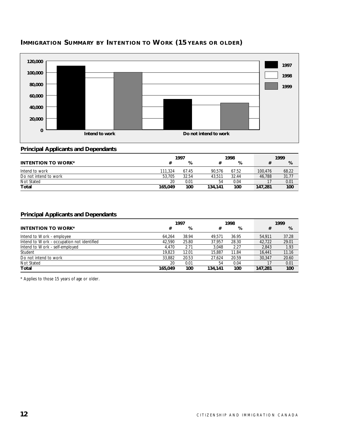



#### **Principal Applicants and Dependants**

|                           |         | 1997  |         | 1998  |         | 1999  |
|---------------------------|---------|-------|---------|-------|---------|-------|
| <b>INTENTION TO WORK*</b> |         | %     |         | %     |         | %     |
| Intend to work            | 111.324 | 67.45 | 90.576  | 67.52 | 100.476 | 68.22 |
| Do not intend to work     | 53.705  | 32.54 | 43.511  | 32.44 | 46.788  | 31.77 |
| Not Stated                | 20      | 0.01  | 54      | 0.04  |         | 0.01  |
| <b>Total</b>              | 165,049 | 100   | 134.141 | 100   | 147,281 | 100   |

#### **Principal Applicants and Dependants**

|                                            |         | 1997  |         | 1998  |         | 1999  |
|--------------------------------------------|---------|-------|---------|-------|---------|-------|
| <b>INTENTION TO WORK*</b>                  | #       | %     |         | %     | #       | %     |
| Intend to Work - employee                  | 64.264  | 38.94 | 49.571  | 36.95 | 54.911  | 37.28 |
| Intend to Work - occupation not identified | 42.590  | 25.80 | 37.957  | 28.30 | 42.722  | 29.01 |
| Intend to Work - self-employed             | 4.470   | 2.71  | 3.048   | 2.27  | 2,843   | 1.93  |
| Student                                    | 19,823  | 12.01 | 15.887  | 11.84 | 16.441  | 11.16 |
| Do not intend to work                      | 33,882  | 20.53 | 27.624  | 20.59 | 30.347  | 20.60 |
| Not Stated                                 | 20      | 0.01  | 54      | 0.04  |         | 0.01  |
| Total                                      | 165.049 | 100   | 134,141 | 100   | 147.281 | 100   |

\* Applies to those 15 years of age or older.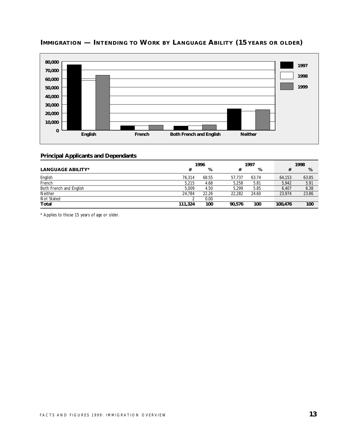

# **IMMIGRATION — INTENDING TO WORK BY LANGUAGE ABILITY (15 YEARS OR OLDER)**

#### **Principal Applicants and Dependants**

|                          | 1996    |       |        | 1997  |         | 1998  |  |  |
|--------------------------|---------|-------|--------|-------|---------|-------|--|--|
| <b>LANGUAGE ABILITY*</b> | #       | %     | #      | %     |         | %     |  |  |
| English                  | 76.314  | 68.55 | 57.737 | 63.74 | 64.153  | 63.85 |  |  |
| French                   | 5.215   | 4.68  | 5.258  | 5.81  | 5.942   | 5.91  |  |  |
| Both French and English  | 5.009   | 4.50  | 5.299  | 5.85  | 6.407   | 6.38  |  |  |
| <b>Neither</b>           | 24.784  | 22.26 | 22.282 | 24.60 | 23.974  | 23.86 |  |  |
| Not Stated               |         | 0.00  |        |       |         |       |  |  |
| Total                    | 111,324 | 100   | 90.576 | 100   | 100,476 | 100   |  |  |

\* Applies to those 15 years of age or older.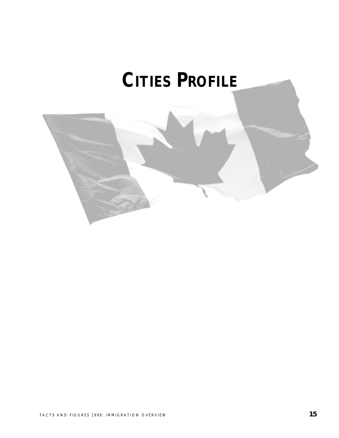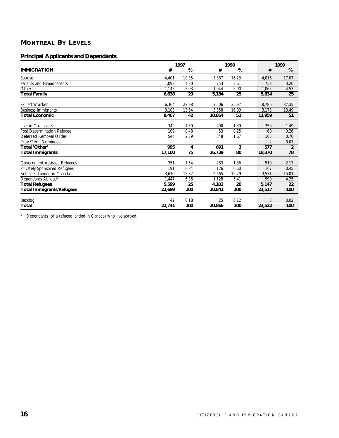# **MONTREAL BY LEVELS**

#### **Principal Applicants and Dependants**

|                                     | 1997   |       |        | 1998  |                | 1999           |  |
|-------------------------------------|--------|-------|--------|-------|----------------|----------------|--|
| <b>IMMIGRATION</b>                  | #      | %     | #      | %     | #              | %              |  |
| Spouse                              | 4.401  | 19.35 | 3,387  | 16.23 | 4,016          | 17.07          |  |
| Parents and Grandparents            | 1.092  | 4.80  | 753    | 3.61  | 753            | 3.20           |  |
| Others                              | 1,145  | 5.03  | 1,044  | 5.00  | 1,065          | 4.53           |  |
| <b>Total Family</b>                 | 6,638  | 29    | 5,184  | 25    | 5,834          | 25             |  |
| <b>Skilled Worker</b>               | 6,364  | 27.98 | 7,506  | 35.97 | 8,786          | 37.35          |  |
| <b>Business Immigrants</b>          | 3,103  | 13.64 | 3,358  | 16.09 | 3,173          | 13.49          |  |
| <b>Total Economic</b>               | 9,467  | 42    | 10,864 | 52    | 11,959         | 51             |  |
| Live-in Caregivers                  | 342    | 1.50  | 290    | 1.39  | 350            | 1.49           |  |
| Post Determination Refugee          | 109    | 0.48  | 53     | 0.25  | 60             | 0.26           |  |
| Deferred Removal Order              | 544    | 2.39  | 348    | 1.67  | 165            | 0.70           |  |
| Prov./Terr. Nominees                |        |       |        |       | $\overline{2}$ | 0.01           |  |
| Total 'Other'                       | 995    | 4     | 691    | 3     | 577            | $\overline{2}$ |  |
| <b>Total Immigrants</b>             | 17,100 | 75    | 16,739 | 80    | 18,370         | 78             |  |
| <b>Government Assisted Refugees</b> | 351    | 1.54  | 283    | 1.36  | 510            | 2.17           |  |
| <b>Privately Sponsored Refugees</b> | 191    | 0.84  | 126    | 0.60  | 107            | 0.45           |  |
| Refugees Landed in Canada           | 3,610  | 15.87 | 2,565  | 12.29 | 3,531          | 15.01          |  |
| Dependants Abroad*                  | 1,447  | 6.36  | 1.128  | 5.41  | 999            | 4.25           |  |
| <b>Total Refugees</b>               | 5,599  | 25    | 4,102  | 20    | 5,147          | 22             |  |
| <b>Total Immigrants/Refugees</b>    | 22,699 | 100   | 20,841 | 100   | 23,517         | 100            |  |
| Backlog                             | 42     | 0.18  | 25     | 0.12  | 5              | 0.02           |  |
| Total                               | 22,741 | 100   | 20,866 | 100   | 23,522         | 100            |  |

\* Dependants (of a refugee landed in Canada) who live abroad.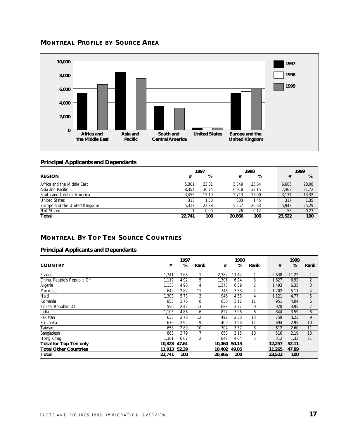# **MONTREAL PROFILE BY SOURCE AREA**



#### **Principal Applicants and Dependants**

|                               | 1997   |       | 1998   |       |  | 1999   |       |  |
|-------------------------------|--------|-------|--------|-------|--|--------|-------|--|
| <b>REGION</b>                 | #      | %     | #      | %     |  | #      | %     |  |
| Africa and the Middle East    | 5.301  | 23.31 | 5.349  | 25.64 |  | 6.606  | 28.08 |  |
| Asia and Pacific              | 8.354  | 36.74 | 6.918  | 33.15 |  | 7.462  | 31.72 |  |
| South and Central America     | 3.455  | 15.19 | 2.713  | 13.00 |  | 3.134  | 13.32 |  |
| <b>United States</b>          | 313    | 1.38  | 303    | 1.45  |  | 317    | 1.35  |  |
| Europe and the United Kingdom | 5.317  | 23.38 | 5.557  | 26.63 |  | 5.948  | 25.29 |  |
| Not Stated                    |        | 0.00  | 26     | 0.12  |  | 55     | 0.23  |  |
| Total                         | 22,741 | 100   | 20,866 | 100   |  | 23,522 | 100   |  |

# **MONTREAL BY TOP TEN SOURCE COUNTRIES**

|                               |        | 1997  |      |        | 1998  |      |        | 1999  |                |
|-------------------------------|--------|-------|------|--------|-------|------|--------|-------|----------------|
| <b>COUNTRY</b>                | #      | %     | Rank | #      | %     | Rank | #      | %     | Rank           |
| France                        | 1.741  | 7.66  |      | 2,382  | 11.42 |      | 2,638  | 11.22 |                |
| China, People's Republic Of   | 1.119  | 4.92  | 5    | 1,301  | 6.24  | 3    | 1,627  | 6.92  | $\overline{2}$ |
| Algeria                       | 1,133  | 4.98  | 4    | 1,375  | 6.59  | 2    | 1.493  | 6.35  | 3              |
| Morocco                       | 642    | 2.82  | 11   | 746    | 3.58  |      | 1,202  | 5.11  | 4              |
| Haiti                         | 1,303  | 5.73  | 3    | 946    | 4.53  | 4    | 1,121  | 4.77  | 5              |
| Romania                       | 855    | 3.76  | 8    | 650    | 3.12  | 11   | 951    | 4.04  | 6              |
| Korea, Republic Of            | 550    | 2.42  | 13   | 683    | 3.27  | 9    | 928    | 3.95  | $\overline{7}$ |
| India                         | 1,105  | 4.86  | 6    | 827    | 3.96  | 6    | 844    | 3.59  | 8              |
| Pakistan                      | 633    | 2.78  | 12   | 497    | 2.38  | 13   | 759    | 3.23  | 9              |
| Sri Lanka                     | 670    | 2.95  | 9    | 409    | 1.96  | 17   | 694    | 2.95  | 10             |
| Taiwan                        | 658    | 2.89  | 10   | 704    | 3.37  | 8    | 612    | 2.60  | 11             |
| Bangladesh                    | 863    | 3.79  |      | 658    | 3.15  | 10   | 516    | 2.19  | 13             |
| Hong Kong                     | 1,381  | 6.07  | 2    | 842    | 4.04  | 5    | 312    | 1.33  | 21             |
| <b>Total for Top Ten only</b> | 10.828 | 47.61 |      | 10.464 | 50.15 |      | 12,257 | 52.11 |                |
| <b>Total Other Countries</b>  | 11,913 | 52.39 |      | 10.402 | 49.85 |      | 11,265 | 47.89 |                |
| Total                         | 22,741 | 100   |      | 20,866 | 100   |      | 23,522 | 100   |                |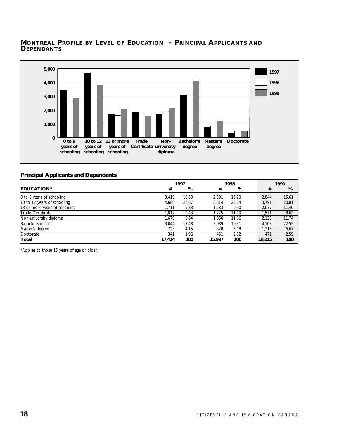#### **MONTREAL PROFILE BY LEVEL OF EDUCATION – PRINCIPAL APPLICANTS AND DEPENDANTS**



#### **Principal Applicants and Dependants**

|                               | 1997   |       |        | 1998  |  |        | 1999  |
|-------------------------------|--------|-------|--------|-------|--|--------|-------|
| EDUCATION*                    | #      | %     | #      | %     |  | #      | %     |
| 0 to 9 years of schooling     | 3.419  | 19.63 | 2.591  | 16.20 |  | 2.844  | 15.61 |
| 10 to 12 years of schooling   | 4.680  | 26.87 | 3.814  | 23.84 |  | 3.791  | 20.81 |
| 13 or more years of schooling | 1.711  | 9.83  | .583   | 9.90  |  | 2.077  | 11.40 |
| <b>Trade Certificate</b>      | 1.817  | 10.43 | 1.775  | 11.10 |  | 1.571  | 8.62  |
| Non-university diploma        | 1.679  | 9.64  | .866   | 11.66 |  | 2.138  | 11.74 |
| Bachelor's degree             | 3.044  | 17.48 | 3.089  | 19.31 |  | 4.108  | 22.55 |
| Master's degree               | 723    | 4.15  | 828    | 5.18  |  | 1.215  | 6.67  |
| Doctorate                     | 341    | 1.96  | 451    | 2.82  |  | 471    | 2.59  |
| Total                         | 17.414 | 100   | 15,997 | 100   |  | 18,215 | 100   |

\*Applies to those 15 years of age or older.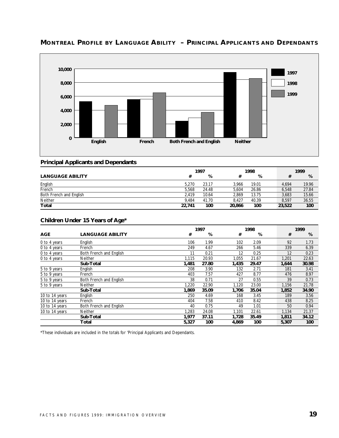

# **MONTREAL PROFILE BY LANGUAGE ABILITY – PRINCIPAL APPLICANTS AND DEPENDANTS**

#### **Principal Applicants and Dependants**

|                         | 1997   |       | 1998   |       | 1999   |       |  |
|-------------------------|--------|-------|--------|-------|--------|-------|--|
| <b>LANGUAGE ABILITY</b> | #      | %     |        | %     |        | %     |  |
| English                 | 5.270  | 23.17 | 3.966  | 19.01 | 4.694  | 19.96 |  |
| French                  | 5.568  | 24.48 | 5.604  | 26.86 | 6,548  | 27.84 |  |
| Both French and English | 2.419  | 10.64 | 2.869  | 13.75 | 3.683  | 15.66 |  |
| Neither                 | 9.484  | 41.70 | 8.427  | 40.39 | 8.597  | 36.55 |  |
| <b>Total</b>            | 22.741 | 100   | 20,866 | 100   | 23,522 | 100   |  |

#### **Children Under 15 Years of Age\***

|                |                         |       | 1997  |       |       | 1999  |       |  |
|----------------|-------------------------|-------|-------|-------|-------|-------|-------|--|
| <b>AGE</b>     | <b>LANGUAGE ABILITY</b> | #     | %     | #     | %     | #     | %     |  |
| 0 to 4 years   | English                 | 106   | 1.99  | 102   | 2.09  | 92    | 1.73  |  |
| 0 to 4 years   | French                  | 249   | 4.67  | 266   | 5.46  | 339   | 6.39  |  |
| 0 to 4 years   | Both French and English | 11    | 0.21  | 12    | 0.25  | 12    | 0.23  |  |
| 0 to 4 years   | <b>Neither</b>          | 1,115 | 20.93 | 1.055 | 21.67 | 1,201 | 22.63 |  |
|                | Sub-Total               | 1,481 | 27.80 | 1,435 | 29.47 | 1,644 | 30.98 |  |
| 5 to 9 years   | English                 | 208   | 3.90  | 132   | 2.71  | 181   | 3.41  |  |
| 5 to 9 years   | French                  | 403   | 7.57  | 427   | 8.77  | 476   | 8.97  |  |
| 5 to 9 years   | Both French and English | 38    | 0.71  | 27    | 0.55  | 39    | 0.73  |  |
| 5 to 9 years   | <b>Neither</b>          | 1.220 | 22.90 | 1.120 | 23.00 | 1,156 | 21.78 |  |
|                | Sub-Total               | 1,869 | 35.09 | 1,706 | 35.04 | 1,852 | 34.90 |  |
| 10 to 14 years | English                 | 250   | 4.69  | 168   | 3.45  | 189   | 3.56  |  |
| 10 to 14 years | French                  | 404   | 7.58  | 410   | 8.42  | 438   | 8.25  |  |
| 10 to 14 years | Both French and English | 40    | 0.75  | 49    | 1.01  | 50    | 0.94  |  |
| 10 to 14 years | Neither                 | 1,283 | 24.08 | 1.101 | 22.61 | 1,134 | 21.37 |  |
|                | Sub-Total               | 1,977 | 37.11 | 1,728 | 35.49 | 1,811 | 34.12 |  |
|                | Total                   | 5,327 | 100   | 4,869 | 100   | 5,307 | 100   |  |

\*These individuals are included in the totals for 'Principal Applicants and Dependants.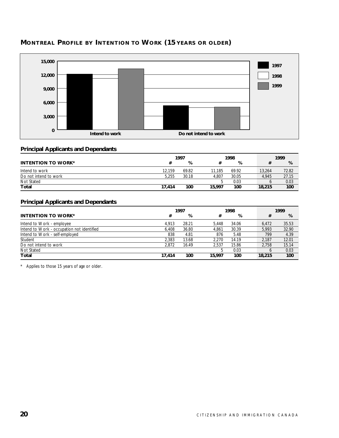

# **MONTREAL PROFILE BY INTENTION TO WORK (15 YEARS OR OLDER)**

#### **Principal Applicants and Dependants**

|                           | 1997   |       |        | 1998  |        | 1999  |
|---------------------------|--------|-------|--------|-------|--------|-------|
| <b>INTENTION TO WORK*</b> |        | %     |        | %     |        | %     |
| Intend to work            | 12.159 | 69.82 | 11.185 | 69.92 | 13,264 | 72.82 |
| Do not intend to work     | 5.255  | 30.18 | 4.807  | 30.05 | 4.945  | 27.15 |
| Not Stated                |        |       |        | 0.03  |        | 0.03  |
| Total                     | 17.414 | 100   | 15,997 | 100   | 18,215 | 100   |

#### **Principal Applicants and Dependants**

|                                            | 1997   |       | 1998   |       | 1999   |        |
|--------------------------------------------|--------|-------|--------|-------|--------|--------|
| <b>INTENTION TO WORK*</b>                  | #      | %     | #      | %     |        | %<br># |
| Intend to Work - employee                  | 4.913  | 28.21 | 5.448  | 34.06 | 6.472  | 35.53  |
| Intend to Work - occupation not identified | 6.408  | 36.80 | 4.861  | 30.39 | 5.993  | 32.90  |
| Intend to Work - self-employed             | 838    | 4.81  | 876    | 5.48  | 799    | 4.39   |
| Student                                    | 2.383  | 13.68 | 2.270  | 14.19 | 2.187  | 12.01  |
| Do not intend to work                      | 2.872  | 16.49 | 2.537  | 15.86 | 2.758  | 15.14  |
| Not Stated                                 |        |       |        | 0.03  |        | 0.03   |
| Total                                      | 17.414 | 100   | 15,997 | 100   | 18,215 | 100    |

\* Applies to those 15 years of age or older.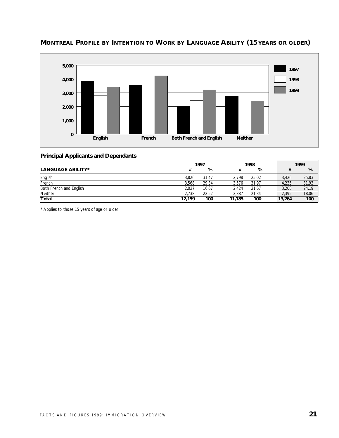

# **MONTREAL PROFILE BY INTENTION TO WORK BY LANGUAGE ABILITY (15 YEARS OR OLDER)**

#### **Principal Applicants and Dependants**

|                          | 1997   |       | 1998   |       | 1999   |       |  |
|--------------------------|--------|-------|--------|-------|--------|-------|--|
| <b>LANGUAGE ABILITY*</b> | #      | %     |        | %     |        | %     |  |
| English                  | 3.826  | 31.47 | 2.798  | 25.02 | 3.426  | 25.83 |  |
| French                   | 3.568  | 29.34 | 3.576  | 31.97 | 4.235  | 31.93 |  |
| Both French and English  | 2.027  | 16.67 | 2.424  | 21.67 | 3.208  | 24.19 |  |
| Neither                  | 2.738  | 22.52 | 2.387  | 21.34 | 2.395  | 18.06 |  |
| <b>Total</b>             | 12,159 | 100   | 11,185 | 100   | 13,264 | 100   |  |

\* Applies to those 15 years of age or older.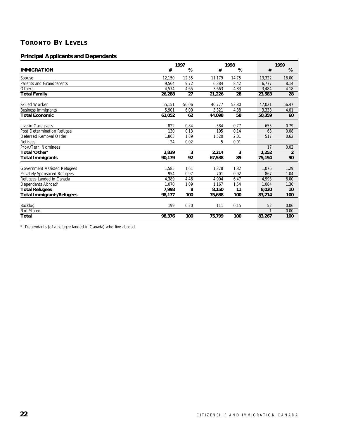# **TORONTO BY LEVELS**

#### **Principal Applicants and Dependants**

|                                     |        | 1997  |        |       |        | 1999           |  |
|-------------------------------------|--------|-------|--------|-------|--------|----------------|--|
| <b>IMMIGRATION</b>                  | #      | %     | #      | %     | #      | %              |  |
| Spouse                              | 12,150 | 12.35 | 11,179 | 14.75 | 13,322 | 16.00          |  |
| Parents and Grandparents            | 9.564  | 9.72  | 6,384  | 8.42  | 6,777  | 8.14           |  |
| Others                              | 4,574  | 4.65  | 3,663  | 4.83  | 3,484  | 4.18           |  |
| <b>Total Family</b>                 | 26,288 | 27    | 21,226 | 28    | 23,583 | 28             |  |
| <b>Skilled Worker</b>               | 55,151 | 56.06 | 40.777 | 53.80 | 47,021 | 56.47          |  |
| <b>Business Immigrants</b>          | 5,901  | 6.00  | 3,321  | 4.38  | 3,338  | 4.01           |  |
| <b>Total Economic</b>               | 61,052 | 62    | 44,098 | 58    | 50,359 | 60             |  |
| Live-in Caregivers                  | 822    | 0.84  | 584    | 0.77  | 655    | 0.79           |  |
| Post Determination Refugee          | 130    | 0.13  | 105    | 0.14  | 63     | 0.08           |  |
| Deferred Removal Order              | 1,863  | 1.89  | 1,520  | 2.01  | 517    | 0.62           |  |
| <b>Retirees</b>                     | 24     | 0.02  | 5      | 0.01  |        |                |  |
| Prov./Terr. Nominees                |        |       |        |       | 17     | 0.02           |  |
| Total 'Other'                       | 2.839  | 3     | 2,214  | 3     | 1,252  | $\overline{2}$ |  |
| <b>Total Immigrants</b>             | 90,179 | 92    | 67,538 | 89    | 75,194 | 90             |  |
| <b>Government Assisted Refugees</b> | 1,585  | 1.61  | 1,378  | 1.82  | 1,076  | 1.29           |  |
| <b>Privately Sponsored Refugees</b> | 954    | 0.97  | 701    | 0.92  | 867    | 1.04           |  |
| Refugees Landed in Canada           | 4.389  | 4.46  | 4.904  | 6.47  | 4,993  | 6.00           |  |
| Dependants Abroad*                  | 1.070  | 1.09  | 1,167  | 1.54  | 1.084  | 1.30           |  |
| <b>Total Refugees</b>               | 7,998  | 8     | 8,150  | 11    | 8,020  | 10             |  |
| <b>Total Immigrants/Refugees</b>    | 98,177 | 100   | 75,688 | 100   | 83,214 | 100            |  |
| Backlog                             | 199    | 0.20  | 111    | 0.15  | 52     | 0.06           |  |
| <b>Not Stated</b>                   |        |       |        |       |        | 0.00           |  |
| Total                               | 98,376 | 100   | 75,799 | 100   | 83,267 | 100            |  |

\* Dependants (of a refugee landed in Canada) who live abroad.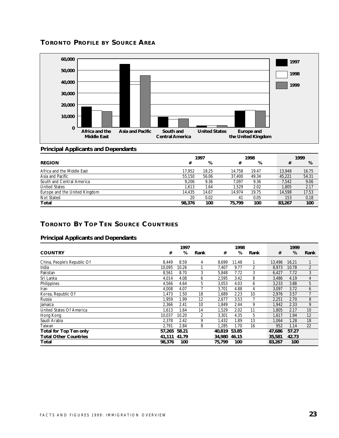



#### **Principal Applicants and Dependants**

|                               | 1997   |       |        | 1998  |  |        | 1999  |
|-------------------------------|--------|-------|--------|-------|--|--------|-------|
| <b>REGION</b>                 | #      | %     | #      | %     |  | #      | %     |
| Africa and the Middle East    | 17.952 | 18.25 | 14.758 | 19.47 |  | 13,948 | 16.75 |
| Asia and Pacific              | 55.150 | 56.06 | 37.400 | 49.34 |  | 45.221 | 54.31 |
| South and Central America     | 9.206  | 9.36  | 7.097  | 9.36  |  | 7.542  | 9.06  |
| <b>United States</b>          | 1.613  | 1.64  | 1.529  | 2.02  |  | 1.805  | 2.17  |
| Europe and the United Kingdom | 14.435 | 14.67 | 14.974 | 19.75 |  | 14,598 | 17.53 |
| Not Stated                    | 20     | 0.02  | 41     | 0.05  |  | 153    | 0.18  |
| Total                         | 98,376 | 100   | 75.799 | 100   |  | 83,267 | 100   |

# **TORONTO BY TOP TEN SOURCE COUNTRIES**

|                               |        | 1997  |                 |              | 1998  |      |        | 1999  |                |
|-------------------------------|--------|-------|-----------------|--------------|-------|------|--------|-------|----------------|
| <b>COUNTRY</b>                | #      | %     | Rank            | #            | %     | Rank | #      | %     | Rank           |
| China, People's Republic Of   | 8.449  | 8.59  | 4               | 8,699        | 11.48 |      | 13.496 | 16.21 |                |
| India                         | 10.095 | 10.26 |                 | 7,407        | 9.77  | 2    | 8,973  | 10.78 | $\overline{2}$ |
| Pakistan                      | 8,561  | 8.70  | 3               | 5,848        | 7.72  | 3    | 6,427  | 7.72  | 3              |
| Sri Lanka                     | 4,014  | 4.08  | 6               | 2,595        | 3.42  | 8    | 3,486  | 4.19  | 4              |
| Philippines                   | 4,566  | 4.64  | 5               | 3,053        | 4.03  | 6    | 3,233  | 3.88  | 5              |
| Iran                          | 4,008  | 4.07  |                 | 3,701        | 4.88  | 4    | 3,097  | 3.72  | 6              |
| Korea, Republic Of            | 1,473  | 1.50  | 18              | 1,689        | 2.23  | 10   | 2,976  | 3.57  | 7              |
| Russia                        | 1.959  | 1.99  | 12              | 2,677        | 3.53  |      | 2,251  | 2.70  | 8              |
| Jamaica                       | 2,366  | 2.41  | 10 <sup>°</sup> | 1,849        | 2.44  | 9    | 1,942  | 2.33  | 9              |
| United States Of America      | 1,613  | 1.64  | 14              | 1,529        | 2.02  | 11   | 1,805  | 2.17  | 10             |
| Hong Kong                     | 10.037 | 10.20 | 2               | 3,301        | 4.35  | 5    | 1,617  | 1.94  | 12             |
| Saudi Arabia                  | 2.378  | 2.42  | 9               | 1,432        | 1.89  | 13   | 1,064  | 1.28  | 18             |
| Taiwan                        | 2.791  | 2.84  | 8               | 1.285        | 1.70  | 16   | 952    | 1.14  | 22             |
| <b>Total for Top Ten only</b> | 57,265 | 58.21 |                 | 40.819       | 53.85 |      | 47,686 | 57.27 |                |
| <b>Total Other Countries</b>  | 41,111 | 41.79 |                 | 34,980 46.15 |       |      | 35,581 | 42.73 |                |
| Total                         | 98,376 | 100   |                 | 75.799       | 100   |      | 83,267 | 100   |                |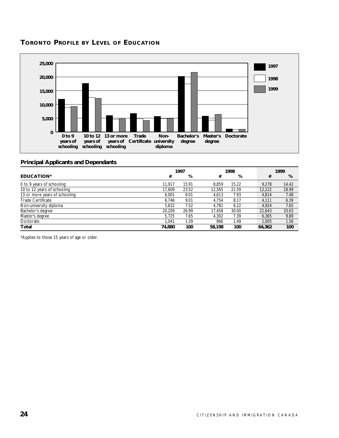#### **TORONTO PROFILE BY LEVEL OF EDUCATION**



#### **Principal Applicants and Dependants**

|                               | 1997   |       |        | 1998  |  |        | 1999  |
|-------------------------------|--------|-------|--------|-------|--|--------|-------|
| <b>EDUCATION*</b>             | #      | %     | #      | %     |  | #      | %     |
| 0 to 9 years of schooling     | 11.917 | 15.91 | 8.859  | 15.22 |  | 9.278  | 14.42 |
| 10 to 12 years of schooling   | 17.609 | 23.52 | 12.565 | 21.59 |  | 12,222 | 18.99 |
| 13 or more years of schooling | 6.001  | 8.01  | 4.613  | 7.93  |  | 4.814  | 7.48  |
| <b>Trade Certificate</b>      | 6.746  | 9.01  | 4.754  | 8.17  |  | 4.111  | 6.39  |
| Non-university diploma        | 5.632  | 7.52  | 4.781  | 8.22  |  | 4.924  | 7.65  |
| Bachelor's degree             | 20.209 | 26.99 | 17.458 | 30.00 |  | 21,643 | 33.63 |
| Master's degree               | 5.725  | 7.65  | 4.302  | 7.39  |  | 6.365  | 9.89  |
| Doctorate                     | 1.041  | 1.39  | 866    | 1.49  |  | 1.005  | 1.56  |
| Total                         | 74,880 | 100   | 58,198 | 100   |  | 64,362 | 100   |

\*Applies to those 15 years of age or older.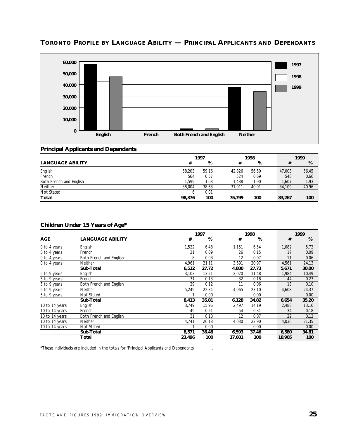

# **TORONTO PROFILE BY LANGUAGE ABILITY — PRINCIPAL APPLICANTS AND DEPENDANTS**

#### **Principal Applicants and Dependants**

|                         | 1997<br>1998 |       |        |       |        | 1999  |
|-------------------------|--------------|-------|--------|-------|--------|-------|
| <b>LANGUAGE ABILITY</b> | #            | %     | #      | %     | #      | %     |
| English                 | 58,203       | 59.16 | 42,826 | 56.50 | 47,003 | 56.45 |
| French                  | 564          | 0.57  | 524    | 0.69  | 548    | 0.66  |
| Both French and English | 1.599        | 1.63  | 1.438  | 1.90  | 1,607  | 1.93  |
| <b>Neither</b>          | 38,004       | 38.63 | 31.011 | 40.91 | 34,109 | 40.96 |
| Not Stated              |              | 0.01  |        |       |        |       |
| Total                   | 98,376       | 100   | 75,799 | 100   | 83,267 | 100   |

|                |                         |        | 1997  |        | 1998  |  |        | 1999  |  |  |
|----------------|-------------------------|--------|-------|--------|-------|--|--------|-------|--|--|
| <b>AGE</b>     | <b>LANGUAGE ABILITY</b> | #      | %     | #      | %     |  | #      | %     |  |  |
| 0 to 4 years   | English                 | 1,522  | 6.48  | 1,151  | 6.54  |  | 1,082  | 5.72  |  |  |
| 0 to 4 years   | French                  | 21     | 0.09  | 26     | 0.15  |  | 17     | 0.09  |  |  |
| 0 to 4 years   | Both French and English | 8      | 0.03  | 12     | 0.07  |  | 11     | 0.06  |  |  |
| 0 to 4 years   | <b>Neither</b>          | 4,961  | 21.11 | 3,691  | 20.97 |  | 4,561  | 24.13 |  |  |
|                | Sub-Total               | 6,512  | 27.72 | 4,880  | 27.73 |  | 5,671  | 30.00 |  |  |
| 5 to 9 years   | English                 | 3,103  | 13.21 | 2,020  | 11.48 |  | 1,984  | 10.49 |  |  |
| 5 to 9 years   | French                  | 31     | 0.13  | 32     | 0.18  |  | 44     | 0.23  |  |  |
| 5 to 9 years   | Both French and English | 29     | 0.12  | 11     | 0.06  |  | 18     | 0.10  |  |  |
| 5 to 9 years   | <b>Neither</b>          | 5,249  | 22.34 | 4,065  | 23.10 |  | 4,608  | 24.37 |  |  |
| 5 to 9 years   | Not Stated              |        | 0.00  |        | 0.00  |  |        | 0.00  |  |  |
|                | Sub-Total               | 8,413  | 35.81 | 6,128  | 34.82 |  | 6,654  | 35.20 |  |  |
| 10 to 14 years | English                 | 3,749  | 15.96 | 2,497  | 14.19 |  | 2,488  | 13.16 |  |  |
| 10 to 14 years | French                  | 49     | 0.21  | 54     | 0.31  |  | 34     | 0.18  |  |  |
| 10 to 14 years | Both French and English | 31     | 0.13  | 12     | 0.07  |  | 22     | 0.12  |  |  |
| 10 to 14 years | <b>Neither</b>          | 4,741  | 20.18 | 4,030  | 22.90 |  | 4,036  | 21.35 |  |  |
| 10 to 14 years | Not Stated              |        | 0.00  |        | 0.00  |  |        | 0.00  |  |  |
|                | Sub-Total               | 8,571  | 36.48 | 6,593  | 37.46 |  | 6,580  | 34.81 |  |  |
|                | Total                   | 23,496 | 100   | 17,601 | 100   |  | 18,905 | 100   |  |  |

#### **Children Under 15 Years of Age\***

\*These individuals are included in the totals for 'Principal Applicants and Dependants' .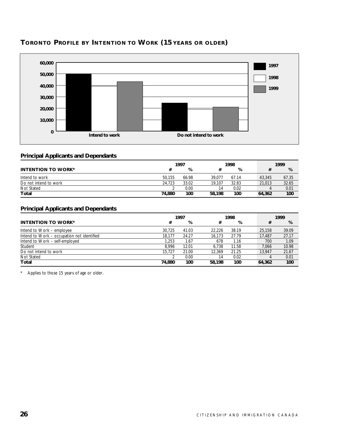

# **TORONTO PROFILE BY INTENTION TO WORK (15 YEARS OR OLDER)**

#### **Principal Applicants and Dependants**

|                           | 1997   |       |        | 1998  |        | 1999  |  |  |
|---------------------------|--------|-------|--------|-------|--------|-------|--|--|
| <b>INTENTION TO WORK*</b> |        | %     |        | %     |        | %     |  |  |
| Intend to work            | 50.155 | 66.98 | 39.077 | 67.14 | 43,345 | 67.35 |  |  |
| Do not intend to work     | 24.723 | 33.02 | 19.107 | 32.83 | 21,013 | 32.65 |  |  |
| Not Stated                |        | 0.00  | 14     | 0.02  |        | 0.01  |  |  |
| Total                     | 74.880 | 100   | 58,198 | 100   | 64,362 | 100   |  |  |

#### **Principal Applicants and Dependants**

|                                            | 1997   |       |        | 1998  |  |        | 1999  |
|--------------------------------------------|--------|-------|--------|-------|--|--------|-------|
| <b>INTENTION TO WORK*</b>                  | #      | %     | #      | %     |  | #      | %     |
| Intend to Work – employee                  | 30.725 | 41.03 | 22.226 | 38.19 |  | 25,158 | 39.09 |
| Intend to Work – occupation not identified | 18.177 | 24.27 | 16.173 | 27.79 |  | 17.487 | 27.17 |
| Intend to Work – self-employed             | 1.253  | 1.67  | 678    | 1.16  |  | 700    | 1.09  |
| Student                                    | 8.996  | 12.01 | 6.738  | 11.58 |  | 7.066  | 10.98 |
| Do not intend to work                      | 15.727 | 21.00 | 12.369 | 21.25 |  | 13.947 | 21.67 |
| Not Stated                                 |        | 0.00  | 14     | 0.02  |  |        | 0.01  |
| Total                                      | 74.880 | 100   | 58,198 | 100   |  | 64,362 | 100   |

\* Applies to those 15 years of age or older.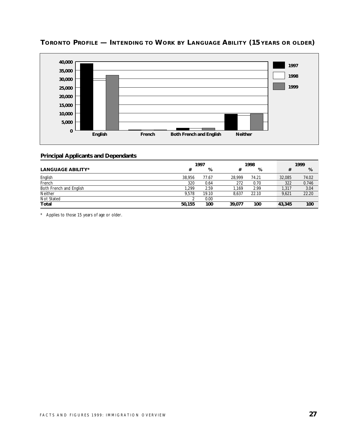

# **TORONTO PROFILE — INTENDING TO WORK BY LANGUAGE ABILITY (15 YEARS OR OLDER)**

#### **Principal Applicants and Dependants**

|                          |        | 1997  | 1998   |       |  | 1999   |       |  |
|--------------------------|--------|-------|--------|-------|--|--------|-------|--|
| <b>LANGUAGE ABILITY*</b> | #      | %     |        | %     |  |        | %     |  |
| English                  | 38.956 | 77.67 | 28.999 | 74.21 |  | 32.085 | 74.02 |  |
| French                   | 320    | 0.64  | 272    | 0.70  |  | 322    | 0.746 |  |
| Both French and English  | .299   | 2.59  | . 169  | 2.99  |  | 1,317  | 3.04  |  |
| Neither                  | 9.578  | 19.10 | 8.637  | 22.10 |  | 9,621  | 22.20 |  |
| Not Stated               |        | 0.00  |        |       |  |        |       |  |
| Total                    | 50,155 | 100   | 39.077 | 100   |  | 43,345 | 100   |  |

\* Applies to those 15 years of age or older.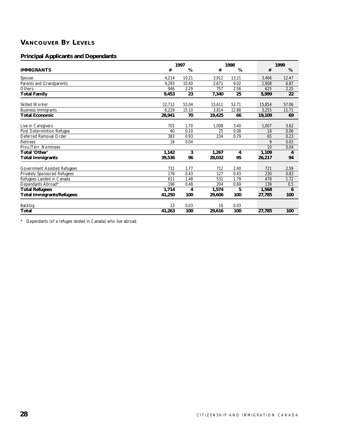# **VANCOUVER BY LEVELS**

#### **Principal Applicants and Dependants**

|                                     |        | 1997  |        | 1998  |        | 1999  |  |  |
|-------------------------------------|--------|-------|--------|-------|--------|-------|--|--|
| <b>IMMIGRANTS</b>                   | #      | %     | #      | %     | #      | %     |  |  |
| Spouse                              | 4,214  | 10.21 | 3,912  | 13.21 | 3,466  | 12.47 |  |  |
| Parents and Grandparents            | 4,293  | 10.40 | 2,671  | 9.02  | 1,908  | 6.87  |  |  |
| Others                              | 946    | 2.29  | 757    | 2.56  | 625    | 2.25  |  |  |
| <b>Total Family</b>                 | 9,453  | 23    | 7,340  | 25    | 5,999  | 22    |  |  |
| <b>Skilled Worker</b>               | 22,712 | 55.04 | 15,611 | 52.71 | 15,854 | 57.06 |  |  |
| <b>Business Immigrants</b>          | 6,229  | 15.10 | 3,814  | 12.88 | 3,255  | 11.71 |  |  |
| <b>Total Economic</b>               | 28,941 | 70    | 19,425 | 66    | 19,109 | 69    |  |  |
| Live-in Caregivers                  | 701    | 1.70  | 1,008  | 3.40  | 1,007  | 3.62  |  |  |
| Post Determintion Refugee           | 40     | 0.10  | 25     | 0.08  | 18     | 0.06  |  |  |
| Deferred Removal Order              | 383    | 0.93  | 234    | 0.79  | 65     | 0.23  |  |  |
| <b>Retirees</b>                     | 18     | 0.04  |        |       | 9      | 0.03  |  |  |
| Prov./Terr. Nominees                |        |       |        |       | 10     | 0.04  |  |  |
| Total 'Other'                       | 1,142  | 3     | 1,267  | 4     | 1,109  | 4     |  |  |
| <b>Total Immigrants</b>             | 39,536 | 96    | 28,032 | 95    | 26,217 | 94    |  |  |
| <b>Government Assisted Refugees</b> | 731    | 1.77  | 712    | 2.40  | 721    | 2.59  |  |  |
| Privately Sponsored Refugees        | 176    | 0.43  | 127    | 0.43  | 230    | 0.83  |  |  |
| Refugees Landed in Canada           | 611    | 1.48  | 531    | 1.79  | 478    | 1.72  |  |  |
| Dependants Abroad*                  | 196    | 0.48  | 204    | 0.69  | 139    | 0.5   |  |  |
| <b>Total Refugees</b>               | 1,714  | 4     | 1,574  | 5     | 1,568  | 6     |  |  |
| <b>Total Immigrants/Refugees</b>    | 41,250 | 100   | 29,606 | 100   | 27,785 | 100   |  |  |
| Backlog                             | 13     | 0.03  | 10     | 0.03  |        |       |  |  |
| Total                               | 41,263 | 100   | 29,616 | 100   | 27,785 | 100   |  |  |

\* Dependants (of a refugee landed in Canada) who live abroad.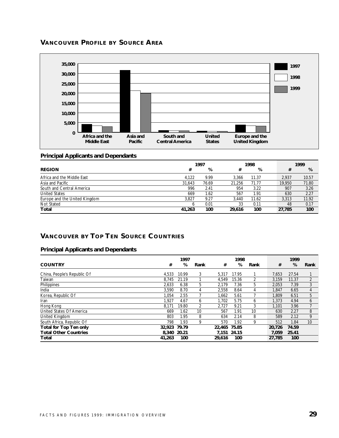# **VANCOUVER PROFILE BY SOURCE AREA**



#### **Principal Applicants and Dependants**

|                               | 1997   |       |        | 1998  |  |        | 1999  |  |  |
|-------------------------------|--------|-------|--------|-------|--|--------|-------|--|--|
| <b>REGION</b>                 | #      | %     | #      | %     |  | #      | %     |  |  |
| Africa and the Middle East    | 4.122  | 9.99  | 3.366  | 11.37 |  | 2.937  | 10.57 |  |  |
| Asia and Pacific              | 31,643 | 76.69 | 21.256 | 71.77 |  | 19,950 | 71.80 |  |  |
| South and Central America     | 996    | 2.41  | 954    | 3.22  |  | 907    | 3.26  |  |  |
| <b>United States</b>          | 669    | 1.62  | 567    | 1.91  |  | 630    | 2.27  |  |  |
| Europe and the United Kingdom | 3.827  | 9.27  | 3.440  | 11.62 |  | 3.313  | 11.92 |  |  |
| Not Stated                    |        | 0.01  | 33     | 0.11  |  | 48     | 0.17  |  |  |
| Total                         | 41,263 | 100   | 29.616 | 100   |  | 27,785 | 100   |  |  |

# **VANCOUVER BY TOP TEN SOURCE COUNTRIES**

|                               | 1997        |       |      | 1998         |       |      | 1999   |       |                |
|-------------------------------|-------------|-------|------|--------------|-------|------|--------|-------|----------------|
| <b>COUNTRY</b>                | #           | %     | Rank | #            | %     | Rank | #      | %     | Rank           |
| China, People's Republic Of   | 4.533       | 10.99 | 3    | 5.317        | 17.95 |      | 7.653  | 27.54 |                |
| Taiwan                        | 8.745       | 21.19 |      | 4.549        | 15.36 | 2    | 3.159  | 11.37 | $\overline{2}$ |
| Philippines                   | 2.633       | 6.38  | 5.   | 2.179        | 7.36  | 5    | 2.053  | 7.39  | 3              |
| India                         | 3.590       | 8.70  | 4    | 2,558        | 8.64  | 4    | 1.847  | 6.65  | 4              |
| Korea, Republic Of            | 1.054       | 2.55  |      | 1.662        | 5.61  |      | 1.809  | 6.51  | 5              |
| Iran                          | 1.927       | 4.67  | 6    | 1.702        | 5.75  | 6    | 1.373  | 4.94  | 6              |
| Hong Kong                     | 8.171       | 19.80 | 2    | 2.727        | 9.21  | 3    | 1.101  | 3.96  |                |
| United States Of America      | 669         | 1.62  | 10   | 567          | 1.91  | 10   | 630    | 2.27  | 8              |
| United Kingdom                | 803         | 1.95  | 8    | 634          | 2.14  | 8    | 589    | 2.12  | 9              |
| South Africa, Republic Of     | 798         | 1.93  | 9    | 570          | 1.92  | 9    | 512    | 1.84  | 10             |
| <b>Total for Top Ten only</b> | 32,923      | 79.79 |      | 22.465 75.85 |       |      | 20.726 | 74.59 |                |
| <b>Total Other Countries</b>  | 8.340 20.21 |       |      | 7.151 24.15  |       |      | 7.059  | 25.41 |                |
| Total                         | 41,263      | 100   |      | 29.616       | 100   |      | 27.785 | 100   |                |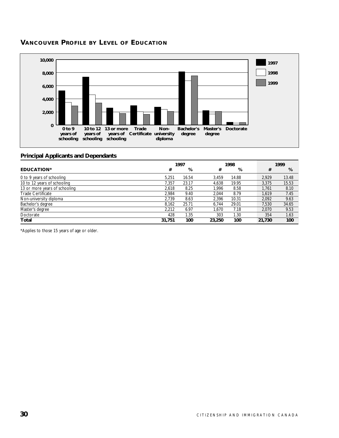#### **VANCOUVER PROFILE BY LEVEL OF EDUCATION**



#### **Principal Applicants and Dependants**

|                               | 1997   |       |        | 1998  |  |        | 1999  |
|-------------------------------|--------|-------|--------|-------|--|--------|-------|
| <b>EDUCATION*</b>             | #      | %     | #      | %     |  | #      | %     |
| 0 to 9 years of schooling     | 5.251  | 16.54 | 3.459  | 14.88 |  | 2.929  | 13.48 |
| 10 to 12 years of schooling   | 7.357  | 23.17 | 4.638  | 19.95 |  | 3.375  | 15.53 |
| 13 or more years of schooling | 2.618  | 8.25  | 1.996  | 8.58  |  | 1.761  | 8.10  |
| <b>Trade Certificate</b>      | 2.984  | 9.40  | 2.044  | 8.79  |  | 1.619  | 7.45  |
| Non-university diploma        | 2.739  | 8.63  | 2.396  | 10.31 |  | 2.092  | 9.63  |
| Bachelor's degree             | 8.162  | 25.71 | 6.744  | 29.01 |  | 7.530  | 34.65 |
| Master's degree               | 2.212  | 6.97  | 1.670  | 7.18  |  | 2.070  | 9.53  |
| Doctorate                     | 428    | 1.35  | 303    | 1.30  |  | 354    | 1.63  |
| Total                         | 31,751 | 100   | 23,250 | 100   |  | 21,730 | 100   |

\*Applies to those 15 years of age or older.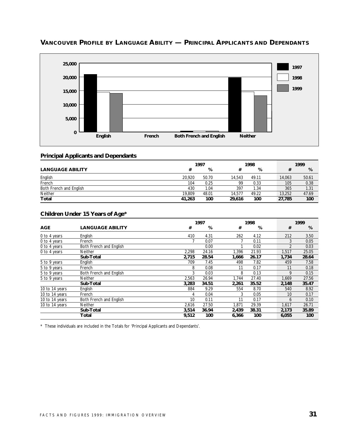

# **VANCOUVER PROFILE BY LANGUAGE ABILITY — PRINCIPAL APPLICANTS AND DEPENDANTS**

### **Principal Applicants and Dependants**

|                         | 1997   |       |        | 1998  |        |     | 1999  |
|-------------------------|--------|-------|--------|-------|--------|-----|-------|
| <b>LANGUAGE ABILITY</b> |        | %     |        | %     |        |     | %     |
| English                 | 20.920 | 50.70 | 14.543 | 49.11 | 14,063 |     | 50.61 |
| French                  | 104    | 0.25  | 99     | 0.33  |        | 105 | 0.38  |
| Both French and English | 430    | 1.04  | 397    | 1.34  |        | 365 | 1.31  |
| Neither                 | 19.809 | 48.01 | 14.577 | 49.22 | 13.252 |     | 47.69 |
| Total                   | 41,263 | 100   | 29.616 | 100   | 27,785 |     | 100   |

### **Children Under 15 Years of Age\***

|                |                         |       | 1997  |       |       | 1999           |       |  |
|----------------|-------------------------|-------|-------|-------|-------|----------------|-------|--|
| <b>AGE</b>     | <b>LANGUAGE ABILITY</b> | #     | %     | #     | %     | #              | %     |  |
| 0 to 4 years   | English                 | 410   | 4.31  | 262   | 4.12  | 212            | 3.50  |  |
| 0 to 4 years   | French                  |       | 0.07  |       | 0.11  | 3              | 0.05  |  |
| 0 to 4 years   | Both French and English |       | 0.00  |       | 0.02  | $\mathfrak{D}$ | 0.03  |  |
| 0 to 4 years   | <b>Neither</b>          | 2,298 | 24.16 | 1,396 | 21.93 | 1,517          | 25.05 |  |
|                | Sub-Total               | 2,715 | 28.54 | 1,666 | 26.17 | 1,734          | 28.64 |  |
| 5 to 9 years   | English                 | 709   | 7.45  | 498   | 7.82  | 459            | 7.58  |  |
| 5 to 9 years   | French                  | 8     | 0.08  | 11    | 0.17  | 11             | 0.18  |  |
| 5 to 9 years   | Both French and English | 3     | 0.03  | 8     | 0.13  | 9              | 0.15  |  |
| 5 to 9 years   | <b>Neither</b>          | 2,563 | 26.94 | 1.744 | 27.40 | 1,669          | 27.56 |  |
|                | Sub-Total               | 3.283 | 34.51 | 2,261 | 35.52 | 2,148          | 35.47 |  |
| 10 to 14 years | English                 | 884   | 9.29  | 554   | 8.70  | 540            | 8.92  |  |
| 10 to 14 years | French                  | 4     | 0.04  | 3     | 0.05  | 10             | 0.17  |  |
| 10 to 14 years | Both French and English | 10    | 0.11  | 11    | 0.17  | 6              | 0.10  |  |
| 10 to 14 years | Neither                 | 2,616 | 27.50 | 1.871 | 29.39 | 1,617          | 26.71 |  |
|                | Sub-Total               | 3,514 | 36.94 | 2,439 | 38.31 | 2,173          | 35.89 |  |
|                | Total                   | 9,512 | 100   | 6,366 | 100   | 6,055          | 100   |  |

\* These individuals are included in the Totals for 'Principal Applicants and Dependants'.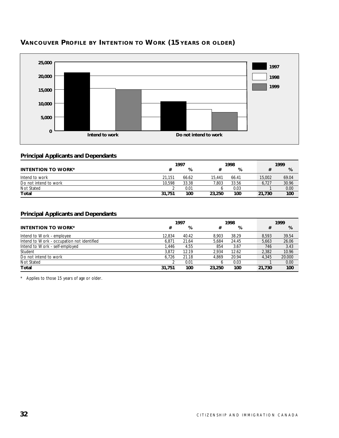

# **VANCOUVER PROFILE BY INTENTION TO WORK (15 YEARS OR OLDER)**

### **Principal Applicants and Dependants**

|                           | 1997   |       | 1998   |       | 1999   |       |
|---------------------------|--------|-------|--------|-------|--------|-------|
| <b>INTENTION TO WORK*</b> |        | %     |        | %     |        | %     |
| Intend to work            | 21.151 | 66.62 | 15.441 | 66.41 | 15,002 | 69.04 |
| Do not intend to work     | 10.598 | 33.38 | 7.803  | 33.56 | 6,727  | 30.96 |
| Not Stated                |        | 0.01  |        | 0.03  |        | 0.00  |
| Total                     | 31.751 | 100   | 23,250 | 100   | 21,730 | 100   |

### **Principal Applicants and Dependants**

|                                            | 1997   |       |        | 1998  |  |        | 1999   |
|--------------------------------------------|--------|-------|--------|-------|--|--------|--------|
| <b>INTENTION TO WORK*</b>                  | #      | %     | #      | %     |  | #      | %      |
| Intend to Work - employee                  | 12.834 | 40.42 | 8.903  | 38.29 |  | 8.593  | 39.54  |
| Intend to Work - occupation not identified | 6.871  | 21.64 | 5.684  | 24.45 |  | 5.663  | 26.06  |
| Intend to Work - self-employed             | 1.446  | 4.55  | 854    | 3.67  |  | 746    | 3.43   |
| Student                                    | 3.872  | 12.19 | 2.934  | 12.62 |  | 2,382  | 10.96  |
| Do not intend to work                      | 6.726  | 21.18 | 4.869  | 20.94 |  | 4.345  | 20.000 |
| Not Stated                                 |        | 0.01  | b      | 0.03  |  |        | 0.00   |
| Total                                      | 31.751 | 100   | 23,250 | 100   |  | 21,730 | 100    |

\* Applies to those 15 years of age or older.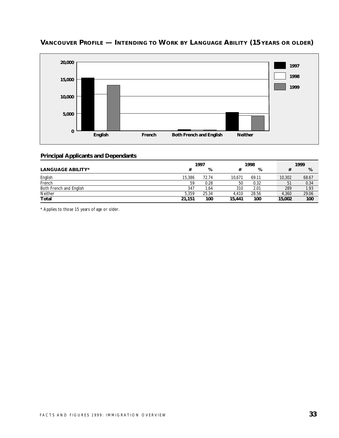

# **VANCOUVER PROFILE — INTENDING TO WORK BY LANGUAGE ABILITY (15 YEARS OR OLDER)**

### **Principal Applicants and Dependants**

|                          |        | 1997  | 1998   |       | 1999   |       |       |
|--------------------------|--------|-------|--------|-------|--------|-------|-------|
| <b>LANGUAGE ABILITY*</b> | #      | %     |        | %     |        |       | %     |
| English                  | 15,386 | 72.74 | 10.671 | 69.11 | 10,302 |       | 68.67 |
| French                   | 59     | 0.28  | 50     | 0.32  |        | 51    | 0.34  |
| Both French and English  | 347    | 1.64  | 310    | 2.01  |        | 289   | 1.93  |
| Neither                  | 5.359  | 25.34 | 4.410  | 28.56 |        | 4.360 | 29.06 |
| Total                    | 21,151 | 100   | 15,441 | 100   | 15,002 |       | 100   |

\* Applies to those 15 years of age or older.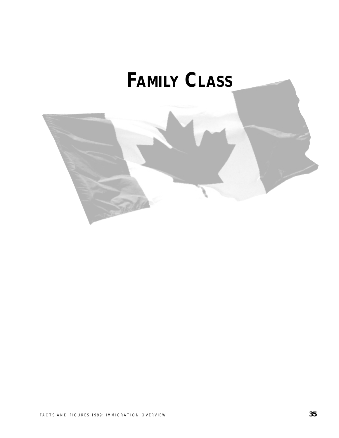# **FAMILY CLASS**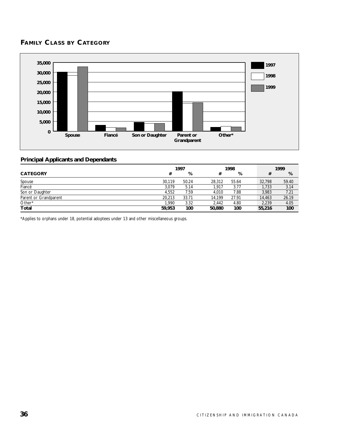# **FAMILY CLASS BY CATEGORY**



### **Principal Applicants and Dependants**

|                       | 1997   |       | 1998   |       |  | 1999   |       |
|-----------------------|--------|-------|--------|-------|--|--------|-------|
| <b>CATEGORY</b>       | #      | %     | #      | %     |  | #      | %     |
| Spouse                | 30.119 | 50.24 | 28.312 | 55.64 |  | 32,798 | 59.40 |
| Fiancé                | 3,079  | 5.14  | 1.917  | 3.77  |  | 1,733  | 3.14  |
| Son or Daughter       | 4.552  | 7.59  | 4.010  | 7.88  |  | 3.983  | 7.21  |
| Parent or Grandparent | 20.213 | 33.71 | 14.199 | 27.91 |  | 14,463 | 26.19 |
| Other*                | 1,990  | 3.32  | 2.442  | 4.80  |  | 2.239  | 4.05  |
| <b>Total</b>          | 59,953 | 100   | 50,880 | 100   |  | 55,216 | 100   |

\*Applies to orphans under 18, potential adoptees under 13 and other miscellaneous groups.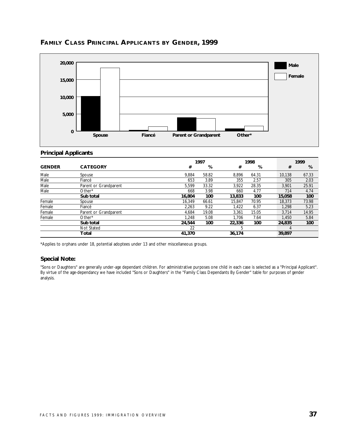

# **FAMILY CLASS PRINCIPAL APPLICANTS BY GENDER, 1999**

### **Principal Applicants**

|               |                       |        | 1997  |        | 1998  |        | 1999  |
|---------------|-----------------------|--------|-------|--------|-------|--------|-------|
| <b>GENDER</b> | <b>CATEGORY</b>       | #      | %     | #      | %     | #      | %     |
| Male          | Spouse                | 9.884  | 58.82 | 8,896  | 64.31 | 10,138 | 67.33 |
| Male          | Fiancé                | 653    | 3.89  | 355    | 2.57  | 305    | 2.03  |
| Male          | Parent or Grandparent | 5.599  | 33.32 | 3.922  | 28.35 | 3,901  | 25.91 |
| Male          | $Other*$              | 668    | 3.98  | 660    | 4.77  | 714    | 4.74  |
|               | Sub total             | 16,804 | 100   | 13,833 | 100   | 15,058 | 100   |
| Female        | Spouse                | 16.349 | 66.61 | 15.847 | 70.95 | 18,373 | 73.98 |
| Female        | Fiancé                | 2,263  | 9.22  | 1.422  | 6.37  | 1.298  | 5.23  |
| Female        | Parent or Grandparent | 4.684  | 19.08 | 3.361  | 15.05 | 3.714  | 14.95 |
| Female        | Other*                | 1.248  | 5.08  | 1.706  | 7.64  | 1,450  | 5.84  |
|               | Sub total             | 24.544 | 100   | 22,336 | 100   | 24,835 | 100   |
|               | Not Stated            | 22     |       | 5      |       |        |       |
|               | Total                 | 41,370 |       | 36,174 |       | 39,897 |       |

\*Applies to orphans under 18, potential adoptees under 13 and other miscellaneous groups.

### **Special Note:**

"Sons or Daughters" are generally under-age dependant children. For administrative purposes one child in each case is selected as a "Principal Applicant". By virtue of the age-dependancy we have included "Sons or Daughters" in the "Family Class Dependants By Gender" table for purposes of gender analysis.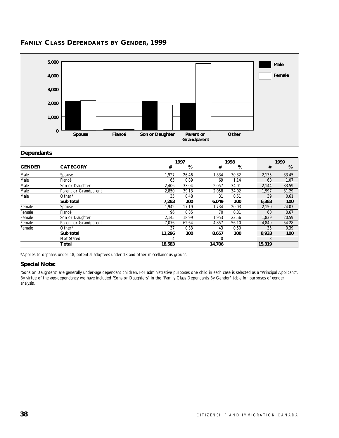

# **FAMILY CLASS DEPENDANTS BY GENDER, 1999**

### **Dependants**

|               |                       |        | 1997<br>1998 |        |       |        | 1999  |
|---------------|-----------------------|--------|--------------|--------|-------|--------|-------|
| <b>GENDER</b> | <b>CATEGORY</b>       | #      | %            | #      | %     | #      | %     |
| Male          | Spouse                | 1,927  | 26.46        | 1,834  | 30.32 | 2,135  | 33.45 |
| Male          | Fiancé                | 65     | 0.89         | 69     | 1.14  | 68     | 1.07  |
| Male          | Son or Daughter       | 2.406  | 33.04        | 2,057  | 34.01 | 2,144  | 33.59 |
| Male          | Parent or Grandparent | 2.850  | 39.13        | 2,058  | 34.02 | 1.997  | 31.29 |
| Male          | Other*                | 35     | 0.48         | 31     | 0.51  | 39     | 0.61  |
|               | Sub total             | 7,283  | 100          | 6,049  | 100   | 6,383  | 100   |
| Female        | Spouse                | 1,942  | 17.19        | 1.734  | 20.03 | 2,150  | 24.07 |
| Female        | Fiancé                | 96     | 0.85         | 70     | 0.81  | 60     | 0.67  |
| Female        | Son or Daughter       | 2,145  | 18.99        | 1,953  | 22.56 | 1,839  | 20.59 |
| Female        | Parent or Grandparent | 7.076  | 62.64        | 4,857  | 56.10 | 4,849  | 54.28 |
| Female        | Other*                | 37     | 0.33         | 43     | 0.50  | 35     | 0.39  |
|               | Sub total             | 11,296 | 100          | 8,657  | 100   | 8,933  | 100   |
|               | Not Stated            | 4      |              | 0      |       |        |       |
|               | Total                 | 18,583 |              | 14.706 |       | 15,319 |       |

\*Applies to orphans under 18, potential adoptees under 13 and other miscellaneous groups.

### **Special Note:**

"Sons or Daughters" are generally under-age dependant children. For administrative purposes one child in each case is selected as a "Principal Applicant". By virtue of the age-dependancy we have included "Sons or Daughters" in the "Family Class Dependants By Gender" table for purposes of gender analysis.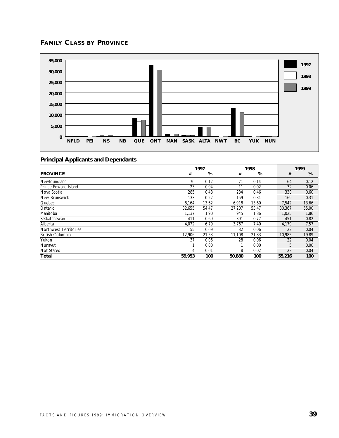# **FAMILY CLASS BY PROVINCE**



|                              | 1997<br>1998 |       |        | 1999  |  |        |       |
|------------------------------|--------------|-------|--------|-------|--|--------|-------|
| <b>PROVINCE</b>              | #            | %     | #      | %     |  | #      | %     |
| Newfoundland                 | 70           | 0.12  | 71     | 0.14  |  | 64     | 0.12  |
| Prince Edward Island         | 23           | 0.04  | 11     | 0.02  |  | 32     | 0.06  |
| Nova Scotia                  | 285          | 0.48  | 234    | 0.46  |  | 330    | 0.60  |
| New Brunswick                | 133          | 0.22  | 159    | 0.31  |  | 169    | 0.31  |
| Quebec                       | 8,164        | 13.62 | 6,918  | 13.60 |  | 7,542  | 13.66 |
| Ontario                      | 32.655       | 54.47 | 27.207 | 53.47 |  | 30.367 | 55.00 |
| Manitoba                     | 1,137        | 1.90  | 945    | 1.86  |  | 1.025  | 1.86  |
| Saskatchewan                 | 411          | 0.69  | 391    | 0.77  |  | 451    | 0.82  |
| Alberta                      | 4,072        | 6.79  | 3,767  | 7.40  |  | 4,179  | 7.57  |
| <b>Northwest Territories</b> | 55           | 0.09  | 32     | 0.06  |  | 22     | 0.04  |
| <b>British Columbia</b>      | 12,906       | 21.53 | 11,108 | 21.83 |  | 10,985 | 19.89 |
| Yukon                        | 37           | 0.06  | 28     | 0.06  |  | 22     | 0.04  |
| Nunavut                      |              | 0.00  |        | 0.00  |  | 5      | 0.00  |
| Not Stated                   | 4            | 0.01  | 8      | 0.02  |  | 23     | 0.04  |
| Total                        | 59,953       | 100   | 50,880 | 100   |  | 55,216 | 100   |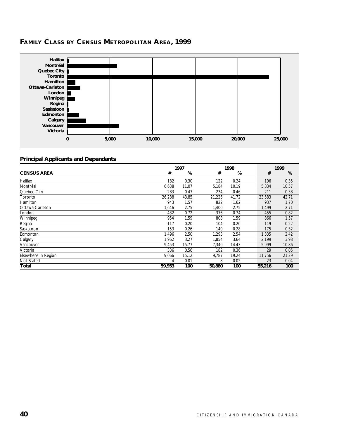# **FAMILY CLASS BY CENSUS METROPOLITAN AREA, 1999**



|                     | 1997<br>1998 |       |        | 1999  |  |        |       |
|---------------------|--------------|-------|--------|-------|--|--------|-------|
| <b>CENSUS AREA</b>  | #            | %     | #      | %     |  | #      | %     |
| Halifax             | 182          | 0.30  | 122    | 0.24  |  | 196    | 0.35  |
| Montréal            | 6,638        | 11.07 | 5,184  | 10.19 |  | 5,834  | 10.57 |
| Quebec City         | 283          | 0.47  | 234    | 0.46  |  | 211    | 0.38  |
| Toronto             | 26,288       | 43.85 | 21,226 | 41.72 |  | 23,583 | 42.71 |
| Hamilton            | 943          | 1.57  | 822    | 1.62  |  | 937    | 1.70  |
| Ottawa-Carleton     | 1,646        | 2.75  | ,400   | 2.75  |  | 1,499  | 2.71  |
| London              | 432          | 0.72  | 376    | 0.74  |  | 455    | 0.82  |
| Winnipeg            | 954          | 1.59  | 808    | 1.59  |  | 866    | 1.57  |
| Regina              | 117          | 0.20  | 104    | 0.20  |  | 119    | 0.22  |
| Saskatoon           | 153          | 0.26  | 140    | 0.28  |  | 175    | 0.32  |
| Edmonton            | 1.496        | 2.50  | 1,293  | 2.54  |  | 1.335  | 2.42  |
| Calgary             | 1.962        | 3.27  | 1.854  | 3.64  |  | 2.199  | 3.98  |
| Vancouver           | 9,453        | 15.77 | 7,340  | 14.43 |  | 5,999  | 10.86 |
| Victoria            | 336          | 0.56  | 182    | 0.36  |  | 29     | 0.05  |
| Elsewhere in Region | 9,066        | 15.12 | 9,787  | 19.24 |  | 11,756 | 21.29 |
| Not Stated          | 4            | 0.01  | 8      | 0.02  |  | 23     | 0.04  |
| Total               | 59,953       | 100   | 50,880 | 100   |  | 55,216 | 100   |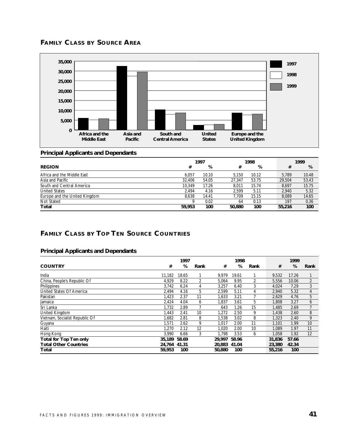



### **Principal Applicants and Dependants**

|                               |        | 1997  | 1998   |       |  | 1999   |       |
|-------------------------------|--------|-------|--------|-------|--|--------|-------|
| <b>REGION</b>                 | #      | %     | #      | %     |  | #      | %     |
| Africa and the Middle East    | 6.057  | 10.10 | 5.150  | 10.12 |  | 5.789  | 10.48 |
| Asia and Pacific              | 32,406 | 54.05 | 27.347 | 53.75 |  | 29,504 | 53.43 |
| South and Central America     | 10.349 | 17.26 | 8.011  | 15.74 |  | 8.697  | 15.75 |
| <b>United States</b>          | 2.494  | 4.16  | 2.599  | 5.11  |  | 2.940  | 5.32  |
| Europe and the United Kingdom | 8.638  | 14.41 | 7.709  | 15.15 |  | 8.089  | 14.65 |
| Not Stated                    |        | 0.02  | 64     | 0.13  |  | 197    | 0.36  |
| Total                         | 59,953 | 100   | 50.880 | 100   |  | 55,216 | 100   |

# **FAMILY CLASS BY TOP TEN SOURCE COUNTRIES**

|                                |              | 1997  |      |              | 1998  |                |        | 1999  |                |
|--------------------------------|--------------|-------|------|--------------|-------|----------------|--------|-------|----------------|
| <b>COUNTRY</b>                 | #            | %     | Rank | #            | %     | Rank           | #      | %     | Rank           |
| India                          | 11.182       | 18.65 |      | 9.979        | 19.61 |                | 9,532  | 17.26 |                |
| China, People's Republic Of    | 4,929        | 8.22  | 2    | 5,064        | 9.95  | $\overline{2}$ | 5,556  | 10.06 | $\overline{2}$ |
| Philippines                    | 3,742        | 6.24  | 4    | 3,257        | 6.40  | 3              | 4,024  | 7.29  | 3              |
| United States Of America       | 2.494        | 4.16  | 5    | 2,599        | 5.11  | 4              | 2,940  | 5.32  | 4              |
| Pakistan                       | 1,423        | 2.37  | 11   | 1,633        | 3.21  |                | 2,629  | 4.76  | 5              |
| Jamaica                        | 2,424        | 4.04  | 6    | 1,837        | 3.61  | 5              | 1,808  | 3.27  | 6              |
| Sri Lanka                      | 1.732        | 2.89  |      | 643          | 1.26  | 15             | 1.485  | 2.69  |                |
| United Kingdom                 | 1,443        | 2.41  | 10   | 1,272        | 2.50  | 9              | 1,438  | 2.60  | 8              |
| Vietnam, Socialist Republic Of | 1.682        | 2.81  | 8    | 1,538        | 3.02  | 8              | 1.323  | 2.40  | 9              |
| Guyana                         | 1,571        | 2.62  | 9    | 1,017        | 2.00  | 11             | 1,101  | 1.99  | 10             |
| Haiti                          | 1.270        | 2.12  | 12   | 1.020        | 2.00  | 10             | 1.089  | 1.97  | 11             |
| Hong Kong                      | 3.990        | 6.66  | 3    | 1.798        | 3.53  | 6              | 1.058  | 1.92  | 12             |
| <b>Total for Top Ten only</b>  | 35,189       | 58.69 |      | 29.997       | 58.96 |                | 31,836 | 57.66 |                |
| <b>Total Other Countries</b>   | 24.764 41.31 |       |      | 20.883 41.04 |       |                | 23,380 | 42.34 |                |
| Total                          | 59,953       | 100   |      | 50,880       | 100   |                | 55,216 | 100   |                |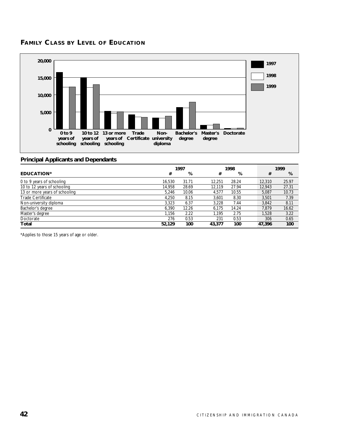# **FAMILY CLASS BY LEVEL OF EDUCATION**



### **Principal Applicants and Dependants**

|                               | 1997   |       |        | 1998  |  | 1999   |       |
|-------------------------------|--------|-------|--------|-------|--|--------|-------|
| <b>EDUCATION*</b>             | #      | %     | #      | %     |  | #      | %     |
| 0 to 9 years of schooling     | 16.530 | 31.71 | 12.251 | 28.24 |  | 12,310 | 25.97 |
| 10 to 12 years of schooling   | 14.958 | 28.69 | 12.119 | 27.94 |  | 12,943 | 27.31 |
| 13 or more years of schooling | 5.246  | 10.06 | 4.577  | 10.55 |  | 5.087  | 10.73 |
| <b>Trade Certificate</b>      | 4.250  | 8.15  | 3.601  | 8.30  |  | 3.501  | 7.39  |
| Non-university diploma        | 3.323  | 6.37  | 3.228  | 7.44  |  | 3.842  | 8.11  |
| Bachelor's degree             | 6.390  | 12.26 | 6.175  | 14.24 |  | 7.879  | 16.62 |
| Master's degree               | 1.156  | 2.22  | 1.195  | 2.75  |  | 1.528  | 3.22  |
| Doctorate                     | 276    | 0.53  | 231    | 0.53  |  | 306    | 0.65  |
| Total                         | 52,129 | 100   | 43,377 | 100   |  | 47,396 | 100   |

\*Applies to those 15 years of age or older.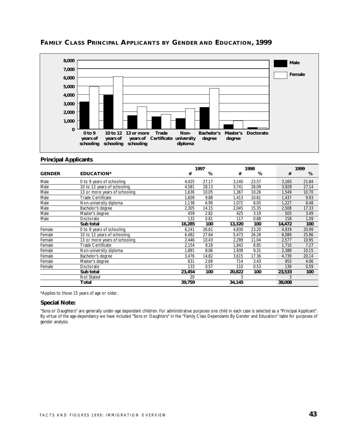

# **FAMILY CLASS PRINCIPAL APPLICANTS BY GENDER AND EDUCATION, 1999**

### **Principal Applicants**

|               |                               |        | 1997<br>1998 |        | 1999  |  |        |       |
|---------------|-------------------------------|--------|--------------|--------|-------|--|--------|-------|
| <b>GENDER</b> | <b>EDUCATION*</b>             | #      | %            | #      | %     |  | #      | %     |
| Male          | 0 to 9 years of schooling     | 4,425  | 27.17        | 3,140  | 23.57 |  | 3,160  | 21.84 |
| Male          | 10 to 12 years of schooling   | 4,581  | 28.13        | 3,741  | 28.09 |  | 3,928  | 27.14 |
| Male          | 13 or more years of schooling | 1,636  | 10.05        | 1.367  | 10.26 |  | 1,549  | 10.70 |
| Male          | Trade Certificate             | 1,609  | 9.88         | 1,413  | 10.61 |  | 1,437  | 9.93  |
| Male          | Non-university diploma        | 1,138  | 6.99         | 1,072  | 8.05  |  | 1,227  | 8.48  |
| Male          | Bachelor's degree             | 2,305  | 14.15        | 2,045  | 15.35 |  | 2,508  | 17.33 |
| Male          | Master's degree               | 459    | 2.82         | 425    | 3.19  |  | 505    | 3.49  |
| Male          | Doctorate                     | 132    | 0.81         | 117    | 0.88  |  | 158    | 1.09  |
|               | Sub total                     | 16,285 | 100          | 13,320 | 100   |  | 14,472 | 100   |
| Female        | 0 to 9 years of schooling     | 6,241  | 26.61        | 4,830  | 23.20 |  | 4,939  | 20.99 |
| Female        | 10 to 12 years of schooling   | 6,482  | 27.64        | 5,473  | 26.28 |  | 6,086  | 25.86 |
| Female        | 13 or more years of schooling | 2,446  | 10.43        | 2,299  | 11.04 |  | 2,577  | 10.95 |
| Female        | Trade Certificate             | 2,154  | 9.18         | 1.842  | 8.85  |  | 1,710  | 7.27  |
| Female        | Non-university diploma        | 1,891  | 8.06         | 1,939  | 9.31  |  | 2,388  | 10.15 |
| Female        | Bachelor's degree             | 3,476  | 14.82        | 3.615  | 17.36 |  | 4,739  | 20.14 |
| Female        | Master's degree               | 631    | 2.69         | 714    | 3.43  |  | 955    | 4.06  |
| Female        | Doctorate                     | 133    | 0.57         | 110    | 0.53  |  | 139    | 0.59  |
|               | Sub total                     | 23,454 | 100          | 20,822 | 100   |  | 23,533 | 100   |
|               | Not Stated                    | 20     |              | 3      |       |  | 3      |       |
|               | Total                         | 39,759 |              | 34,145 |       |  | 38,008 |       |

\*Applies to those 15 years of age or older.

### **Special Note:**

"Sons or Daughters" are generally under-age dependant children. For administrative purposes one child in each case is selected as a "Principal Applicant". By virtue of the age-dependancy we have included "Sons or Daughters" in the "Family Class Dependants By Gender and Education" table for purposes of gender analysis.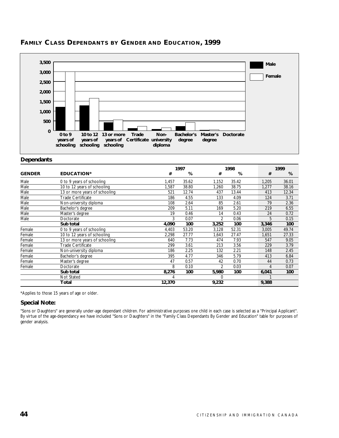

# **FAMILY CLASS DEPENDANTS BY GENDER AND EDUCATION, 1999**

### **Dependants**

|               |                               |        | 1997<br>1998 |                | 1999  |  |       |       |
|---------------|-------------------------------|--------|--------------|----------------|-------|--|-------|-------|
| <b>GENDER</b> | <b>EDUCATION*</b>             | #      | %            | #              | %     |  | #     | %     |
| Male          | 0 to 9 years of schooling     | 1,457  | 35.62        | 1,152          | 35.42 |  | 1,205 | 36.01 |
| Male          | 10 to 12 years of schooling   | 1,587  | 38.80        | 1,260          | 38.75 |  | 1,277 | 38.16 |
| Male          | 13 or more years of schooling | 521    | 12.74        | 437            | 13.44 |  | 413   | 12.34 |
| Male          | <b>Trade Certificate</b>      | 186    | 4.55         | 133            | 4.09  |  | 124   | 3.71  |
| Male          | Non-university diploma        | 108    | 2.64         | 85             | 2.61  |  | 79    | 2.36  |
| Male          | Bachelor's degree             | 209    | 5.11         | 169            | 5.20  |  | 219   | 6.55  |
| Male          | Master's degree               | 19     | 0.46         | 14             | 0.43  |  | 24    | 0.72  |
| Male          | Doctorate                     | 3      | 0.07         | 2              | 0.06  |  | 5     | 0.15  |
|               | Sub total                     | 4,090  | 100          | 3,252          | 100   |  | 3,346 | 100   |
| Female        | 0 to 9 years of schooling     | 4,403  | 53.20        | 3,128          | 52.31 |  | 3,005 | 49.74 |
| Female        | 10 to 12 years of schooling   | 2,298  | 27.77        | 1,643          | 27.47 |  | 1,651 | 27.33 |
| Female        | 13 or more years of schooling | 640    | 7.73         | 474            | 7.93  |  | 547   | 9.05  |
| Female        | <b>Trade Certificate</b>      | 299    | 3.61         | 213            | 3.56  |  | 229   | 3.79  |
| Female        | Non-university diploma        | 186    | 2.25         | 132            | 2.21  |  | 148   | 2.45  |
| Female        | Bachelor's degree             | 395    | 4.77         | 346            | 5.79  |  | 413   | 6.84  |
| Female        | Master's degree               | 47     | 0.57         | 42             | 0.70  |  | 44    | 0.73  |
| Female        | Doctorate                     | 8      | 0.10         | $\mathfrak{D}$ | 0.03  |  | 4     | 0.07  |
|               | Sub total                     | 8,276  | 100          | 5,980          | 100   |  | 6,041 | 100   |
|               | Not Stated                    |        |              | 0              |       |  |       |       |
|               | Total                         | 12,370 |              | 9,232          |       |  | 9,388 |       |

\*Applies to those 15 years of age or older.

### **Special Note:**

"Sons or Daughters" are generally under-age dependant children. For administrative purposes one child in each case is selected as a "Principal Applicant". By virtue of the age-dependancy we have included "Sons or Daughters" in the "Family Class Dependants By Gender and Education" table for purposes of gender analysis.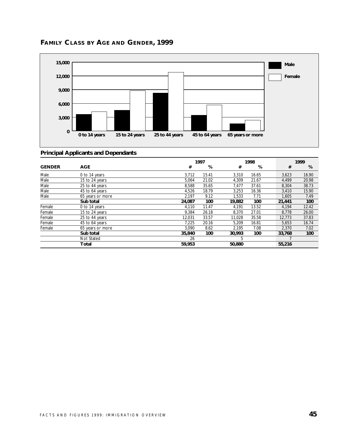

# **FAMILY CLASS BY AGE AND GENDER, 1999**

|               |                  |        | 1997  |        | 1998  |        | 1999  |
|---------------|------------------|--------|-------|--------|-------|--------|-------|
| <b>GENDER</b> | <b>AGE</b>       | #      | %     | #      | %     | #      | %     |
| Male          | 0 to 14 years    | 3,712  | 15.41 | 3.310  | 16.65 | 3.623  | 16.90 |
| Male          | 15 to 24 years   | 5,064  | 21.02 | 4.309  | 21.67 | 4.499  | 20.98 |
| Male          | 25 to 44 years   | 8,588  | 35.65 | 7.477  | 37.61 | 8,304  | 38.73 |
| Male          | 45 to 64 years   | 4,526  | 18.79 | 3,253  | 16.36 | 3,410  | 15.90 |
| Male          | 65 years or more | 2.197  | 9.12  | 1.533  | 7.71  | 1.605  | 7.49  |
|               | Sub total        | 24.087 | 100   | 19,882 | 100   | 21,441 | 100   |
| Female        | 0 to 14 years    | 4,110  | 11.47 | 4,191  | 13.52 | 4,194  | 12.42 |
| Female        | 15 to 24 years   | 9.384  | 26.18 | 8.370  | 27.01 | 8,778  | 26.00 |
| Female        | 25 to 44 years   | 12.031 | 33.57 | 11.028 | 35.58 | 12,773 | 37.83 |
| Female        | 45 to 64 years   | 7.225  | 20.16 | 5.209  | 16.81 | 5,653  | 16.74 |
| Female        | 65 years or more | 3,090  | 8.62  | 2.195  | 7.08  | 2,370  | 7.02  |
|               | Sub total        | 35,840 | 100   | 30.993 | 100   | 33,768 | 100   |
|               | Not Stated       | 26     |       | 5      |       |        |       |
|               | Total            | 59,953 |       | 50,880 |       | 55,216 |       |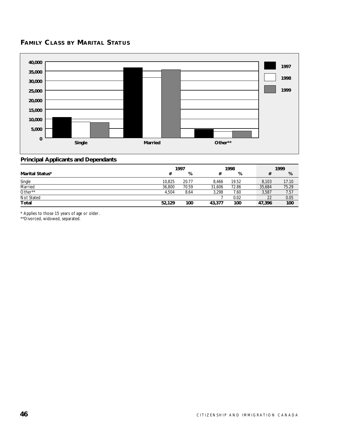# **FAMILY CLASS BY MARITAL STATUS**



### **Principal Applicants and Dependants**

|                 | 1997   |       |        | 1998  |  |        | 1999  |  |
|-----------------|--------|-------|--------|-------|--|--------|-------|--|
| Marital Status* |        | %     |        | %     |  |        | %     |  |
| Single          | 10,825 | 20.77 | 8.466  | 19.52 |  | 8.103  | 17.10 |  |
| Married         | 36,800 | 70.59 | 31.606 | 72.86 |  | 35,684 | 75.29 |  |
| Other**         | 4.504  | 8.64  | 3.298  | 7.60  |  | 3,587  | 7.57  |  |
| Not Stated      |        |       |        | 0.02  |  | 22     | 0.05  |  |
| <b>Total</b>    | 52,129 | 100   | 43.377 | 100   |  | 47.396 | 100   |  |

\* Applies to those 15 years of age or older.

\*\*Divorced, widowed, separated.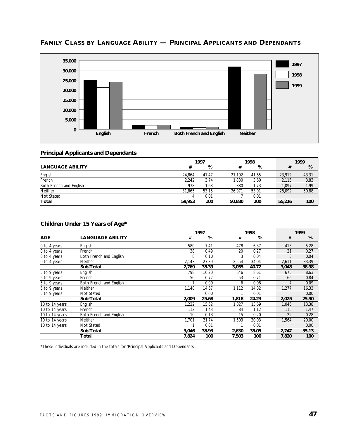

# **FAMILY CLASS BY LANGUAGE ABILITY — PRINCIPAL APPLICANTS AND DEPENDANTS**

### **Principal Applicants and Dependants**

|                         | 1997   |       |        | 1998  |        | 1999  |
|-------------------------|--------|-------|--------|-------|--------|-------|
| <b>LANGUAGE ABILITY</b> |        | %     |        | %     |        | %     |
| English                 | 24.864 | 41.47 | 21.192 | 41.65 | 23.912 | 43.31 |
| French                  | 2,242  | 3.74  | .830   | 3.60  | 2.115  | 3.83  |
| Both French and English | 978    | 1.63  | 880    | 1.73  | 1.097  | 1.99  |
| <b>Neither</b>          | 31.865 | 53.15 | 26.971 | 53.01 | 28,092 | 50.88 |
| Not Stated              |        | 0.01  |        | 0.01  |        |       |
| Total                   | 59.953 | 100   | 50,880 | 100   | 55,216 | 100   |

### **Children Under 15 Years of Age\***

|                |                         |       | 1997  |       | 1998  |  |       | 1999  |  |
|----------------|-------------------------|-------|-------|-------|-------|--|-------|-------|--|
| <b>AGE</b>     | <b>LANGUAGE ABILITY</b> | #     | %     | #     | %     |  | #     | %     |  |
| 0 to 4 years   | English                 | 580   | 7.41  | 478   | 6.37  |  | 413   | 5.28  |  |
| 0 to 4 years   | French                  | 38    | 0.49  | 20    | 0.27  |  | 21    | 0.27  |  |
| 0 to 4 years   | Both French and English | 8     | 0.10  | 3     | 0.04  |  | 3     | 0.04  |  |
| 0 to 4 years   | <b>Neither</b>          | 2,143 | 27.39 | 2,554 | 34.04 |  | 2,611 | 33.39 |  |
|                | Sub-Total               | 2,769 | 35.39 | 3,055 | 40.72 |  | 3,048 | 38.98 |  |
| 5 to 9 years   | English                 | 798   | 10.20 | 646   | 8.61  |  | 675   | 8.63  |  |
| 5 to 9 years   | French                  | 56    | 0.72  | 53    | 0.71  |  | 66    | 0.84  |  |
| 5 to 9 years   | Both French and English |       | 0.09  | 6     | 0.08  |  |       | 0.09  |  |
| 5 to 9 years   | <b>Neither</b>          | 1,148 | 14.67 | 1,112 | 14.82 |  | 1,277 | 16.33 |  |
| 5 to 9 years   | Not Stated              |       | 0.00  |       | 0.01  |  |       | 0.00  |  |
|                | Sub-Total               | 2,009 | 25.68 | 1,818 | 24.23 |  | 2,025 | 25.90 |  |
| 10 to 14 years | English                 | 1,222 | 15.62 | 1,027 | 13.69 |  | 1,046 | 13.38 |  |
| 10 to 14 years | French                  | 112   | 1.43  | 84    | 1.12  |  | 115   | 1.47  |  |
| 10 to 14 years | Both French and English | 10    | 0.13  | 15    | 0.20  |  | 22    | 0.28  |  |
| 10 to 14 years | <b>Neither</b>          | 1,701 | 21.74 | 1,503 | 20.03 |  | 1,564 | 20.00 |  |
| 10 to 14 years | Not Stated              |       | 0.01  |       | 0.01  |  |       | 0.00  |  |
|                | Sub-Total               | 3,046 | 38.93 | 2,630 | 35.05 |  | 2,747 | 35.13 |  |
|                | Total                   | 7,824 | 100   | 7,503 | 100   |  | 7,820 | 100   |  |

\*These individuals are included in the totals for 'Principal Applicants and Dependants'.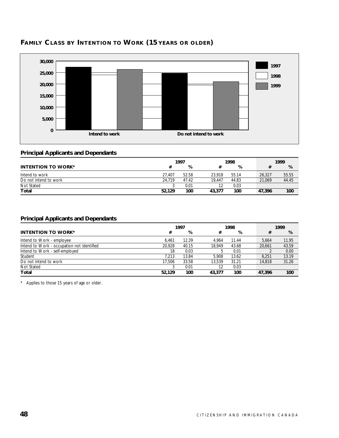

# **FAMILY CLASS BY INTENTION TO WORK (15 YEARS OR OLDER)**

### **Principal Applicants and Dependants**

|                           |        | 1997<br>1998 |        |       | 1999   |       |
|---------------------------|--------|--------------|--------|-------|--------|-------|
| <b>INTENTION TO WORK*</b> |        | %            |        | %     |        | %     |
| Intend to work            | 27.407 | 52.58        | 23.918 | 55.14 | 26.327 | 55.55 |
| Do not intend to work     | 24.719 | 47.42        | 19.447 | 44.83 | 21.069 | 44.45 |
| Not Stated                |        | 0.01         | 12     | 0.03  |        |       |
| Total                     | 52.129 | 100          | 43,377 | 100   | 47.396 | 100   |

# **Principal Applicants and Dependants**

|                                            | 1998<br>1997 |       | 1999   |       |  |        |       |
|--------------------------------------------|--------------|-------|--------|-------|--|--------|-------|
| <b>INTENTION TO WORK*</b>                  | #            | %     | #      | %     |  | #      | %     |
| Intend to Work - employee                  | 6.461        | 12.39 | 4.964  | 11.44 |  | 5.664  | 11.95 |
| Intend to Work - occupation not identified | 20.928       | 40.15 | 18.949 | 43.68 |  | 20.661 | 43.59 |
| Intend to Work - self-employed             | 18           | 0.03  |        | 0.01  |  |        | 0.00  |
| Student                                    | 7.213        | 13.84 | 5.908  | 13.62 |  | 6.251  | 13.19 |
| Do not intend to work                      | 17.506       | 33.58 | 13.539 | 31.21 |  | 14.818 | 31.26 |
| Not Stated                                 |              | 0.01  | 12     | 0.03  |  |        |       |
| Total                                      | 52.129       | 100   | 43,377 | 100   |  | 47.396 | 100   |

\* Applies to those 15 years of age or older.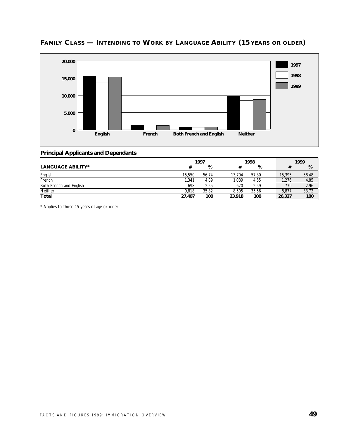

# **FAMILY CLASS — INTENDING TO WORK BY LANGUAGE ABILITY (15 YEARS OR OLDER)**

### **Principal Applicants and Dependants**

|                          | 1997   |       |        | 1998  |        | 1999  |
|--------------------------|--------|-------|--------|-------|--------|-------|
| <b>LANGUAGE ABILITY*</b> | #      | %     |        | %     |        | %     |
| English                  | 15,550 | 56.74 | 13.704 | 57.30 | 15,395 | 58.48 |
| French                   | 341,ا  | 4.89  | .089   | 4.55  | 1,276  | 4.85  |
| Both French and English  | 698    | 2.55  | 620    | 2.59  | 779    | 2.96  |
| Neither                  | 9.818  | 35.82 | 8.505  | 35.56 | 8,877  | 33.72 |
| <b>Total</b>             | 27.407 | 100   | 23,918 | 100   | 26,327 | 100   |

\* Applies to those 15 years of age or older.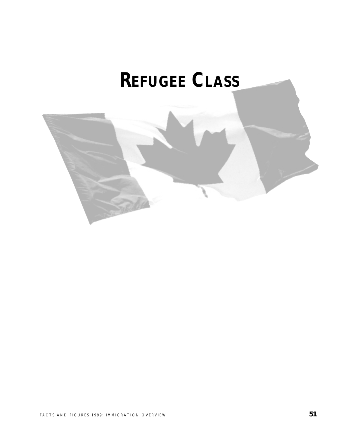# **REFUGEE CLASS**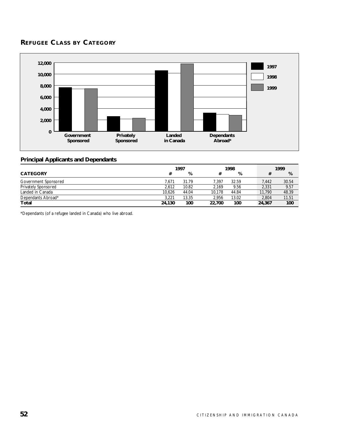# **REFUGEE CLASS BY CATEGORY**



### **Principal Applicants and Dependants**

|                            | 1997   |       |        | 1998  |  | 1999   |       |
|----------------------------|--------|-------|--------|-------|--|--------|-------|
| <b>CATEGORY</b>            |        | %     |        | %     |  |        | %     |
| Government Sponsored       | 7.671  | 31.79 | 7.397  | 32.59 |  | 7,442  | 30.54 |
| <b>Privately Sponsored</b> | 2.612  | 10.82 | 2.169  | 9.56  |  | 2,331  | 9.57  |
| Landed in Canada           | 10.626 | 44.04 | 10.178 | 44.84 |  | 11.790 | 48.39 |
| Dependants Abroad*         | 3.221  | 13.35 | 2.956  | 13.02 |  | 2.804  | 11.51 |
| Total                      | 24,130 | 100   | 22,700 | 100   |  | 24,367 | 100   |

\*Dependants (of a refugee landed in Canada) who live abroad.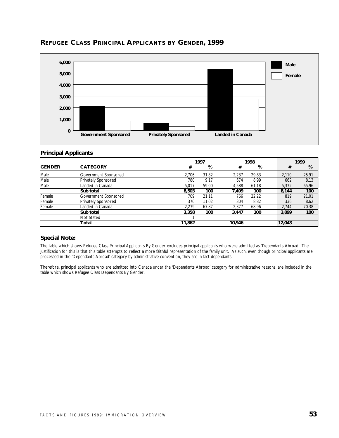

### **REFUGEE CLASS PRINCIPAL APPLICANTS BY GENDER, 1999**

### **Principal Applicants**

|               |                            |        | 1997  |        | 1998  |        | 1999  |  |
|---------------|----------------------------|--------|-------|--------|-------|--------|-------|--|
| <b>GENDER</b> | <b>CATEGORY</b>            | #      | %     | #      | %     | #      | %     |  |
| Male          | Government Sponsored       | 2.706  | 31.82 | 2.237  | 29.83 | 2.110  | 25.91 |  |
| Male          | <b>Privately Sponsored</b> | 780    | 9.17  | 674    | 8.99  | 662    | 8.13  |  |
| Male          | Landed in Canada           | 5.017  | 59.00 | 4.588  | 61.18 | 5.372  | 65.96 |  |
|               | Sub total                  | 8,503  | 100   | 7.499  | 100   | 8,144  | 100   |  |
| Female        | Government Sponsored       | 709    | 21.11 | 766    | 22.22 | 819    | 21.01 |  |
| Female        | <b>Privately Sponsored</b> | 370    | 11.02 | 304    | 8.82  | 336    | 8.62  |  |
| Female        | Landed in Canada           | 2.279  | 67.87 | 2.377  | 68.96 | 2.744  | 70.38 |  |
|               | Sub total                  | 3.358  | 100   | 3.447  | 100   | 3.899  | 100   |  |
|               | Not Stated                 |        |       |        |       |        |       |  |
|               | Total                      | 11,862 |       | 10,946 |       | 12,043 |       |  |

### **Special Note:**

The table which shows Refugee Class Principal Applicants By Gender excludes principal applicants who were admitted as 'Dependants Abroad'. The justification for this is that this table attempts to reflect a more faithful representation of the family unit. As such, even though principal applicants are processed in the 'Dependants Abroad' category by administrative convention, they are in fact dependants.

Therefore, principal applicants who are admitted into Canada under the 'Dependants Abroad' category for administrative reasons, are included in the table which shows Refugee Class Dependants By Gender.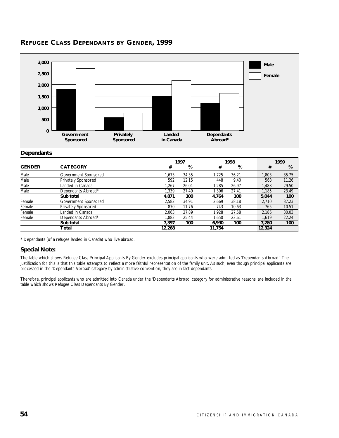

# **REFUGEE CLASS DEPENDANTS BY GENDER, 1999**

#### **Dependants**

|               |                            |        | 1997  |        |       |        | 1999   |
|---------------|----------------------------|--------|-------|--------|-------|--------|--------|
| <b>GENDER</b> | <b>CATEGORY</b>            | #      | %     | #      | %     |        | %<br># |
| Male          | Government Sponsored       | 1.673  | 34.35 | 1.725  | 36.21 | 1.803  | 35.75  |
| Male          | <b>Privately Sponsored</b> | 592    | 12.15 | 448    | 9.40  | 568    | 11.26  |
| Male          | Landed in Canada           | 1.267  | 26.01 | 1.285  | 26.97 | 1.488  | 29.50  |
| Male          | Dependants Abroad*         | 1.339  | 27.49 | 1.306  | 27.41 | 1.185  | 23.49  |
|               | Sub total                  | 4,871  | 100   | 4,764  | 100   | 5,044  | 100    |
| Female        | Government Sponsored       | 2.582  | 34.91 | 2.669  | 38.18 | 2.710  | 37.23  |
| Female        | <b>Privately Sponsored</b> | 870    | 11.76 | 743    | 10.63 | 765    | 10.51  |
| Female        | Landed in Canada           | 2.063  | 27.89 | 1.928  | 27.58 | 2,186  | 30.03  |
| Female        | Dependants Abroad*         | 1.882  | 25.44 | 1.650  | 23.61 | 1.619  | 22.24  |
|               | Sub total                  | 7.397  | 100   | 6.990  | 100   | 7.280  | 100    |
|               | Total                      | 12,268 |       | 11,754 |       | 12,324 |        |

\* Dependants (of a refugee landed in Canada) who live abroad.

### **Special Note:**

The table which shows Refugee Class Principal Applicants By Gender excludes principal applicants who were admitted as 'Dependants Abroad'. The justification for this is that this table attempts to reflect a more faithful representation of the family unit. As such, even though principal applicants are processed in the 'Dependants Abroad' category by administrative convention, they are in fact dependants.

Therefore, principal applicants who are admitted into Canada under the 'Dependants Abroad' category for administrative reasons, are included in the table which shows Refugee Class Dependants By Gender.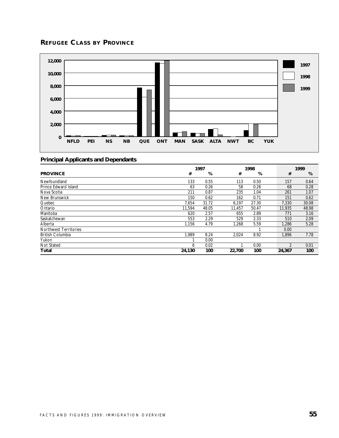# **REFUGEE CLASS BY PROVINCE**



|                              | 1997   |       | 1998   |       |  | 1999          |       |
|------------------------------|--------|-------|--------|-------|--|---------------|-------|
| <b>PROVINCE</b>              | #      | %     | #      | %     |  | #             | %     |
| Newfoundland                 | 133    | 0.55  | 113    | 0.50  |  | 157           | 0.64  |
| Prince Edward Island         | 63     | 0.26  | 58     | 0.26  |  | 68            | 0.28  |
| Nova Scotia                  | 211    | 0.87  | 235    | 1.04  |  | 261           | 1.07  |
| New Brunswick                | 150    | 0.62  | 162    | 0.71  |  | 151           | 0.62  |
| Quebec                       | 7.654  | 31.72 | 6.197  | 27.30 |  | 7.330         | 30.08 |
| Ontario                      | 11.594 | 48.05 | 11.457 | 50.47 |  | 11.935        | 48.98 |
| Manitoba                     | 620    | 2.57  | 655    | 2.89  |  | 771           | 3.16  |
| Saskatchewan                 | 553    | 2.29  | 529    | 2.33  |  | 510           | 2.09  |
| Alberta                      | 1.156  | 4.79  | 1.268  | 5.59  |  | 1.286         | 5.28  |
| <b>Northwest Territories</b> |        |       |        |       |  | 0.00          |       |
| <b>British Columbia</b>      | 1.989  | 8.24  | 2,024  | 8.92  |  | 1,896         | 7.78  |
| Yukon                        |        | 0.00  |        |       |  |               |       |
| Not Stated                   | 6      | 0.02  |        | 0.00  |  | $\mathcal{D}$ | 0.01  |
| Total                        | 24,130 | 100   | 22,700 | 100   |  | 24,367        | 100   |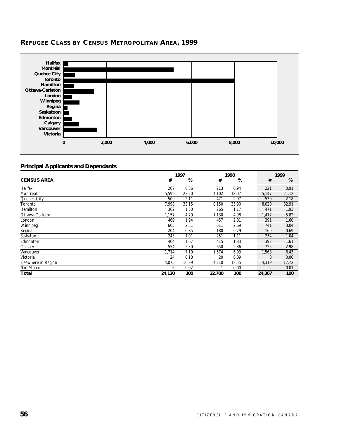

# **REFUGEE CLASS BY CENSUS METROPOLITAN AREA, 1999**

|                     | 1998<br>1997 |       | 1999   |       |          |       |
|---------------------|--------------|-------|--------|-------|----------|-------|
| <b>CENSUS AREA</b>  | #            | %     | #      | %     | #        | %     |
| Halifax             | 207          | 0.86  | 213    | 0.94  | 221      | 0.91  |
| Montréal            | 5,599        | 23.20 | 4,102  | 18.07 | 5,147    | 21.12 |
| Quebec City         | 509          | 2.11  | 471    | 2.07  | 530      | 2.18  |
| Toronto             | 7,998        | 33.15 | 8,150  | 35.90 | 8,020    | 32.91 |
| Hamilton            | 362          | 1.50  | 265    | 1.17  | 471      | 1.93  |
| Ottawa-Carleton     | 1,157        | 4.79  | 1,130  | 4.98  | 1,417    | 5.82  |
| London              | 469          | 1.94  | 457    | 2.01  | 391      | 1.60  |
| Winnipeg            | 605          | 2.51  | 611    | 2.69  | 741      | 3.04  |
| Regina              | 204          | 0.85  | 180    | 0.79  | 169      | 0.69  |
| Saskatoon           | 243          | 1.01  | 251    | 1.11  | 254      | 1.04  |
| Edmonton            | 404          | 1.67  | 415    | 1.83  | 392      | 1.61  |
| Calgary             | 554          | 2.30  | 650    | 2.86  | 725      | 2.98  |
| Vancouver           | 1,714        | 7.10  | 1,574  | 6.93  | 1,568    | 6.43  |
| Victoria            | 24           | 0.10  | 20     | 0.09  | $\Omega$ | 0.00  |
| Elsewhere in Region | 4,075        | 16.89 | 4,210  | 18.55 | 4,319    | 17.72 |
| Not Stated          | 6            | 0.02  |        | 0.00  | 2        | 0.01  |
| Total               | 24,130       | 100   | 22,700 | 100   | 24,367   | 100   |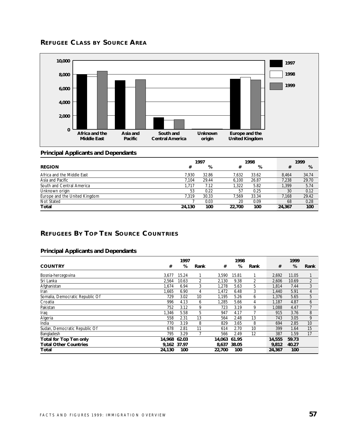# **REFUGEE CLASS BY SOURCE AREA**



### **Principal Applicants and Dependants**

|                               | 1997   |       |        | 1998  |  |        | 1999  |
|-------------------------------|--------|-------|--------|-------|--|--------|-------|
| <b>REGION</b>                 | #      | %     | #      | %     |  | #      | %     |
| Africa and the Middle East    | 7.930  | 32.86 | 7.632  | 33.62 |  | 8.464  | 34.74 |
| Asia and Pacific              | 7.104  | 29.44 | 6.100  | 26.87 |  | 7.238  | 29.70 |
| South and Central America     | 1.717  | 7.12  | 1.322  | 5.82  |  | 1.399  | 5.74  |
| Unknown origin                | 53     | 0.22  | 57     | 0.25  |  | 30     | 0.12  |
| Europe and the United Kingdom | 7.319  | 30.33 | '.569  | 33.34 |  | 7.168  | 29.42 |
| Not Stated                    |        | 0.03  | 20     | 0.09  |  | 68     | 0.28  |
| Total                         | 24,130 | 100   | 22.700 | 100   |  | 24,367 | 100   |

# **REFUGEES BY TOP TEN SOURCE COUNTRIES**

|                                 |             | 1997  |      |        | 1998  |      |        | 1999  |                |
|---------------------------------|-------------|-------|------|--------|-------|------|--------|-------|----------------|
| <b>COUNTRY</b>                  | #           | %     | Rank | #      | %     | Rank | #      | %     | Rank           |
| Bosnia-hercegovina              | 3.677       | 15.24 |      | 3,590  | 15.81 |      | 2,692  | 11.05 |                |
| Sri Lanka                       | 2,564       | 10.63 | 2    | 2,130  | 9.38  | 2    | 2,606  | 10.69 | $\overline{2}$ |
| Afghanistan                     | 1,674       | 6.94  | 3    | 1,278  | 5.63  | 5    | 1,814  | 7.44  | 3              |
| Iran                            | 1,665       | 6.90  | 4    | 1,472  | 6.48  | 3    | 1,440  | 5.91  | 4              |
| Somalia, Democratic Republic Of | 729         | 3.02  | 10   | 1.195  | 5.26  | 6    | 1.376  | 5.65  | 5              |
| Croatia                         | 996         | 4.13  | 6    | 1,285  | 5.66  | 4    | 1.187  | 4.87  | 6              |
| Pakistan                        | 752         | 3.12  | 9    | 723    | 3.19  | 9    | 1.088  | 4.47  |                |
| Iraq                            | 1,346       | 5.58  | 5    | 947    | 4.17  |      | 915    | 3.76  | 8              |
| Algeria                         | 558         | 2.31  | 13   | 564    | 2.48  | 13   | 743    | 3.05  | 9              |
| India                           | 770         | 3.19  | 8    | 829    | 3.65  | 8    | 694    | 2.85  | 10             |
| Sudan, Democratic Republic Of   | 678         | 2.81  | 11   | 614    | 2.70  | 10   | 399    | 1.64  | 15             |
| Bangladesh                      | 795         | 3.29  |      | 566    | 2.49  | 12   | 387    | 1.59  | 17             |
| <b>Total for Top Ten only</b>   | 14.968      | 62.03 |      | 14.063 | 61.95 |      | 14,555 | 59.73 |                |
| <b>Total Other Countries</b>    | 9.162 37.97 |       |      | 8,637  | 38.05 |      | 9,812  | 40.27 |                |
| Total                           | 24,130      | 100   |      | 22,700 | 100   |      | 24,367 | 100   |                |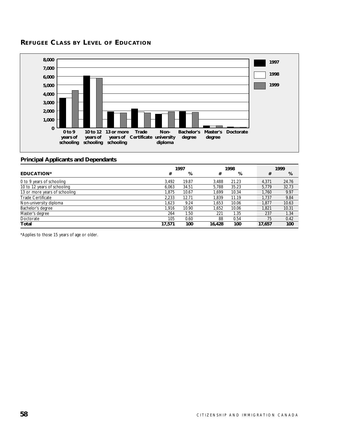# **REFUGEE CLASS BY LEVEL OF EDUCATION**



### **Principal Applicants and Dependants**

|                               |        | 1997  |        | 1998  |  |        | 1999  |
|-------------------------------|--------|-------|--------|-------|--|--------|-------|
| <b>EDUCATION*</b>             | #      | %     | #      | %     |  | #      | %     |
| 0 to 9 years of schooling     | 3.492  | 19.87 | 3.488  | 21.23 |  | 4.371  | 24.76 |
| 10 to 12 years of schooling   | 6.063  | 34.51 | 5.788  | 35.23 |  | 5.779  | 32.73 |
| 13 or more years of schooling | 1.875  | 10.67 | 1.699  | 10.34 |  | 1.760  | 9.97  |
| <b>Trade Certificate</b>      | 2.233  | 12.71 | 1.839  | 11.19 |  | 1.737  | 9.84  |
| Non-university diploma        | 1.623  | 9.24  | 1.653  | 10.06 |  | 1.877  | 10.63 |
| Bachelor's degree             | 1.916  | 10.90 | 1,652  | 10.06 |  | 1.821  | 10.31 |
| Master's degree               | 264    | 1.50  | 221    | 1.35  |  | 237    | 1.34  |
| Doctorate                     | 105    | 0.60  | 88     | 0.54  |  | 75     | 0.42  |
| Total                         | 17.571 | 100   | 16.428 | 100   |  | 17,657 | 100   |

\*Applies to those 15 years of age or older.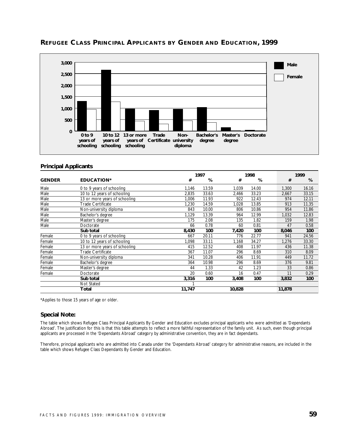

# **REFUGEE CLASS PRINCIPAL APPLICANTS BY GENDER AND EDUCATION, 1999**

### **Principal Applicants**

|               |                               |        | 1997  |        | 1998  |        | 1999  |
|---------------|-------------------------------|--------|-------|--------|-------|--------|-------|
| <b>GENDER</b> | <b>EDUCATION*</b>             | #      | %     | #      | %     | #      | %     |
| Male          | 0 to 9 years of schooling     | 1,146  | 13.59 | 1,039  | 14.00 | 1,300  | 16.16 |
| Male          | 10 to 12 years of schooling   | 2,835  | 33.63 | 2,466  | 33.23 | 2,667  | 33.15 |
| Male          | 13 or more years of schooling | 1,006  | 11.93 | 922    | 12.43 | 974    | 12.11 |
| Male          | <b>Trade Certificate</b>      | 1,230  | 14.59 | 1,028  | 13.85 | 913    | 11.35 |
| Male          | Non-university diploma        | 843    | 10.00 | 806    | 10.86 | 954    | 11.86 |
| Male          | Bachelor's degree             | 1,129  | 13.39 | 964    | 12.99 | 1,032  | 12.83 |
| Male          | Master's degree               | 175    | 2.08  | 135    | 1.82  | 159    | 1.98  |
| Male          | Doctorate                     | 66     | 0.78  | 60     | 0.81  | 47     | 0.58  |
|               | Sub total                     | 8,430  | 100   | 7,420  | 100   | 8,046  | 100   |
| Female        | 0 to 9 years of schooling     | 667    | 20.11 | 776    | 22.77 | 941    | 24.56 |
| Female        | 10 to 12 years of schooling   | 1.098  | 33.11 | 1,168  | 34.27 | 1,276  | 33.30 |
| Female        | 13 or more years of schooling | 415    | 12.52 | 408    | 11.97 | 436    | 11.38 |
| Female        | Trade Certificate             | 367    | 11.07 | 296    | 8.69  | 310    | 8.09  |
| Female        | Non-university diploma        | 341    | 10.28 | 406    | 11.91 | 449    | 11.72 |
| Female        | Bachelor's degree             | 364    | 10.98 | 296    | 8.69  | 376    | 9.81  |
| Female        | Master's degree               | 44     | 1.33  | 42     | 1.23  | 33     | 0.86  |
| Female        | Doctorate                     | 20     | 0.60  | 16     | 0.47  | 11     | 0.29  |
|               | Sub total                     | 3,316  | 100   | 3,408  | 100   | 3,832  | 100   |
|               | Not Stated                    |        |       |        |       |        |       |
|               | Total                         | 11,747 |       | 10,828 |       | 11,878 |       |

\*Applies to those 15 years of age or older.

### **Special Note:**

The table which shows Refugee Class Principal Applicants By Gender and Education excludes principal applicants who were admitted as 'Dependants Abroad'. The justification for this is that this table attempts to reflect a more faithful representation of the family unit. As such, even though principal applicants are processed in the 'Dependants Abroad' category by administrative convention, they are in fact dependants.

Therefore, principal applicants who are admitted into Canada under the 'Dependants Abroad' category for administrative reasons, are included in the table which shows Refugee Class Dependants By Gender and Education.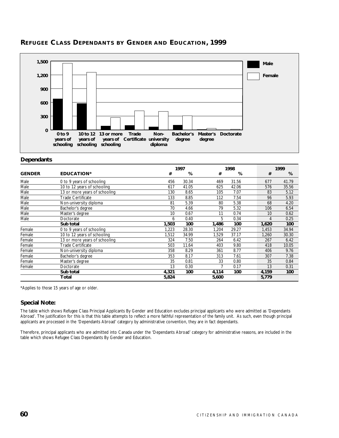

# **REFUGEE CLASS DEPENDANTS BY GENDER AND EDUCATION, 1999**

### **Dependants**

|               |                               |       | 1997  |       | 1998  |  |       | 1999  |  |  |
|---------------|-------------------------------|-------|-------|-------|-------|--|-------|-------|--|--|
| <b>GENDER</b> | <b>EDUCATION*</b>             | #     | %     | #     | %     |  | #     | %     |  |  |
| Male          | 0 to 9 years of schooling     | 456   | 30.34 | 469   | 31.56 |  | 677   | 41.79 |  |  |
| Male          | 10 to 12 years of schooling   | 617   | 41.05 | 625   | 42.06 |  | 576   | 35.56 |  |  |
| Male          | 13 or more years of schooling | 130   | 8.65  | 105   | 7.07  |  | 83    | 5.12  |  |  |
| Male          | Trade Certificate             | 133   | 8.85  | 112   | 7.54  |  | 96    | 5.93  |  |  |
| Male          | Non-university diploma        | 81    | 5.39  | 80    | 5.38  |  | 68    | 4.20  |  |  |
| Male          | Bachelor's degree             | 70    | 4.66  | 79    | 5.32  |  | 106   | 6.54  |  |  |
| Male          | Master's degree               | 10    | 0.67  | 11    | 0.74  |  | 10    | 0.62  |  |  |
| Male          | Doctorate                     | 6     | 0.40  | 5     | 0.34  |  | 4     | 0.25  |  |  |
|               | Sub total                     | 1,503 | 100   | 1,486 | 100   |  | 1,620 | 100   |  |  |
| Female        | 0 to 9 years of schooling     | 1,223 | 28.30 | 1,204 | 29.27 |  | 1,453 | 34.94 |  |  |
| Female        | 10 to 12 years of schooling   | 1,512 | 34.99 | 1,529 | 37.17 |  | 1,260 | 30.30 |  |  |
| Female        | 13 or more years of schooling | 324   | 7.50  | 264   | 6.42  |  | 267   | 6.42  |  |  |
| Female        | <b>Trade Certificate</b>      | 503   | 11.64 | 403   | 9.80  |  | 418   | 10.05 |  |  |
| Female        | Non-university diploma        | 358   | 8.29  | 361   | 8.77  |  | 406   | 9.76  |  |  |
| Female        | Bachelor's degree             | 353   | 8.17  | 313   | 7.61  |  | 307   | 7.38  |  |  |
| Female        | Master's degree               | 35    | 0.81  | 33    | 0.80  |  | 35    | 0.84  |  |  |
| Female        | Doctorate                     | 13    | 0.30  |       | 0.17  |  | 13    | 0.31  |  |  |
|               | Sub total                     | 4,321 | 100   | 4,114 | 100   |  | 4,159 | 100   |  |  |
|               | Total                         | 5,824 |       | 5,600 |       |  | 5,779 |       |  |  |

\*Applies to those 15 years of age or older.

### **Special Note:**

The table which shows Refugee Class Principal Applicants By Gender and Education excludes principal applicants who were admitted as 'Dependants Abroad'. The justification for this is that this table attempts to reflect a more faithful representation of the family unit. As such, even though principal applicants are processed in the 'Dependants Abroad' category by administrative convention, they are in fact dependants.

Therefore, principal applicants who are admitted into Canada under the 'Dependants Abroad' category for administrative reasons, are included in the table which shows Refugee Class Dependants By Gender and Education.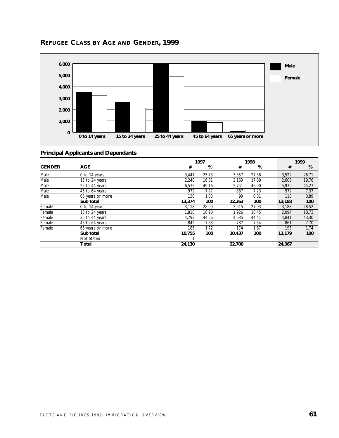

# **REFUGEE CLASS BY AGE AND GENDER, 1999**

|               |                  |        | 1997  |        | 1998  |  |        | 1999  |  |  |
|---------------|------------------|--------|-------|--------|-------|--|--------|-------|--|--|
| <b>GENDER</b> | <b>AGE</b>       | #      | %     | #      | %     |  | #      | %     |  |  |
| Male          | 0 to 14 years    | 3,441  | 25.73 | 3,357  | 27.38 |  | 3,522  | 26.71 |  |  |
| Male          | 15 to 24 years   | 2,248  | 16.81 | 2,169  | 17.69 |  | 2,606  | 19.76 |  |  |
| Male          | 25 to 44 years   | 6,575  | 49.16 | 5,751  | 46.90 |  | 5,970  | 45.27 |  |  |
| Male          | 45 to 64 years   | 972    | 7.27  | 887    | 7.23  |  | 972    | 7.37  |  |  |
| Male          | 65 years or more | 138    | 1.03  | 99     | 0.81  |  | 118    | 0.89  |  |  |
|               | Sub total        | 13,374 | 100   | 12,263 | 100   |  | 13,188 | 100   |  |  |
| Female        | 0 to 14 years    | 3,118  | 28.99 | 2,915  | 27.93 |  | 3,188  | 28.52 |  |  |
| Female        | 15 to 24 years   | 1.818  | 16.90 | 1.926  | 18.45 |  | 2.094  | 18.73 |  |  |
| Female        | 25 to 44 years   | 4,792  | 44.56 | 4,635  | 44.41 |  | 4,841  | 43.30 |  |  |
| Female        | 45 to 64 years   | 842    | 7.83  | 787    | 7.54  |  | 861    | 7.70  |  |  |
| Female        | 65 years or more | 185    | 1.72  | 174    | 1.67  |  | 195    | 1.74  |  |  |
|               | Sub total        | 10,755 | 100   | 10,437 | 100   |  | 11,179 | 100   |  |  |
|               | Not Stated       |        |       |        |       |  |        |       |  |  |
|               | Total            | 24,130 |       | 22,700 |       |  | 24,367 |       |  |  |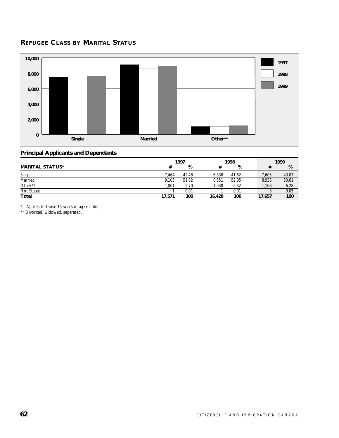# **REFUGEE CLASS BY MARITAL STATUS**



### **Principal Applicants and Dependants**

|                        |        | 1997  |        | 1998  |        | 1999   |
|------------------------|--------|-------|--------|-------|--------|--------|
| <b>MARITAL STATUS*</b> | #      | %     |        | %     |        | %<br># |
| Single                 | 7.464  | 42.48 | 6.838  | 41.62 | 7,605  | 43.07  |
| Married                | 9.105  | 51.82 | 8.551  | 52.05 | 8.936  | 50.61  |
| Other**                | 1.001  | 5.70  | 1.038  | 6.32  | 1,108  | 6.28   |
| Not Stated             |        | 0.01  |        | 0.01  |        | 0.05   |
| Total                  | 17,571 | 100   | 16,428 | 100   | 17,657 | 100    |

\* Applies to those 15 years of age or older.

\*\* Divorced, widowed, separated.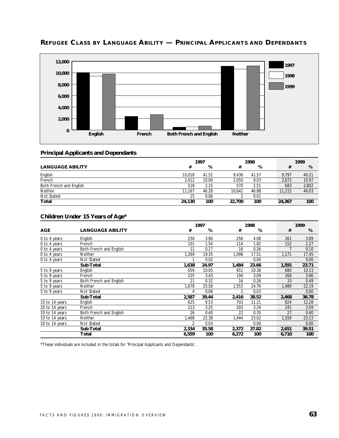

# **REFUGEE CLASS BY LANGUAGE ABILITY — PRINCIPAL APPLICANTS AND DEPENDANTS**

### **Principal Applicants and Dependants**

|                         | 1997   |       |        | 1998  |        | 1999  |
|-------------------------|--------|-------|--------|-------|--------|-------|
| <b>LANGUAGE ABILITY</b> | #      | %     | #      | %     | #      | %     |
| English                 | 10.018 | 41.52 | 9.436  | 41.57 | 9.797  | 40.21 |
| French                  | 2.412  | 10.00 | 2.050  | 9.03  | 2.672  | 10.97 |
| Both French and English | 518    | 2.15  | 570    | 2.51  | 683    | 2.802 |
| <b>Neither</b>          | 11.167 | 46.28 | 10.642 | 46.88 | 11,215 | 46.03 |
| Not Stated              | 15     | 0.06  |        | 0.01  |        |       |
| Total                   | 24,130 | 100   | 22,700 | 100   | 24,367 | 100   |

### **Children Under 15 Years of Age\***

|                |                         |                | 1997  |                |       | 1998 |       |       |
|----------------|-------------------------|----------------|-------|----------------|-------|------|-------|-------|
| <b>AGE</b>     | <b>LANGUAGE ABILITY</b> | #              | %     | #              | %     |      | #     | %     |
| 0 to 4 years   | English                 | 256            | 3.90  | 256            | 4.08  |      | 261   | 3.89  |
| 0 to 4 years   | French                  | 101            | 1.54  | 114            | 1.82  |      | 152   | 2.27  |
| 0 to 4 years   | Both French and English | 11             | 0.17  | 16             | 0.26  |      |       | 0.10  |
| 0 to 4 years   | Neither                 | 1,269          | 19.35 | 1,098          | 17.51 |      | 1,171 | 17.45 |
| 0 to 4 years   | Not Stated              |                | 0.02  |                | 0.00  |      |       | 0.00  |
|                | Sub-Total               | 1,638          | 24.97 | 1,484          | 23.66 |      | 1,591 | 23.71 |
| 5 to 9 years   | English                 | 659            | 10.05 | 651            | 10.38 |      | 680   | 10.13 |
| 5 to 9 years   | French                  | 225            | 3.43  | 194            | 3.09  |      | 266   | 3.96  |
| 5 to 9 years   | Both French and English | 21             | 0.32  | 16             | 0.26  |      | 33    | 0.49  |
| 5 to 9 years   | <b>Neither</b>          | 1,678          | 25.58 | 1,553          | 24.76 |      | 1,489 | 22.19 |
| 5 to 9 years   | Not Stated              | 4              | 0.06  | $\overline{2}$ | 0.03  |      |       | 0.00  |
|                | Sub-Total               | 2,587          | 39.44 | 2,416          | 38.52 |      | 2,468 | 36.78 |
| 10 to 14 years | English                 | 625            | 9.53  | 703            | 11.21 |      | 824   | 12.28 |
| 10 to 14 years | French                  | 213            | 3.25  | 203            | 3.24  |      | 241   | 3.59  |
| 10 to 14 years | Both French and English | 26             | 0.40  | 22             | 0.35  |      | 27    | 0.40  |
| 10 to 14 years | Neither                 | 1,468          | 22.38 | 1,444          | 23.02 |      | 1,559 | 23.23 |
| 10 to 14 years | Not Stated              | $\overline{2}$ | 0.03  |                | 0.00  |      |       | 0.00  |
|                | Sub-Total               | 2,334          | 35.58 | 2,372          | 37.82 |      | 2,651 | 39.51 |
|                | Total                   | 6,559          | 100   | 6,272          | 100   |      | 6,710 | 100   |

\*These individuals are included in the totals for 'Principal Applicants and Dependants'.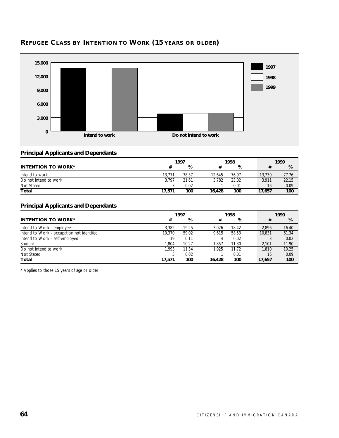

# **REFUGEE CLASS BY INTENTION TO WORK (15 YEARS OR OLDER)**

### **Principal Applicants and Dependants**

|                           | 1997   |       |        | 1998  |        | 1999       |  |  |
|---------------------------|--------|-------|--------|-------|--------|------------|--|--|
| <b>INTENTION TO WORK*</b> |        | %     |        | %     |        | %          |  |  |
| Intend to work            | 13,771 | 78.37 | 12.645 | 76.97 | 13,730 | 77.76      |  |  |
| Do not intend to work     | 3.797  | 21.61 | 3.782  | 23.02 | 3,911  | 22.15      |  |  |
| Not Stated                |        | 0.02  |        | 0.01  |        | 0.09<br>16 |  |  |
| Total                     | 17.571 | 100   | 16,428 | 100   | 17,657 | 100        |  |  |

### **Principal Applicants and Dependants**

|                                           | 1997   |       |        | 1998  |  |        | 1999  |  |  |
|-------------------------------------------|--------|-------|--------|-------|--|--------|-------|--|--|
| <b>INTENTION TO WORK*</b>                 | #      | %     | #      | %     |  | #      | %     |  |  |
| Intend to Work - employee                 | 3.382  | 19.25 | 3.026  | 18.42 |  | 2.896  | 16.40 |  |  |
| Intend to Work - occupation not identifed | 10.370 | 59.02 | 9.615  | 58.53 |  | 10.831 | 61.34 |  |  |
| Intend to Work - self-employed            | 19     | 0.11  | 4      | 0.02  |  |        | 0.02  |  |  |
| Student                                   | 1.804  | 10.27 | .857   | 11.30 |  | 2.101  | 11.90 |  |  |
| Do not intend to work                     | 1.993  | 11.34 | 1.925  | 11.72 |  | 1,810  | 10.25 |  |  |
| Not Stated                                |        | 0.02  |        | 0.01  |  | 16     | 0.09  |  |  |
| Total                                     | 17.571 | 100   | 16.428 | 100   |  | 17,657 | 100   |  |  |

\* Applies to those 15 years of age or older.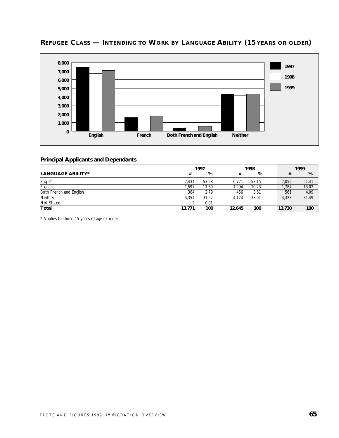

# **REFUGEE CLASS — INTENDING TO WORK BY LANGUAGE ABILITY (15 YEARS OR OLDER)**

### **Principal Applicants and Dependants**

|                          | 1997   |       |        | 1998  |  | 1999   |       |  |
|--------------------------|--------|-------|--------|-------|--|--------|-------|--|
| <b>LANGUAGE ABILITY*</b> | #      | %     |        | %     |  |        | %     |  |
| English                  | 7.434  | 53.98 | 6.721  | 53.15 |  | 7,059  | 51.41 |  |
| French                   | .597   | 11.60 | .294   | 10.23 |  | 1,787  | 13.02 |  |
| Both French and English  | 384    | 2.79  | 456    | 3.61  |  | 561    | 4.09  |  |
| Neither                  | 4.354  | 31.62 | 4.174  | 33.01 |  | 4.323  | 31.49 |  |
| Not Stated               |        | 0.01  |        |       |  |        |       |  |
| Total                    | 13.771 | 100   | 12,645 | 100   |  | 13.730 | 100   |  |

\* Applies to those 15 years of age or older.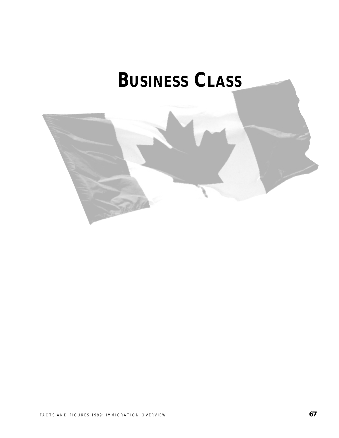# **BUSINESS CLASS**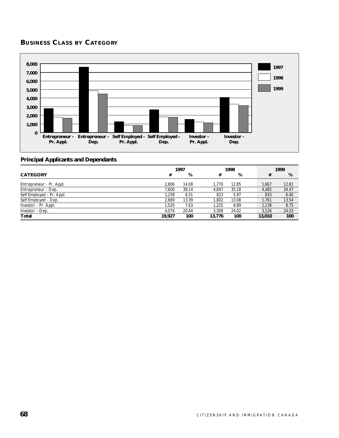# **BUSINESS CLASS BY CATEGORY**



|                           | 1997   |       | 1998   |       |  | 1999   |       |
|---------------------------|--------|-------|--------|-------|--|--------|-------|
| <b>CATEGORY</b>           | #      | %     | #      | %     |  | #      | %     |
| Entrepreneur - Pr. Appl.  | 2.806  | 14.08 | 1.770  | 12.85 |  | 1.667  | 12.81 |
| Entrepreneur - Dep.       | 7.600  | 38.14 | 4.847  | 35.18 |  | 4.485  | 34.47 |
| Self Employed - Pr. Appl. | 1.258  | 6.31  | 823    | 5.97  |  | 833    | 6.40  |
| Self Employed - Dep.      | 2.669  | 13.39 | .802   | 13.08 |  | 1.761  | 13.54 |
| Investor - Pr. Appl.      | 1.520  | 7.63  | 1.225  | 8.89  |  | 1,138  | 8.75  |
| Investor - Dep.           | 4.074  | 20.44 | 3.309  | 24.02 |  | 3.126  | 24.03 |
| Total                     | 19.927 | 100   | 13,776 | 100   |  | 13,010 | 100   |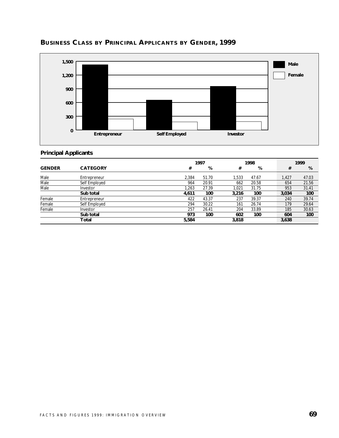

# **BUSINESS CLASS BY PRINCIPAL APPLICANTS BY GENDER, 1999**

# **Principal Applicants**

|               |                 |       | 1997  |       | 1998  |       | 1999  |
|---------------|-----------------|-------|-------|-------|-------|-------|-------|
| <b>GENDER</b> | <b>CATEGORY</b> | #     | %     | #     | %     | #     | %     |
| Male          | Entrepreneur    | 2.384 | 51.70 | 1.533 | 47.67 | 1,427 | 47.03 |
| Male          | Self Employed   | 964   | 20.91 | 662   | 20.58 | 654   | 21.56 |
| Male          | Investor        | 1.263 | 27.39 | 1.021 | 31.75 | 953   | 31.41 |
|               | Sub total       | 4,611 | 100   | 3,216 | 100   | 3,034 | 100   |
| Female        | Entrepreneur    | 422   | 43.37 | 237   | 39.37 | 240   | 39.74 |
| Female        | Self Employed   | 294   | 30.22 | 161   | 26.74 | 179   | 29.64 |
| Female        | Investor        | 257   | 26.41 | 204   | 33.89 | 185   | 30.63 |
|               | Sub total       | 973   | 100   | 602   | 100   | 604   | 100   |
|               | Total           | 5,584 |       | 3,818 |       | 3,638 |       |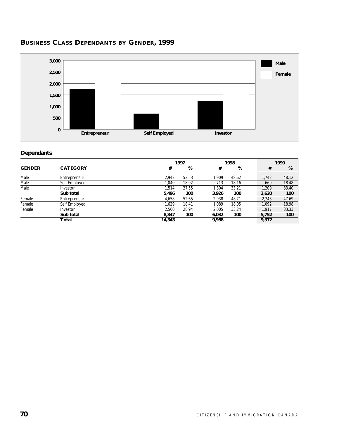# **BUSINESS CLASS DEPENDANTS BY GENDER, 1999**



# **Dependants**

|               |                 |        | 1997  |       |       | 1999  |       |
|---------------|-----------------|--------|-------|-------|-------|-------|-------|
| <b>GENDER</b> | <b>CATEGORY</b> | #      | %     | #     | %     | #     | %     |
| Male          | Entrepreneur    | 2.942  | 53.53 | 1.909 | 48.62 | 1.742 | 48.12 |
| Male          | Self Employed   | 1.040  | 18.92 | 713   | 18.16 | 669   | 18.48 |
| Male          | Investor        | 1.514  | 27.55 | 1.304 | 33.21 | 1.209 | 33.40 |
|               | Sub total       | 5,496  | 100   | 3.926 | 100   | 3,620 | 100   |
| Female        | Entrepreneur    | 4.658  | 52.65 | 2.938 | 48.71 | 2.743 | 47.69 |
| Female        | Self Employed   | 1.629  | 18.41 | 1.089 | 18.05 | 1.092 | 18.98 |
| Female        | Investor        | 2.560  | 28.94 | 2.005 | 33.24 | 1.917 | 33.33 |
|               | Sub total       | 8.847  | 100   | 6,032 | 100   | 5,752 | 100   |
|               | Total           | 14,343 |       | 9,958 |       | 9,372 |       |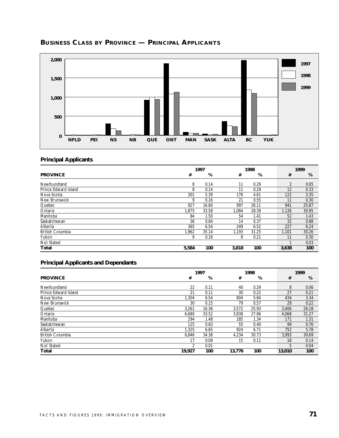

# **BUSINESS CLASS BY PROVINCE — PRINCIPAL APPLICANTS**

# **Principal Applicants**

|                         |       | 1997  |       | 1998  |  |                | 1999  |
|-------------------------|-------|-------|-------|-------|--|----------------|-------|
| <b>PROVINCE</b>         | #     | %     | #     | %     |  | #              | %     |
| Newfoundland            | 8     | 0.14  | 11    | 0.29  |  | $\overline{2}$ | 0.05  |
| Prince Edward Island    | 8     | 0.14  | 11    | 0.29  |  | 12             | 0.33  |
| Nova Scotia             | 301   | 5.39  | 176   | 4.61  |  | 122            | 3.35  |
| New Brunswick           | 9     | 0.16  | 21    | 0.55  |  | 11             | 0.30  |
| Quebec                  | 927   | 16.60 | 997   | 26.11 |  | 941            | 25.87 |
| Ontario                 | 1.875 | 33.58 | 1.084 | 28.39 |  | 1.126          | 30.95 |
| Manitoba                | 84    | 1.50  | 54    | 1.41  |  | 52             | 1.43  |
| Saskatchewan            | 36    | 0.64  | 14    | 0.37  |  | 32             | 0.88  |
| Alberta                 | 365   | 6.54  | 249   | 6.52  |  | 227            | 6.24  |
| <b>British Columbia</b> | 1.962 | 35.14 | 1.193 | 31.25 |  | 1.101          | 30.26 |
| Yukon                   | 9     | 0.16  | 8     | 0.21  |  | 11             | 0.30  |
| Not Stated              |       |       |       |       |  |                | 0.03  |
| Total                   | 5,584 | 100   | 3,818 | 100   |  | 3,638          | 100   |

|                         | 1997   |       |        | 1998  |        | 1999  |
|-------------------------|--------|-------|--------|-------|--------|-------|
| <b>PROVINCE</b>         | #      | %     | #      | %     | #      | %     |
| Newfoundland            | 22     | 0.11  | 40     | 0.29  | 8      | 0.06  |
| Prince Edward Island    | 21     | 0.11  | 30     | 0.22  | 27     | 0.21  |
| Nova Scotia             | 1.304  | 6.54  | 804    | 5.84  | 434    | 3.34  |
| <b>New Brunswick</b>    | 30     | 0.15  | 79     | 0.57  | 29     | 0.22  |
| Quebec                  | 3,261  | 16.36 | 3,572  | 25.93 | 3,406  | 26.18 |
| Ontario                 | 6,680  | 33.52 | 3,838  | 27.86 | 4.068  | 31.27 |
| Manitoba                | 294    | 1.48  | 185    | 1.34  | 171    | 1.31  |
| Saskatchewan            | 125    | 0.63  | 55     | 0.40  | 99     | 0.76  |
| Alberta                 | 1.325  | 6.65  | 924    | 6.71  | 752    | 5.78  |
| <b>British Columbia</b> | 6,846  | 34.36 | 4,234  | 30.73 | 3.993  | 30.69 |
| Yukon                   | 17     | 0.09  | 15     | 0.11  | 18     | 0.14  |
| <b>Not Stated</b>       | າ      | 0.01  |        |       | 5      | 0.04  |
| Total                   | 19,927 | 100   | 13,776 | 100   | 13,010 | 100   |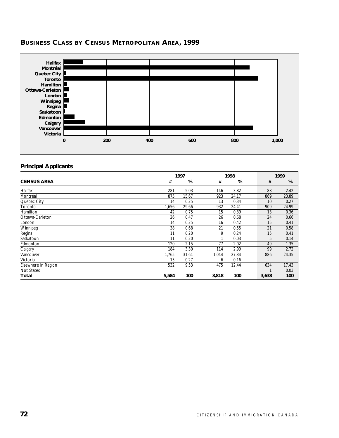

# **BUSINESS CLASS BY CENSUS METROPOLITAN AREA, 1999**

#### **Principal Applicants**

|                     | 1997  |       | 1998  |       | 1999  |       |
|---------------------|-------|-------|-------|-------|-------|-------|
| <b>CENSUS AREA</b>  | #     | %     | #     | %     | #     | %     |
| Halifax             | 281   | 5.03  | 146   | 3.82  | 88    | 2.42  |
| Montréal            | 875   | 15.67 | 923   | 24.17 | 869   | 23.89 |
| Quebec City         | 14    | 0.25  | 13    | 0.34  | 10    | 0.27  |
| Toronto             | 1,656 | 29.66 | 932   | 24.41 | 909   | 24.99 |
| Hamilton            | 42    | 0.75  | 15    | 0.39  | 13    | 0.36  |
| Ottawa-Carleton     | 26    | 0.47  | 26    | 0.68  | 24    | 0.66  |
| London              | 14    | 0.25  | 16    | 0.42  | 15    | 0.41  |
| Winnipeg            | 38    | 0.68  | 21    | 0.55  | 21    | 0.58  |
| Regina              | 11    | 0.20  | 9     | 0.24  | 15    | 0.41  |
| Saskatoon           | 11    | 0.20  | 1     | 0.03  | 5     | 0.14  |
| Edmonton            | 120   | 2.15  | 77    | 2.02  | 49    | 1.35  |
| Calgary             | 184   | 3.30  | 114   | 2.99  | 99    | 2.72  |
| Vancouver           | 1,765 | 31.61 | 1,044 | 27.34 | 886   | 24.35 |
| Victoria            | 15    | 0.27  | 6     | 0.16  |       |       |
| Elsewhere in Region | 532   | 9.53  | 475   | 12.44 | 634   | 17.43 |
| Not Stated          |       |       |       |       |       | 0.03  |
| Total               | 5,584 | 100   | 3,818 | 100   | 3,638 | 100   |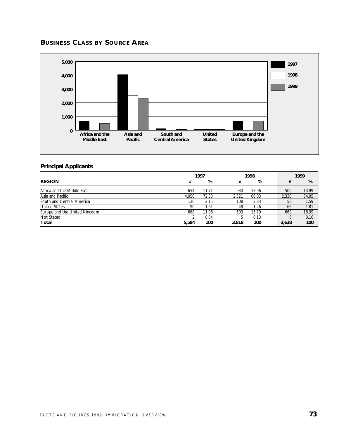# **BUSINESS CLASS BY SOURCE AREA**



# **Principal Applicants**

|                               |       | 1997  |       | 1998  |  |       | 1999  |
|-------------------------------|-------|-------|-------|-------|--|-------|-------|
| <b>REGION</b>                 | #     | %     | #     | %     |  | #     | %     |
| Africa and the Middle East    | 654   | 11.71 | 533   | 13.96 |  | 509   | 13.99 |
| Asia and Pacific              | 4.050 | 72.53 | 2.521 | 66.03 |  | 2,330 | 64.05 |
| South and Central America     | 120   | 2.15  | 108   | 2.83  |  | 58    | 1.59  |
| <b>United States</b>          | 90    | 1.61  | 48    | 1.26  |  | 66    | 1.81  |
| Europe and the United Kingdom | 668   | 11.96 | 603   | 15.79 |  | 669   | 18.39 |
| Not Stated                    |       | 0.04  | b     | 0.13  |  |       | 0.16  |
| Total                         | 5,584 | 100   | 3,818 | 100   |  | 3,638 | 100   |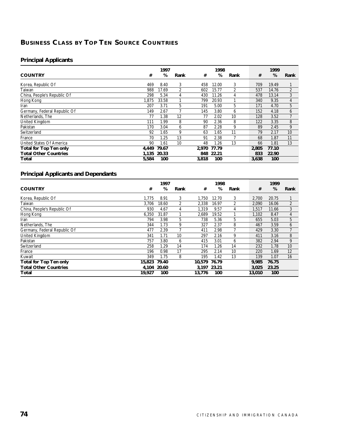# **BUSINESS CLASS BY TOP TEN SOURCE COUNTRIES**

# **Principal Applicants**

|                               |       | 1997  |      |       | 1998  |                |       | 1999  |                |
|-------------------------------|-------|-------|------|-------|-------|----------------|-------|-------|----------------|
| <b>COUNTRY</b>                | #     | %     | Rank | #     | %     | Rank           | #     | %     | Rank           |
| Korea, Republic Of            | 469   | 8.40  | 3    | 458   | 12.00 | 3              | 709   | 19.49 |                |
| Taiwan                        | 988   | 17.69 | 2    | 602   | 15.77 | $\overline{2}$ | 537   | 14.76 | $\overline{2}$ |
| China, People's Republic Of   | 298   | 5.34  | 4    | 430   | 11.26 | 4              | 478   | 13.14 | 3              |
| Hong Kong                     | 1,875 | 33.58 |      | 799   | 20.93 |                | 340   | 9.35  | 4              |
| Iran                          | 207   | 3.71  | 5    | 191   | 5.00  | 5              | 171   | 4.70  | 5              |
| Germany, Federal Republic Of  | 149   | 2.67  |      | 145   | 3.80  | 6              | 152   | 4.18  | 6              |
| Netherlands, The              | 77    | 1.38  | 12   | 77    | 2.02  | 10             | 128   | 3.52  |                |
| United Kingdom                | 111   | 1.99  | 8    | 90    | 2.36  | 8              | 122   | 3.35  | 8              |
| Pakistan                      | 170   | 3.04  | 6    | 87    | 2.28  | 9              | 89    | 2.45  | 9              |
| Switzerland                   | 92    | 1.65  | 9    | 63    | 1.65  | 11             | 79    | 2.17  | 10             |
| France                        | 70    | 1.25  | 13   | 91    | 2.38  |                | 68    | 1.87  | 11             |
| United States Of America      | 90    | 1.61  | 10   | 48    | 1.26  | 13             | 66    | 1.81  | 13             |
| <b>Total for Top Ten only</b> | 4.449 | 79.67 |      | 2.970 | 77.79 |                | 2.805 | 77.10 |                |
| <b>Total Other Countries</b>  | 1.135 | 20.33 |      | 848   | 22.21 |                | 833   | 22.90 |                |
| Total                         | 5,584 | 100   |      | 3,818 | 100   |                | 3,638 | 100   |                |

|                               |        | 1997  |      |        | 1998        |      |        | 1999  |      |
|-------------------------------|--------|-------|------|--------|-------------|------|--------|-------|------|
| <b>COUNTRY</b>                | #      | %     | Rank | #      | %           | Rank | #      | %     | Rank |
| Korea, Republic Of            | 1.775  | 8.91  | 3    | 1.750  | 12.70       | 3    | 2,700  | 20.75 |      |
| Taiwan                        | 3.706  | 18.60 | 2    | 2,338  | 16.97       | 2    | 2,090  | 16.06 | 2    |
| China, People's Republic Of   | 930    | 4.67  | 4    | 1,319  | 9.57        | 4    | 1,517  | 11.66 | 3    |
| Hong Kong                     | 6,350  | 31.87 |      | 2,689  | 19.52       |      | 1,102  | 8.47  | 4    |
| Iran                          | 794    | 3.98  | 5    | 738    | 5.36        | 5    | 655    | 5.03  | 5    |
| Netherlands, The              | 344    | 1.73  | 9    | 327    | 2.37        | 8    | 467    | 3.59  | 6    |
| Germany, Federal Republic Of  | 477    | 2.39  |      | 411    | 2.98        |      | 429    | 3.30  |      |
| <b>United Kingdom</b>         | 341    | 1.71  | 10   | 297    | 2.16        | 9    | 411    | 3.16  | 8    |
| Pakistan                      | 757    | 3.80  | 6    | 415    | 3.01        | 6    | 382    | 2.94  | 9    |
| Switzerland                   | 258    | 1.29  | 14   | 174    | 1.26        | 14   | 232    | 1.78  | 10   |
| France                        | 196    | 0.98  | 17   | 295    | 2.14        | 10   | 220    | 1.69  | 12   |
| Kuwait                        | 349    | 1.75  | 8    | 195    | 1.42        | 13   | 139    | 1.07  | 16   |
| <b>Total for Top Ten only</b> | 15,823 | 79.40 |      | 10.579 | 76.79       |      | 9.985  | 76.75 |      |
| <b>Total Other Countries</b>  | 4.104  | 20.60 |      |        | 3.197 23.21 |      | 3,025  | 23.25 |      |
| Total                         | 19,927 | 100   |      | 13.776 | 100         |      | 13,010 | 100   |      |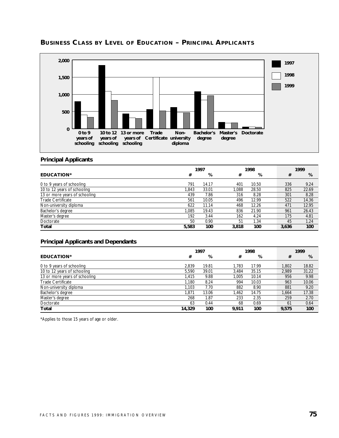

# **BUSINESS CLASS BY LEVEL OF EDUCATION – PRINCIPAL APPLICANTS**

#### **Principal Applicants**

|                               | 1997  |       |       | 1998  |  |       | 1999  |
|-------------------------------|-------|-------|-------|-------|--|-------|-------|
| EDUCATION*                    | #     | %     | #     | %     |  | #     | %     |
| 0 to 9 years of schooling     | 791   | 14.17 | 401   | 10.50 |  | 336   | 9.24  |
| 10 to 12 years of schooling   | 1.843 | 33.01 | 1.088 | 28.50 |  | 825   | 22.69 |
| 13 or more years of schooling | 439   | 7.86  | 316   | 8.28  |  | 301   | 8.28  |
| <b>Trade Certificate</b>      | 561   | 10.05 | 496   | 12.99 |  | 522   | 14.36 |
| Non-university diploma        | 622   | 11.14 | 468   | 12.26 |  | 471   | 12.95 |
| Bachelor's degree             | 1.085 | 19.43 | 836   | 21.90 |  | 961   | 26.43 |
| Master's degree               | 192   | 3.44  | 162   | 4.24  |  | 175   | 4.81  |
| Doctorate                     | 50    | 0.90  | 51    | 1.34  |  | 45    | 1.24  |
| Total                         | 5,583 | 100   | 3,818 | 100   |  | 3.636 | 100   |

#### **Principal Applicants and Dependants**

|                               | 1997   |       |       | 1998  |  |       | 1999  |
|-------------------------------|--------|-------|-------|-------|--|-------|-------|
| <b>EDUCATION*</b>             | #      | %     | #     | %     |  | #     | %     |
| 0 to 9 years of schooling     | 2.839  | 19.81 | 1.783 | 17.99 |  | 1.802 | 18.82 |
| 10 to 12 years of schooling   | 5.590  | 39.01 | 3.484 | 35.15 |  | 2.989 | 31.22 |
| 13 or more years of schooling | 1.415  | 9.88  | 1.005 | 10.14 |  | 956   | 9.98  |
| <b>Trade Certificate</b>      | 1.180  | 8.24  | 994   | 10.03 |  | 963   | 10.06 |
| Non-university diploma        | 1.103  | 7.70  | 882   | 8.90  |  | 881   | 9.20  |
| Bachelor's degree             | 1.871  | 13.06 | 1,462 | 14.75 |  | 1.664 | 17.38 |
| Master's degree               | 268    | 1.87  | 233   | 2.35  |  | 259   | 2.70  |
| Doctorate                     | 63     | 0.44  | 68    | 0.69  |  | 61    | 0.64  |
| Total                         | 14,329 | 100   | 9.911 | 100   |  | 9,575 | 100   |

\*Applies to those 15 years of age or older.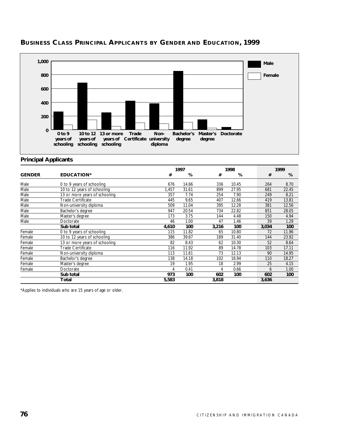

# **BUSINESS CLASS PRINCIPAL APPLICANTS BY GENDER AND EDUCATION, 1999**

#### **Principal Applicants**

|               |                               |       | 1997  |       | 1998  |       | 1999  |
|---------------|-------------------------------|-------|-------|-------|-------|-------|-------|
| <b>GENDER</b> | <b>EDUCATION*</b>             | #     | %     | #     | %     | #     | %     |
| Male          | 0 to 9 years of schooling     | 676   | 14.66 | 336   | 10.45 | 264   | 8.70  |
| Male          | 10 to 12 years of schooling   | 1.457 | 31.61 | 899   | 27.95 | 681   | 22.45 |
| Male          | 13 or more years of schooling | 357   | 7.74  | 254   | 7.90  | 249   | 8.21  |
| Male          | Trade Certificate             | 445   | 9.65  | 407   | 12.66 | 419   | 13.81 |
| Male          | Non-university diploma        | 509   | 11.04 | 395   | 12.28 | 381   | 12.56 |
| Male          | Bachelor's degree             | 947   | 20.54 | 734   | 22.82 | 851   | 28.05 |
| Male          | Master's degree               | 173   | 3.75  | 144   | 4.48  | 150   | 4.94  |
| Male          | Doctorate                     | 46    | 1.00  | 47    | 1.46  | 39    | 1.29  |
|               | Sub total                     | 4,610 | 100   | 3,216 | 100   | 3,034 | 100   |
| Female        | 0 to 9 years of schooling     | 115   | 11.82 | 65    | 10.80 | 72    | 11.96 |
| Female        | 10 to 12 years of schooling   | 386   | 39.67 | 189   | 31.40 | 144   | 23.92 |
| Female        | 13 or more years of schooling | 82    | 8.43  | 62    | 10.30 | 52    | 8.64  |
| Female        | <b>Trade Certificate</b>      | 116   | 11.92 | 89    | 14.78 | 103   | 17.11 |
| Female        | Non-university diploma        | 113   | 11.61 | 73    | 12.13 | 90    | 14.95 |
| Female        | Bachelor's degree             | 138   | 14.18 | 102   | 16.94 | 110   | 18.27 |
| Female        | Master's degree               | 19    | 1.95  | 18    | 2.99  | 25    | 4.15  |
| Female        | Doctorate                     | 4     | 0.41  | 4     | 0.66  | 6     | 1.00  |
|               | Sub total                     | 973   | 100   | 602   | 100   | 602   | 100   |
|               | Total                         | 5,583 |       | 3,818 |       | 3,636 |       |

\*Applies to individuals who are 15 years of age or older.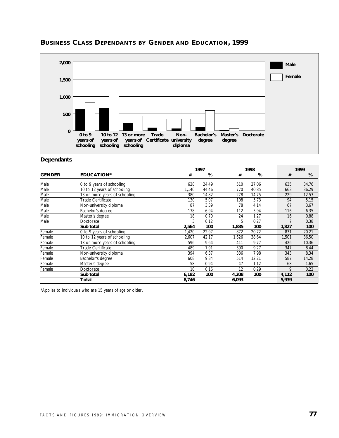

# **BUSINESS CLASS DEPENDANTS BY GENDER AND EDUCATION, 1999**

**Dependants**

|               |                               |       | 1997  |       | 1998  |  | 1999  |       |
|---------------|-------------------------------|-------|-------|-------|-------|--|-------|-------|
| <b>GENDER</b> | <b>EDUCATION*</b>             | #     | %     | #     | %     |  | #     | %     |
| Male          | 0 to 9 years of schooling     | 628   | 24.49 | 510   | 27.06 |  | 635   | 34.76 |
| Male          | 10 to 12 years of schooling   | 1,140 | 44.46 | 770   | 40.85 |  | 663   | 36.29 |
| Male          | 13 or more years of schooling | 380   | 14.82 | 278   | 14.75 |  | 229   | 12.53 |
| Male          | <b>Trade Certificate</b>      | 130   | 5.07  | 108   | 5.73  |  | 94    | 5.15  |
| Male          | Non-university diploma        | 87    | 3.39  | 78    | 4.14  |  | 67    | 3.67  |
| Male          | Bachelor's degree             | 178   | 6.94  | 112   | 5.94  |  | 116   | 6.35  |
| Male          | Master's degree               | 18    | 0.70  | 24    | 1.27  |  | 16    | 0.88  |
| Male          | Doctorate                     | 3     | 0.12  | 5     | 0.27  |  |       | 0.38  |
|               | Sub total                     | 2,564 | 100   | 1,885 | 100   |  | 1,827 | 100   |
| Female        | 0 to 9 years of schooling     | 1,420 | 22.97 | 872   | 20.72 |  | 831   | 20.21 |
| Female        | 10 to 12 years of schooling   | 2,607 | 42.17 | 1,626 | 38.64 |  | 1,501 | 36.50 |
| Female        | 13 or more years of schooling | 596   | 9.64  | 411   | 9.77  |  | 426   | 10.36 |
| Female        | Trade Certificate             | 489   | 7.91  | 390   | 9.27  |  | 347   | 8.44  |
| Female        | Non-university diploma        | 394   | 6.37  | 336   | 7.98  |  | 343   | 8.34  |
| Female        | Bachelor's degree             | 608   | 9.84  | 514   | 12.21 |  | 587   | 14.28 |
| Female        | Master's degree               | 58    | 0.94  | 47    | 1.12  |  | 68    | 1.65  |
| Female        | Doctorate                     | 10    | 0.16  | 12    | 0.29  |  | 9     | 0.22  |
|               | Sub total                     | 6,182 | 100   | 4,208 | 100   |  | 4,112 | 100   |
|               | Total                         | 8,746 |       | 6,093 |       |  | 5,939 |       |

\*Applies to individuals who are 15 years of age or older.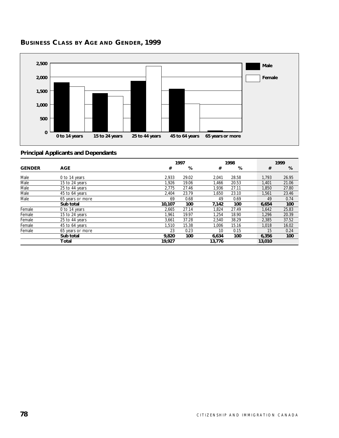

# **BUSINESS CLASS BY AGE AND GENDER, 1999**

|               |                  |        | 1997  |        | 1998  |        | 1999  |
|---------------|------------------|--------|-------|--------|-------|--------|-------|
| <b>GENDER</b> | <b>AGE</b>       | #      | %     | #      | %     | #      | %     |
| Male          | 0 to 14 years    | 2,933  | 29.02 | 2,041  | 28.58 | 1.793  | 26.95 |
| Male          | 15 to 24 years   | 1,926  | 19.06 | 1.466  | 20.53 | 1,401  | 21.06 |
| Male          | 25 to 44 years   | 2.775  | 27.46 | 1.936  | 27.11 | 1.850  | 27.80 |
| Male          | 45 to 64 years   | 2,404  | 23.79 | 1,650  | 23.10 | 1,561  | 23.46 |
| Male          | 65 years or more | 69     | 0.68  | 49     | 0.69  | 49     | 0.74  |
|               | Sub total        | 10,107 | 100   | 7,142  | 100   | 6,654  | 100   |
| Female        | 0 to 14 years    | 2,665  | 27.14 | 1,824  | 27.49 | 1,642  | 25.83 |
| Female        | 15 to 24 years   | 1.961  | 19.97 | 1.254  | 18.90 | 1.296  | 20.39 |
| Female        | 25 to 44 years   | 3,661  | 37.28 | 2,540  | 38.29 | 2,385  | 37.52 |
| Female        | 45 to 64 years   | 1.510  | 15.38 | 1.006  | 15.16 | 1,018  | 16.02 |
| Female        | 65 years or more | 23     | 0.23  | 10     | 0.15  | 15     | 0.24  |
|               | Sub total        | 9,820  | 100   | 6,634  | 100   | 6,356  | 100   |
|               | Total            | 19.927 |       | 13.776 |       | 13,010 |       |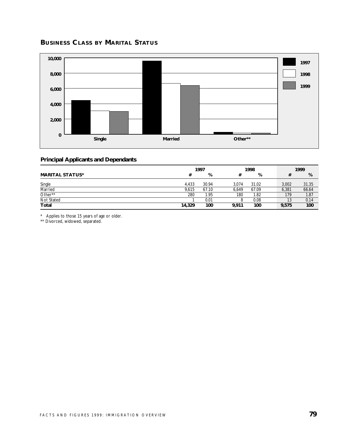# **BUSINESS CLASS BY MARITAL STATUS**



#### **Principal Applicants and Dependants**

|                        | 1997   |       |       | 1998  |  | 1999  |       |
|------------------------|--------|-------|-------|-------|--|-------|-------|
| <b>MARITAL STATUS*</b> | #      | %     | #     | %     |  |       | %     |
| Single                 | 4.433  | 30.94 | 3.074 | 31.02 |  | 3.002 | 31.35 |
| Married                | 9.615  | 67.10 | 6.649 | 67.09 |  | 6,381 | 66.64 |
| Other**                | 280    | 1.95  | 180   | 1.82  |  | 179   | 1.87  |
| Not Stated             |        | 0.01  | 8     | 0.08  |  | 13    | 0.14  |
| <b>Total</b>           | 14,329 | 100   | 9.911 | 100   |  | 9.575 | 100   |

\* Applies to those 15 years of age or older.

\*\* Divorced, widowed, separated.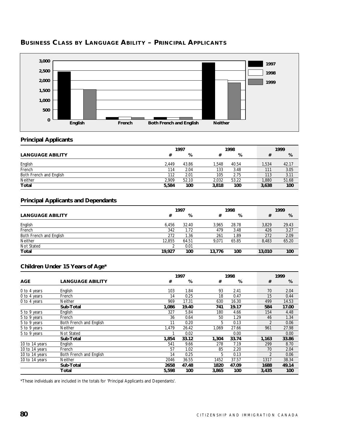

# **BUSINESS CLASS BY LANGUAGE ABILITY – PRINCIPAL APPLICANTS**

#### **Principal Applicants**

|                         | 1997  |       |       | 1998  |  | 1999            |       |
|-------------------------|-------|-------|-------|-------|--|-----------------|-------|
| <b>LANGUAGE ABILITY</b> |       | %     |       | %     |  |                 | %     |
| English                 | 2.449 | 43.86 | .548  | 40.54 |  | 1.534           | 42.17 |
| French                  | 114   | 2.04  | 133   | 3.48  |  | 11 <sup>1</sup> | 3.05  |
| Both French and English | 112   | 2.01  | 105   | 2.75  |  | 113             | 3.11  |
| Neither                 | 2.909 | 52.10 | 2.032 | 53.22 |  | 1,880           | 51.68 |
| Total                   | 5,584 | 100   | 3,818 | 100   |  | 3,638           | 100   |

#### **Principal Applicants and Dependants**

|                         | 1997   |       |        | 1998  |        | 1999   |
|-------------------------|--------|-------|--------|-------|--------|--------|
| <b>LANGUAGE ABILITY</b> | #      | %     | #      | %     |        | %<br># |
| English                 | 6.456  | 32.40 | 3.965  | 28.78 | 3.829  | 29.43  |
| French                  | 342    | 1.72  | 479    | 3.48  | 426    | 3.27   |
| Both French and English | 272    | 1.36  | 261    | 1.89  | 272    | 2.09   |
| <b>Neither</b>          | 12.855 | 64.51 | 9.071  | 65.85 | 8.483  | 65.20  |
| Not Stated              |        | 0.01  |        |       |        |        |
| Total                   | 19.927 | 100   | 13.776 | 100   | 13,010 | 100    |

# **Children Under 15 Years of Age\***

|                |                         |       | 1997  |       | 1998  |                | 1999  |
|----------------|-------------------------|-------|-------|-------|-------|----------------|-------|
| <b>AGE</b>     | <b>LANGUAGE ABILITY</b> | #     | %     | #     | %     | #              | %     |
| 0 to 4 years   | English                 | 103   | 1.84  | 93    | 2.41  | 70             | 2.04  |
| 0 to 4 years   | French                  | 14    | 0.25  | 18    | 0.47  | 15             | 0.44  |
| 0 to 4 years   | Neither                 | 969   | 17.31 | 630   | 16.30 | 499            | 14.53 |
|                | Sub-Total               | 1,086 | 19.40 | 741   | 19.17 | 584            | 17.00 |
| 5 to 9 years   | English                 | 327   | 5.84  | 180   | 4.66  | 154            | 4.48  |
| 5 to 9 years   | French                  | 36    | 0.64  | 50    | 1.29  | 46             | 1.34  |
| 5 to 9 years   | Both French and English | 11    | 0.20  | 5     | 0.13  |                | 0.06  |
| 5 to 9 years   | Neither                 | 1,479 | 26.42 | 1,069 | 27.66 | 961            | 27.98 |
| 5 to 9 years   | Not Stated              |       | 0.02  |       | 0.00  |                | 0.00  |
|                | Sub-Total               | 1,854 | 33.12 | 1,304 | 33.74 | 1,163          | 33.86 |
| 10 to 14 years | English                 | 541   | 9.66  | 278   | 7.19  | 299            | 8.70  |
| 10 to 14 years | French                  | 57    | 1.02  | 85    | 2.20  | 70             | 2.04  |
| 10 to 14 years | Both French and English | 14    | 0.25  | 5     | 0.13  | $\mathfrak{p}$ | 0.06  |
| 10 to 14 years | <b>Neither</b>          | 2046  | 36.55 | 1452  | 37.57 | 1317           | 38.34 |
|                | Sub-Total               | 2658  | 47.48 | 1820  | 47.09 | 1688           | 49.14 |
|                | Total                   | 5,598 | 100   | 3,865 | 100   | 3,435          | 100   |

\*These individuals are included in the totals for 'Principal Applicants and Dependants'.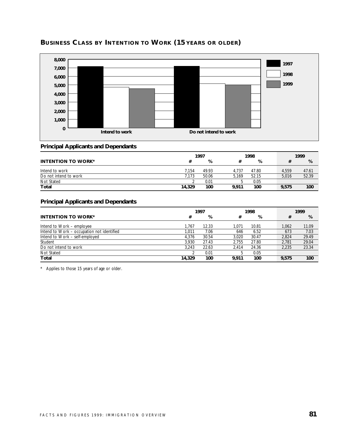

# **BUSINESS CLASS BY INTENTION TO WORK (15 YEARS OR OLDER)**

#### **Principal Applicants and Dependants**

|                           | 1997   |       |       | 1998  |  | 1999  |       |
|---------------------------|--------|-------|-------|-------|--|-------|-------|
| <b>INTENTION TO WORK*</b> |        | %     |       | %     |  |       | %     |
| Intend to work            | 7.154  | 49.93 | 4.737 | 47.80 |  | 4.559 | 47.61 |
| Do not intend to work     | 7.173  | 50.06 | 5.169 | 52.15 |  | 5.016 | 52.39 |
| Not Stated                |        | 0.01  |       | 0.05  |  |       |       |
| Total                     | 14,329 | 100   | 9.911 | 100   |  | 9.575 | 100   |

#### **Principal Applicants and Dependants**

|                                            | 1997   |       |       | 1998  |  | 1999  |       |
|--------------------------------------------|--------|-------|-------|-------|--|-------|-------|
| <b>INTENTION TO WORK*</b>                  | #      | %     | #     | %     |  | #     | %     |
| Intend to Work – employee                  | 1.767  | 12.33 | 1.071 | 10.81 |  | 1.062 | 11.09 |
| Intend to Work - occupation not identified | 1.011  | 7.06  | 646   | 6.52  |  | 673   | 7.03  |
| Intend to Work - self-employed             | 4.376  | 30.54 | 3.020 | 30.47 |  | 2.824 | 29.49 |
| Student                                    | 3.930  | 27.43 | 2.755 | 27.80 |  | 2.781 | 29.04 |
| Do not intend to work                      | 3.243  | 22.63 | 2.414 | 24.36 |  | 2.235 | 23.34 |
| Not Stated                                 |        | 0.01  | .5    | 0.05  |  |       |       |
| Total                                      | 14,329 | 100   | 9.911 | 100   |  | 9.575 | 100   |

\* Applies to those 15 years of age or older.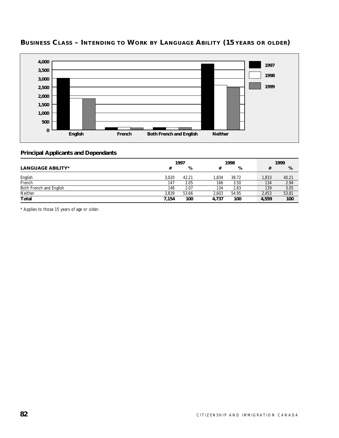

# **BUSINESS CLASS – INTENDING TO WORK BY LANGUAGE ABILITY (15 YEARS OR OLDER)**

#### **Principal Applicants and Dependants**

|                          | 1997  |       |       | 1998  |  | 1999  |       |
|--------------------------|-------|-------|-------|-------|--|-------|-------|
| <b>LANGUAGE ABILITY*</b> | #     | %     |       | %     |  | #     | %     |
| English                  | 3.020 | 42.21 | 1.834 | 38.72 |  | 1,833 | 40.21 |
| French                   | 147   | 2.05  | 166   | 3.50  |  | 134   | 2.94  |
| Both French and English  | 148   | 2.07  | 134   | 2.83  |  | 139   | 3.05  |
| Neither                  | 3.839 | 53.66 | 2.603 | 54.95 |  | 2,453 | 53.81 |
| <b>Total</b>             | 7,154 | 100   | 4.737 | 100   |  | 4.559 | 100   |

\* Applies to those 15 years of age or older.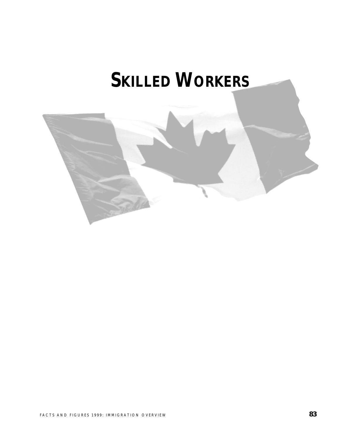# **SKILLED WORKERS**

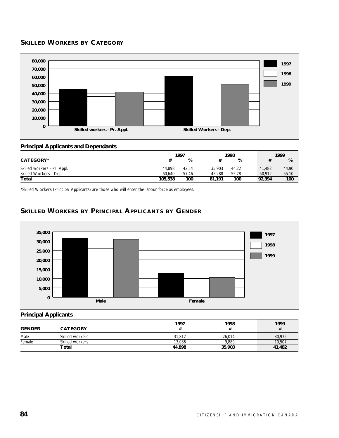# **SKILLED WORKERS BY CATEGORY**



#### **Principal Applicants and Dependants**

|                             | 1997    |       |        | 1998  |        | 1999  |
|-----------------------------|---------|-------|--------|-------|--------|-------|
| CATEGORY*                   |         | %     |        | %     |        | %     |
| Skilled workers - Pr. Appl. | 44.898  | 42.54 | 35.903 | 44.22 | 41.482 | 44.90 |
| Skilled Workers - Dep.      | 60.640  | 57.46 | 45.288 | 55.78 | 50.912 | 55.10 |
| Total                       | 105,538 | 100   | 81.191 | 100   | 92,394 | 100   |

\*Skilled Workers (Principal Applicants) are those who will enter the labour force as employees.

# **SKILLED WORKERS BY PRINCIPAL APPLICANTS BY GENDER**



#### **Principal Applicants**

| <b>GENDER</b> | <b>CATEGORY</b> | 1997   | 1998   | 1999<br># |
|---------------|-----------------|--------|--------|-----------|
| Male          | Skilled workers | 31,812 | 26.014 | 30,975    |
| Female        | Skilled workers | 13.086 | 9.889  | 10,507    |
|               | Total           | 44,898 | 35,903 | 41,482    |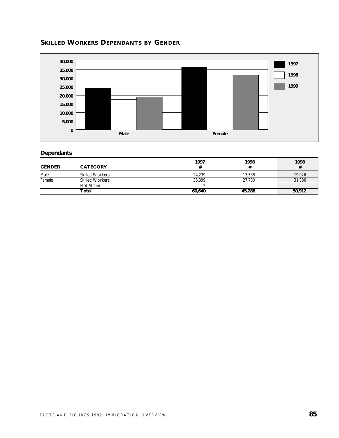



# **Dependants**

| <b>GENDER</b> | <b>CATEGORY</b>        | 1997   | 1998   | 1998<br># |
|---------------|------------------------|--------|--------|-----------|
| Male          | <b>Skilled Workers</b> | 24,239 | 17.588 | 19,026    |
| Female        | <b>Skilled Workers</b> | 36.399 | 27.700 | 31,886    |
|               | Not Stated             |        |        |           |
|               | Total                  | 60.640 | 45,288 | 50,912    |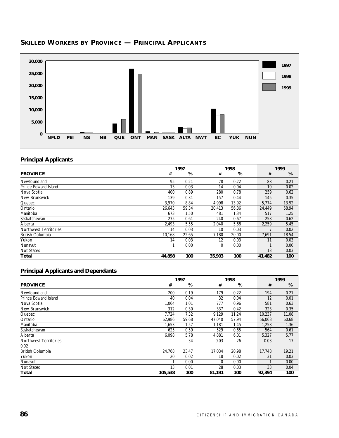

# **SKILLED WORKERS BY PROVINCE — PRINCIPAL APPLICANTS**

#### **Principal Applicants**

|                              | 1997   |       |        | 1998  |        | 1999  |
|------------------------------|--------|-------|--------|-------|--------|-------|
| <b>PROVINCE</b>              | #      | %     | #      | %     | #      | %     |
| Newfoundland                 | 95     | 0.21  | 78     | 0.22  | 88     | 0.21  |
| Prince Edward Island         | 13     | 0.03  | 14     | 0.04  | 10     | 0.02  |
| Nova Scotia                  | 400    | 0.89  | 280    | 0.78  | 259    | 0.62  |
| New Brunswick                | 139    | 0.31  | 157    | 0.44  | 145    | 0.35  |
| Quebec                       | 3,970  | 8.84  | 4,998  | 13.92 | 5,774  | 13.92 |
| Ontario                      | 26,643 | 59.34 | 20,413 | 56.86 | 24,449 | 58.94 |
| Manitoba                     | 673    | 1.50  | 481    | 1.34  | 517    | 1.25  |
| Saskatchewan                 | 275    | 0.61  | 240    | 0.67  | 258    | 0.62  |
| Alberta                      | 2,493  | 5.55  | 2,040  | 5.68  | 2,259  | 5.45  |
| <b>Northwest Territories</b> | 14     | 0.03  | 10     | 0.03  |        | 0.02  |
| <b>British Columbia</b>      | 10,168 | 22.65 | 7,180  | 20.00 | 7,691  | 18.54 |
| Yukon                        | 14     | 0.03  | 12     | 0.03  | 11     | 0.03  |
| Nunavut                      |        | 0.00  | 0      | 0.00  |        | 0.00  |
| Not Stated                   |        |       |        |       | 13     | 0.03  |
| Total                        | 44,898 | 100   | 35,903 | 100   | 41,482 | 100   |

| 1997<br>1998            |         |       |        | 1999  |  |        |       |
|-------------------------|---------|-------|--------|-------|--|--------|-------|
| <b>PROVINCE</b>         | #       | %     | #      | %     |  | #      | %     |
| Newfoundland            | 200     | 0.19  | 179    | 0.22  |  | 194    | 0.21  |
| Prince Edward Island    | 40      | 0.04  | 32     | 0.04  |  | 12     | 0.01  |
| Nova Scotia             | 1.064   | 1.01  | 777    | 0.96  |  | 581    | 0.63  |
| New Brunswick           | 312     | 0.30  | 337    | 0.42  |  | 323    | 0.35  |
| Quebec                  | 7,724   | 7.32  | 9,129  | 11.24 |  | 10,237 | 11.08 |
| Ontario                 | 62.986  | 59.68 | 47,040 | 57.94 |  | 56,068 | 60.68 |
| Manitoba                | 1.653   | 1.57  | 1,181  | 1.45  |  | 1.258  | 1.36  |
| Saskatchewan            | 625     | 0.59  | 529    | 0.65  |  | 564    | 0.61  |
| Alberta                 | 6,098   | 5.78  | 4,881  | 6.01  |  | 5,327  | 5.77  |
| Northwest Territories   |         | 34    | 0.03   | 26    |  | 0.03   | 17    |
| 0.02                    |         |       |        |       |  |        |       |
| <b>British Columbia</b> | 24.768  | 23.47 | 17.034 | 20.98 |  | 17.748 | 19.21 |
| Yukon                   | 20      | 0.02  | 18     | 0.02  |  | 31     | 0.03  |
| Nunavut                 |         | 0.00  | 0      | 0.00  |  |        | 0.00  |
| Not Stated              | 13      | 0.01  | 28     | 0.03  |  | 33     | 0.04  |
| Total                   | 105,538 | 100   | 81,191 | 100   |  | 92,394 | 100   |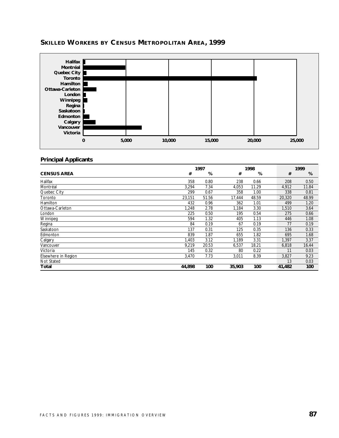

# **SKILLED WORKERS BY CENSUS METROPOLITAN AREA, 1999**

#### **Principal Applicants**

|                     | 1997<br>1998 |       |        |       | 1999 |        |       |
|---------------------|--------------|-------|--------|-------|------|--------|-------|
| <b>CENSUS AREA</b>  | #            | %     | #      | %     |      | #      | %     |
| Halifax             | 358          | 0.80  | 238    | 0.66  |      | 208    | 0.50  |
| Montréal            | 3,294        | 7.34  | 4,053  | 11.29 |      | 4,912  | 11.84 |
| Quebec City         | 299          | 0.67  | 358    | 1.00  |      | 338    | 0.81  |
| Toronto             | 23,151       | 51.56 | 17,444 | 48.59 |      | 20,320 | 48.99 |
| Hamilton            | 432          | 0.96  | 362    | 1.01  |      | 499    | 1.20  |
| Ottawa-Carleton     | 1,248        | 2.78  | 1,184  | 3.30  |      | 1,510  | 3.64  |
| London              | 225          | 0.50  | 195    | 0.54  |      | 275    | 0.66  |
| Winnipeg            | 594          | 1.32  | 405    | 1.13  |      | 446    | 1.08  |
| Regina              | 84           | 0.19  | 67     | 0.19  |      | 77     | 0.19  |
| Saskatoon           | 137          | 0.31  | 125    | 0.35  |      | 136    | 0.33  |
| Edmonton            | 839          | 1.87  | 655    | 1.82  |      | 695    | 1.68  |
| Calgary             | 1,403        | 3.12  | 1,189  | 3.31  |      | 1,397  | 3.37  |
| Vancouver           | 9,219        | 20.53 | 6,537  | 18.21 |      | 6,818  | 16.44 |
| Victoria            | 145          | 0.32  | 80     | 0.22  |      | 11     | 0.03  |
| Elsewhere in Region | 3,470        | 7.73  | 3,011  | 8.39  |      | 3,827  | 9.23  |
| <b>Not Stated</b>   |              |       |        |       |      | 13     | 0.03  |
| Total               | 44,898       | 100   | 35,903 | 100   |      | 41,482 | 100   |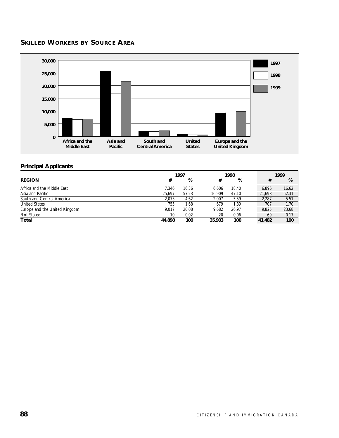# **SKILLED WORKERS BY SOURCE AREA**



# **Principal Applicants**

|                               | 1997   |       | 1998   |       |  | 1999   |       |
|-------------------------------|--------|-------|--------|-------|--|--------|-------|
| <b>REGION</b>                 | #      | %     | #      | %     |  | #      | %     |
| Africa and the Middle East    | 7.346  | 16.36 | 6.606  | 18.40 |  | 6.896  | 16.62 |
| Asia and Pacific              | 25,697 | 57.23 | 16.909 | 47.10 |  | 21,698 | 52.31 |
| South and Central America     | 2.073  | 4.62  | 2.007  | 5.59  |  | 2.287  | 5.51  |
| <b>United States</b>          | 755    | 1.68  | 679    | 1.89  |  | 707    | 1.70  |
| Europe and the United Kingdom | 9.017  | 20.08 | 9.682  | 26.97 |  | 9.825  | 23.68 |
| Not Stated                    | 10     | 0.02  | 20     | 0.06  |  | 69     | 0.17  |
| Total                         | 44.898 | 100   | 35,903 | 100   |  | 41,482 | 100   |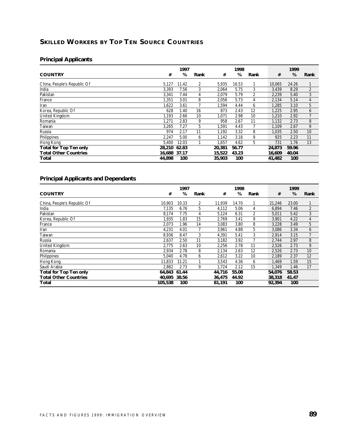# **SKILLED WORKERS BY TOP TEN SOURCE COUNTRIES**

# **Principal Applicants**

|                               |              | 1997  |      |        | 1998  |      |        | 1999  |      |
|-------------------------------|--------------|-------|------|--------|-------|------|--------|-------|------|
| <b>COUNTRY</b>                | #            | %     | Rank | #      | %     | Rank | #      | %     | Rank |
| China, People's Republic Of   | 5,127        | 11.42 | 2    | 5,935  | 16.53 |      | 10,065 | 24.26 |      |
| India                         | 3,393        | 7.56  | 3    | 2,064  | 5.75  | 3    | 3,439  | 8.29  | 2    |
| Pakistan                      | 3,341        | 7.44  | 4    | 2,079  | 5.79  | 2    | 2,239  | 5.40  | 3    |
| France                        | 1.351        | 3.01  | 8    | 2,056  | 5.73  | 4    | 2,134  | 5.14  | 4    |
| Iran                          | 1,622        | 3.61  |      | 1,594  | 4.44  | 6    | 1,285  | 3.10  | 5    |
| Korea, Republic Of            | 628          | 1.40  | 16   | 873    | 2.43  | 12   | 1,225  | 2.95  | 6    |
| United Kingdom                | 1.193        | 2.66  | 10   | 1,071  | 2.98  | 10   | 1,210  | 2.92  | 7    |
| Romania                       | 1,271        | 2.83  | 9    | 958    | 2.67  | 11   | 1,132  | 2.73  | 8    |
| Taiwan                        | 3,265        | 7.27  | 5    | 1,591  | 4.43  |      | 1,109  | 2.67  | 9    |
| Russia                        | 974          | 2.17  | 11   | 1,192  | 3.32  | 8    | 1,035  | 2.50  | 10   |
| Philippines                   | 2,247        | 5.00  | 6    | 1.142  | 3.18  | 9    | 925    | 2.23  | 11   |
| Hong Kong                     | 5.400        | 12.03 |      | 1,657  | 4.62  | 5    | 731    | 1.76  | 13   |
| <b>Total for Top Ten only</b> | 28,210       | 62.83 |      | 20,381 | 56.77 |      | 24,873 | 59.96 |      |
| <b>Total Other Countries</b>  | 16.688 37.17 |       |      | 15,522 | 43.23 |      | 16,609 | 40.04 |      |
| Total                         | 44.898       | 100   |      | 35,903 | 100   |      | 41,482 | 100   |      |

|                               |         | 1997  |      |        | 1998  |      |        | 1999  |      |
|-------------------------------|---------|-------|------|--------|-------|------|--------|-------|------|
| <b>COUNTRY</b>                | #       | %     | Rank | #      | %     | Rank | #      | %     | Rank |
| China, People's Republic Of   | 10.903  | 10.33 | 2    | 11,939 | 14.70 |      | 21,246 | 23.00 |      |
| India                         | 7.135   | 6.76  | 5    | 4,112  | 5.06  | 4    | 6,894  | 7.46  | 2    |
| Pakistan                      | 8.174   | 7.75  | 4    | 5,124  | 6.31  | 2    | 5,011  | 5.42  | 3    |
| Korea, Republic Of            | 1.935   | 1.83  | 15   | 2,769  | 3.41  | 9    | 3,901  | 4.22  | 4    |
| France                        | 2,073   | 1.96  | 14   | 3,083  | 3.80  | 8    | 3,228  | 3.49  | 5    |
| Iran                          | 4,231   | 4.01  |      | 3,961  | 4.88  | 5    | 3,086  | 3.34  | 6    |
| Taiwan                        | 8,936   | 8.47  | 3    | 4,391  | 5.41  | 3    | 2,914  | 3.15  | 7    |
| Russia                        | 2,637   | 2.50  | 11   | 3,182  | 3.92  |      | 2,744  | 2.97  | 8    |
| United Kingdom                | 2.775   | 2.63  | 10   | 2,256  | 2.78  | 11   | 2,526  | 2.73  | 9    |
| Romania                       | 2,934   | 2.78  | 8    | 2,134  | 2.63  | 12   | 2,526  | 2.73  | 10   |
| Philippines                   | 5.040   | 4.78  | 6    | 2,612  | 3.22  | 10   | 2.189  | 2.37  | 12   |
| Hong Kong                     | 11.833  | 11.21 |      | 3,543  | 4.36  | 6    | 1.469  | 1.59  | 15   |
| Saudi Arabia                  | 2.882   | 2.73  | 9    | 1.724  | 2.12  | 15   | 1,349  | 1.46  | 17   |
| <b>Total for Top Ten only</b> | 64.843  | 61.44 |      | 44.716 | 55.08 |      | 54,076 | 58.53 |      |
| <b>Total Other Countries</b>  | 40.695  | 38.56 |      | 36,475 | 44.92 |      | 38,318 | 41.47 |      |
| Total                         | 105,538 | 100   |      | 81,191 | 100   |      | 92,394 | 100   |      |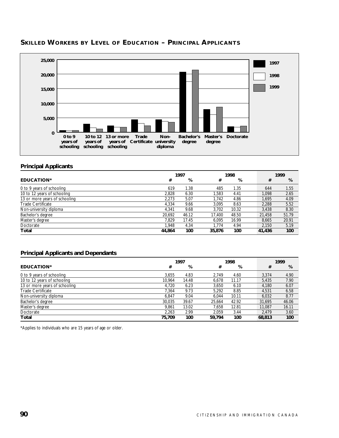

#### **SKILLED WORKERS BY LEVEL OF EDUCATION – PRINCIPAL APPLICANTS**

#### **Principal Applicants**

|                               |        | 1997  |        | 1998  |        | 1999   |
|-------------------------------|--------|-------|--------|-------|--------|--------|
| <b>EDUCATION*</b>             | #      | %     | #      | %     |        | %<br># |
| 0 to 9 years of schooling     | 619    | 1.38  | 485    | 1.35  | 644    | 1.55   |
| 10 to 12 years of schooling   | 2.828  | 6.30  | 1,583  | 4.41  | 1.098  | 2.65   |
| 13 or more years of schooling | 2.273  | 5.07  | 1.742  | 4.86  | 1.695  | 4.09   |
| <b>Trade Certificate</b>      | 4.334  | 9.66  | 3.095  | 8.63  | 2.288  | 5.52   |
| Non-university diploma        | 4.341  | 9.68  | 3.702  | 10.32 | 3.438  | 8.30   |
| Bachelor's degree             | 20.692 | 46.12 | 17.400 | 48.50 | 21,458 | 51.79  |
| Master's degree               | 7.829  | 17.45 | 6.095  | 16.99 | 8.665  | 20.91  |
| Doctorate                     | 1.948  | 4.34  | 1.774  | 4.94  | 2.150  | 5.19   |
| Total                         | 44,864 | 100   | 35,876 | 100   | 41,436 | 100    |

#### **Principal Applicants and Dependants**

| 1997                          |        |       | 1998   |       |  |        | 1999  |
|-------------------------------|--------|-------|--------|-------|--|--------|-------|
| EDUCATION*                    | #      | %     | #      | %     |  | #      | %     |
| 0 to 9 years of schooling     | 3.655  | 4.83  | 2.749  | 4.60  |  | 3.374  | 4.90  |
| 10 to 12 years of schooling   | 10.964 | 14.48 | 6.678  | 11.17 |  | 5,435  | 7.90  |
| 13 or more years of schooling | 4.720  | 6.23  | 3.650  | 6.10  |  | 4.180  | 6.07  |
| Trade Certificate             | 7.364  | 9.73  | 5.292  | 8.85  |  | 4.531  | 6.58  |
| Non-university diploma        | 6.847  | 9.04  | 6.044  | 10.11 |  | 6.032  | 8.77  |
| Bachelor's degree             | 30,035 | 39.67 | 25.664 | 42.92 |  | 31,695 | 46.06 |
| Master's degree               | 9.861  | 13.02 | 7.658  | 12.81 |  | 11.087 | 16.11 |
| Doctorate                     | 2.263  | 2.99  | 2.059  | 3.44  |  | 2.479  | 3.60  |
| Total                         | 75.709 | 100   | 59,794 | 100   |  | 68,813 | 100   |

\*Applies to individuals who are 15 years of age or older.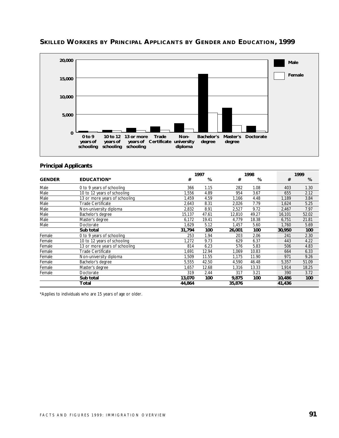

# **SKILLED WORKERS BY PRINCIPAL APPLICANTS BY GENDER AND EDUCATION, 1999**

#### **Principal Applicants**

|               |                               |        | 1997  |        | 1998  |        | 1999  |
|---------------|-------------------------------|--------|-------|--------|-------|--------|-------|
| <b>GENDER</b> | <b>EDUCATION*</b>             | #      | %     | #      | %     | #      | %     |
| Male          | 0 to 9 years of schooling     | 366    | 1.15  | 282    | 1.08  | 403    | 1.30  |
| Male          | 10 to 12 years of schooling   | .556   | 4.89  | 954    | 3.67  | 655    | 2.12  |
| Male          | 13 or more years of schooling | 1,459  | 4.59  | 1,166  | 4.48  | 1,189  | 3.84  |
| Male          | Trade Certificate             | 2.643  | 8.31  | 2,026  | 7.79  | 1,624  | 5.25  |
| Male          | Non-university diploma        | 2,832  | 8.91  | 2,527  | 9.72  | 2,467  | 7.97  |
| Male          | Bachelor's degree             | 15,137 | 47.61 | 12,810 | 49.27 | 16,101 | 52.02 |
| Male          | Master's degree               | 6,172  | 19.41 | 4,779  | 18.38 | 6,751  | 21.81 |
| Male          | Doctorate                     | 1,629  | 5.12  | 1,457  | 5.60  | 1,760  | 5.69  |
|               | Sub total                     | 31,794 | 100   | 26,001 | 100   | 30,950 | 100   |
| Female        | 0 to 9 years of schooling     | 253    | 1.94  | 203    | 2.06  | 241    | 2.30  |
| Female        | 10 to 12 years of schooling   | 1,272  | 9.73  | 629    | 6.37  | 443    | 4.22  |
| Female        | 13 or more years of schooling | 814    | 6.23  | 576    | 5.83  | 506    | 4.83  |
| Female        | <b>Trade Certificate</b>      | 1,691  | 12.94 | 1,069  | 10.83 | 664    | 6.33  |
| Female        | Non-university diploma        | 1,509  | 11.55 | 1,175  | 11.90 | 971    | 9.26  |
| Female        | Bachelor's degree             | 5,555  | 42.50 | 4,590  | 46.48 | 5,357  | 51.09 |
| Female        | Master's degree               | 1,657  | 12.68 | 1,316  | 13.33 | 1,914  | 18.25 |
| Female        | Doctorate                     | 319    | 2.44  | 317    | 3.21  | 390    | 3.72  |
|               | Sub total                     | 13,070 | 100   | 9,875  | 100   | 10,486 | 100   |
|               | Total                         | 44,864 |       | 35,876 |       | 41,436 |       |

\*Applies to individuals who are 15 years of age or older.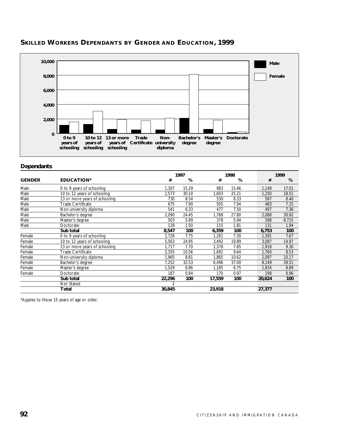

# **SKILLED WORKERS DEPENDANTS BY GENDER AND EDUCATION, 1999**

#### **Dependants**

|               |                               |        | 1997  |        | 1998  |        | 1999  |  |  |
|---------------|-------------------------------|--------|-------|--------|-------|--------|-------|--|--|
| <b>GENDER</b> | <b>EDUCATION*</b>             | #      | %     | #      | %     | #      | %     |  |  |
| Male          | 0 to 9 years of schooling     | 1,307  | 15.29 | 983    | 15.46 | 1,149  | 17.01 |  |  |
| Male          | 10 to 12 years of schooling   | 2,573  | 30.10 | 1,603  | 25.21 | 1,250  | 18.51 |  |  |
| Male          | 13 or more years of schooling | 730    | 8.54  | 530    | 8.33  | 567    | 8.40  |  |  |
| Male          | Trade Certificate             | 675    | 7.90  | 505    | 7.94  | 483    | 7.15  |  |  |
| Male          | Non-university diploma        | 541    | 6.33  | 477    | 7.50  | 497    | 7.36  |  |  |
| Male          | Bachelor's degree             | 2,090  | 24.45 | 1,768  | 27.80 | 2,088  | 30.92 |  |  |
| Male          | Master's degree               | 503    | 5.89  | 378    | 5.94  | 588    | 8.715 |  |  |
| Male          | Doctorate                     | 128    | 1.50  | 115    | 1.81  | 131    | 1.94  |  |  |
|               | Sub total                     | 8,547  | 100   | 6,359  | 100   | 6,753  | 100   |  |  |
| Female        | 0 to 9 years of schooling     | 1,728  | 7.75  | 1,281  | 7.30  | 1,581  | 7.67  |  |  |
| Female        | 10 to 12 years of schooling   | 5,563  | 24.95 | 3,492  | 19.89 | 3,087  | 14.97 |  |  |
| Female        | 13 or more years of schooling | 1,717  | 7.70  | 1,378  | 7.85  | 1,918  | 9.30  |  |  |
| Female        | Trade Certificate             | 2,355  | 10.56 | 1,692  | 9.64  | 1,760  | 8.53  |  |  |
| Female        | Non-university diploma        | 1,965  | 8.81  | 1,865  | 10.62 | 2,097  | 10.17 |  |  |
| Female        | Bachelor's degree             | 7,252  | 32.53 | 6,496  | 37.00 | 8,149  | 39.51 |  |  |
| Female        | Master's degree               | 1,529  | 6.86  | 1,185  | 6.75  | 1,834  | 8.89  |  |  |
| Female        | Doctorate                     | 187    | 0.84  | 170    | 0.97  | 198    | 0.96  |  |  |
|               | Sub total                     | 22,296 | 100   | 17,559 | 100   | 20,624 | 100   |  |  |
|               | Not Stated                    | 2      |       |        |       |        |       |  |  |
|               | Total                         | 30,845 |       | 23,918 |       | 27,377 |       |  |  |

\*Applies to those 15 years of age or older.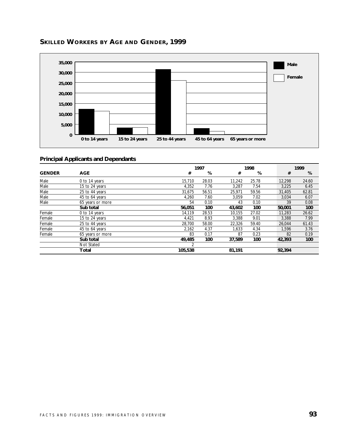

# **SKILLED WORKERS BY AGE AND GENDER, 1999**

|               |                  |                | 1997  |        | 1998  |        | 1999  |
|---------------|------------------|----------------|-------|--------|-------|--------|-------|
| <b>GENDER</b> | <b>AGE</b>       | #              | %     | #      | %     | #      | %     |
| Male          | 0 to 14 years    | 15,710         | 28.03 | 11,242 | 25.78 | 12,298 | 24.60 |
| Male          | 15 to 24 years   | 4,352          | 7.76  | 3.287  | 7.54  | 3,225  | 6.45  |
| Male          | 25 to 44 years   | 31.675         | 56.51 | 25,971 | 59.56 | 31,405 | 62.81 |
| Male          | 45 to 64 years   | 4,260          | 7.60  | 3.059  | 7.02  | 3,034  | 6.07  |
| Male          | 65 years or more | 54             | 0.10  | 43     | 0.10  | 39     | 0.08  |
|               | Sub total        | 56,051         | 100   | 43,602 | 100   | 50,001 | 100   |
| Female        | 0 to 14 years    | 14.119         | 28.53 | 10,155 | 27.02 | 11,283 | 26.62 |
| Female        | 15 to 24 years   | 4,421          | 8.93  | 3,388  | 9.01  | 3,388  | 7.99  |
| Female        | 25 to 44 years   | 28,700         | 58.00 | 22,326 | 59.40 | 26,044 | 61.43 |
| Female        | 45 to 64 years   | 2.162          | 4.37  | 1.633  | 4.34  | 1.596  | 3.76  |
| Female        | 65 years or more | 83             | 0.17  | 87     | 0.23  | 82     | 0.19  |
|               | Sub total        | 49,485         | 100   | 37.589 | 100   | 42,393 | 100   |
|               | Not Stated       | $\mathfrak{D}$ |       |        |       |        |       |
|               | Total            | 105,538        |       | 81,191 |       | 92,394 |       |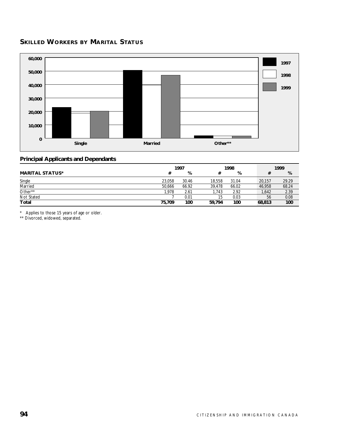# **SKILLED WORKERS BY MARITAL STATUS**



#### **Principal Applicants and Dependants**

|                        |        | 1997  | 1998   |       |  | 1999   |       |
|------------------------|--------|-------|--------|-------|--|--------|-------|
| <b>MARITAL STATUS*</b> |        | %     |        | %     |  | #      | %     |
| Single                 | 23.058 | 30.46 | 18,558 | 31.04 |  | 20,157 | 29.29 |
| Married                | 50.666 | 66.92 | 39.478 | 66.02 |  | 46.958 | 68.24 |
| Other**                | 1.978  | 2.61  | 1.743  | 2.92  |  | 1,642  | 2.39  |
| Not Stated             |        | 0.01  | 15     | 0.03  |  | 56     | 0.08  |
| Total                  | 75,709 | 100   | 59.794 | 100   |  | 68,813 | 100   |

\* Applies to those 15 years of age or older.

\*\* Divorced, widowed, separated.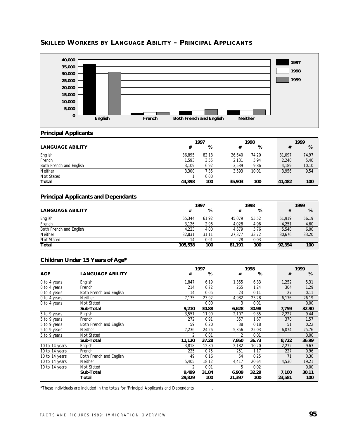

# **SKILLED WORKERS BY LANGUAGE ABILITY – PRINCIPAL APPLICANTS**

#### **Principal Applicants**

|                         | 1997   |       |        | 1998  |        | 1999  |
|-------------------------|--------|-------|--------|-------|--------|-------|
| <b>LANGUAGE ABILITY</b> | #      | %     | #      | %     | #      | %     |
| English                 | 36.895 | 82.18 | 26.640 | 74.20 | 31.097 | 74.97 |
| French                  | 1.593  | 3.55  | 2.131  | 5.94  | 2.240  | 5.40  |
| Both French and English | 3.109  | 6.92  | 3.539  | 9.86  | 4.189  | 10.10 |
| Neither                 | 3,300  | 7.35  | 3.593  | 10.01 | 3,956  | 9.54  |
| Not Stated              |        | 0.00  |        |       |        |       |
| Total                   | 44.898 | 100   | 35,903 | 100   | 41,482 | 100   |

#### **Principal Applicants and Dependants**

|                         | 1997    |       |        | 1998  |  |        | 1999  |
|-------------------------|---------|-------|--------|-------|--|--------|-------|
| <b>LANGUAGE ABILITY</b> | #       | %     |        | %     |  | #      | %     |
| English                 | 65,344  | 61.92 | 45.079 | 55.52 |  | 51.919 | 56.19 |
| French                  | 3,126   | 2.96  | 4.028  | 4.96  |  | 4.251  | 4.60  |
| Both French and English | 4.223   | 4.00  | 4.679  | 5.76  |  | 5.548  | 6.00  |
| <b>Neither</b>          | 32.831  | 31.11 | 27.377 | 33.72 |  | 30,676 | 33.20 |
| Not Stated              | 14      | 0.01  | 28     | 0.03  |  |        |       |
| Total                   | 105,538 | 100   | 81.191 | 100   |  | 92,394 | 100   |

#### **Children Under 15 Years of Age\***

|                |                         |                | 1997  |        | 1998  |  |        | 1999  |
|----------------|-------------------------|----------------|-------|--------|-------|--|--------|-------|
| <b>AGE</b>     | <b>LANGUAGE ABILITY</b> | #              | %     | #      | %     |  | #      | %     |
| 0 to 4 years   | English                 | 1,847          | 6.19  | 1,355  | 6.33  |  | 1,252  | 5.31  |
| 0 to 4 years   | French                  | 214            | 0.72  | 265    | 1.24  |  | 304    | 1.29  |
| 0 to 4 years   | Both French and English | 14             | 0.05  | 23     | 0.11  |  | 27     | 0.11  |
| 0 to 4 years   | Neither                 | 7,135          | 23.92 | 4,982  | 23.28 |  | 6,176  | 26.19 |
| 0 to 4 years   | Not Stated              |                | 0.00  | 3      | 0.01  |  |        | 0.00  |
|                | Sub-Total               | 9,210          | 30.88 | 6,628  | 30.98 |  | 7,759  | 32.90 |
| 5 to 9 years   | English                 | 3,551          | 11.90 | 2,107  | 9.85  |  | 2,227  | 9.44  |
| 5 to 9 years   | French                  | 272            | 0.91  | 357    | 1.67  |  | 370    | 1.57  |
| 5 to 9 years   | Both French and English | 59             | 0.20  | 38     | 0.18  |  | 51     | 0.22  |
| 5 to 9 years   | Neither                 | 7,236          | 24.26 | 5,356  | 25.03 |  | 6,074  | 25.76 |
| 5 to 9 years   | Not Stated              | $\mathfrak{p}$ | 0.01  | 2      | 0.01  |  |        | 0.00  |
|                | Sub-Total               | 11,120         | 37.28 | 7,860  | 36.73 |  | 8,722  | 36.99 |
| 10 to 14 years | English                 | 3,818          | 12.80 | 2,182  | 10.20 |  | 2,272  | 9.63  |
| 10 to 14 years | French                  | 225            | 0.75  | 251    | 1.17  |  | 227    | 0.96  |
| 10 to 14 years | Both French and English | 49             | 0.16  | 54     | 0.25  |  | 71     | 0.30  |
| 10 to 14 years | <b>Neither</b>          | 5,405          | 18.12 | 4,417  | 20.64 |  | 4,530  | 19.21 |
| 10 to 14 years | Not Stated              | $\overline{2}$ | 0.01  | 5      | 0.02  |  |        | 0.00  |
|                | Sub-Total               | 9,499          | 31.84 | 6,909  | 32.29 |  | 7,100  | 30.11 |
|                | Total                   | 29,829         | 100   | 21,397 | 100   |  | 23,581 | 100   |

\*These individuals are included in the totals for 'Principal Applicants and Dependants' .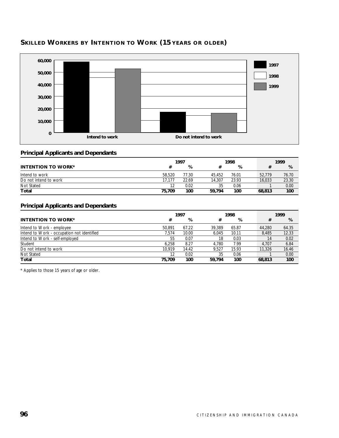

# **SKILLED WORKERS BY INTENTION TO WORK (15 YEARS OR OLDER)**

#### **Principal Applicants and Dependants**

|                           | 1997   |       |        | 1998  |        |  | 1999  |
|---------------------------|--------|-------|--------|-------|--------|--|-------|
| <b>INTENTION TO WORK*</b> |        | %     |        | %     |        |  | %     |
| Intend to work            | 58.520 | 77.30 | 45.452 | 76.01 | 52.779 |  | 76.70 |
| Do not intend to work     | 17.177 | 22.69 | 14.307 | 23.93 | 16.033 |  | 23.30 |
| Not Stated                |        | 0.02  | 35     | 0.06  |        |  | 0.00  |
| Total                     | 75.709 | 100   | 59.794 | 100   | 68,813 |  | 100   |

#### **Principal Applicants and Dependants**

|                                            | 1997   |       | 1998   |       |  | 1999   |       |  |
|--------------------------------------------|--------|-------|--------|-------|--|--------|-------|--|
| <b>INTENTION TO WORK*</b>                  | #      | %     | #      | %     |  | #      | %     |  |
| Intend to Work - employee                  | 50.891 | 67.22 | 39.389 | 65.87 |  | 44.280 | 64.35 |  |
| Intend to Work - occupation not identified | 7.574  | 10.00 | 6.045  | 10.11 |  | 8.485  | 12.33 |  |
| Intend to Work - self-employed             | 55     | 0.07  | 18     | 0.03  |  | 14     | 0.02  |  |
| Student                                    | 6.258  | 8.27  | 4.780  | 7.99  |  | 4.707  | 6.84  |  |
| Do not intend to work                      | 10.919 | 14.42 | 9.527  | 15.93 |  | 11,326 | 16.46 |  |
| Not Stated                                 | 12     | 0.02  | 35     | 0.06  |  |        | 0.00  |  |
| Total                                      | 75.709 | 100   | 59.794 | 100   |  | 68,813 | 100   |  |

\* Applies to those 15 years of age or older.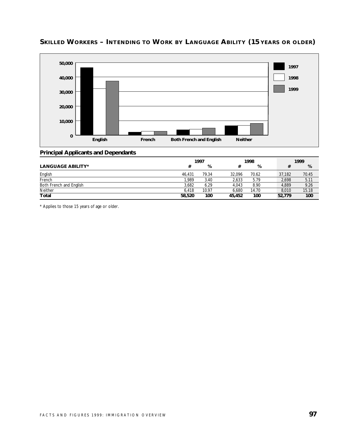

# **SKILLED WORKERS – INTENDING TO WORK BY LANGUAGE ABILITY (15 YEARS OR OLDER)**

#### **Principal Applicants and Dependants**

|                          | 1997   |       |        | 1998  |        | 1999  |  |  |
|--------------------------|--------|-------|--------|-------|--------|-------|--|--|
| <b>LANGUAGE ABILITY*</b> | #      | %     |        | %     | #      | %     |  |  |
| English                  | 46.431 | 79.34 | 32.096 | 70.62 | 37.182 | 70.45 |  |  |
| French                   | 1.989  | 3.40  | 2.633  | 5.79  | 2,698  | 5.11  |  |  |
| Both French and English  | 3.682  | 6.29  | 4.043  | 8.90  | 4.889  | 9.26  |  |  |
| Neither                  | 6.418  | 10.97 | 6.680  | 14.70 | 8.010  | 15.18 |  |  |
| <b>Total</b>             | 58,520 | 100   | 45,452 | 100   | 52.779 | 100   |  |  |

\* Applies to those 15 years of age or older.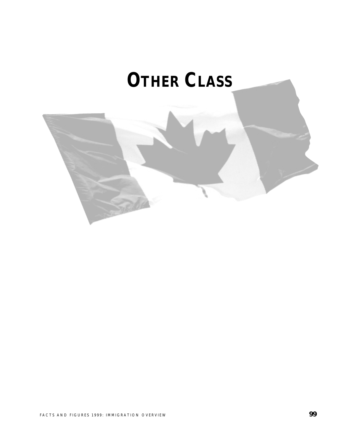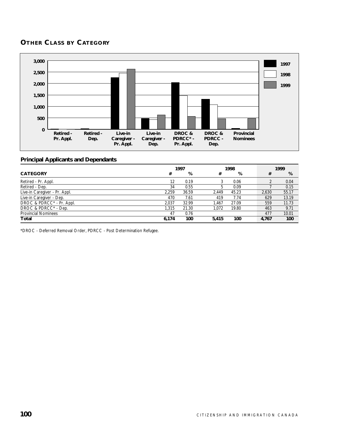# **OTHER CLASS BY CATEGORY**



#### **Principal Applicants and Dependants**

|                               | 1997  |       |       | 1998  |  |       | 1999  |
|-------------------------------|-------|-------|-------|-------|--|-------|-------|
| <b>CATEGORY</b>               | #     | %     | #     | %     |  | #     | %     |
| Retired - Pr. Appl.           | 12    | 0.19  | 3     | 0.06  |  |       | 0.04  |
| Retired - Dep.                | 34    | 0.55  | b     | 0.09  |  |       | 0.15  |
| Live-in Caregiver - Pr. Appl. | 2.259 | 36.59 | 2.449 | 45.23 |  | 2.630 | 55.17 |
| Live-in Caregiver - Dep.      | 470   | 7.61  | 419   | 7.74  |  | 629   | 13.19 |
| DROC & PDRCC* - Pr. Appl.     | 2.037 | 32.99 | 1.467 | 27.09 |  | 559   | 11.73 |
| DROC & PDRCC* - Dep.          | 1.315 | 21.30 | 1.072 | 19.80 |  | 463   | 9.71  |
| <b>Provincial Nominees</b>    | 47    | 0.76  |       |       |  | 477   | 10.01 |
| Total                         | 6.174 | 100   | 5.415 | 100   |  | 4,767 | 100   |

\*DROC - Deferred Removal Order, PDRCC - Post Determination Refugee.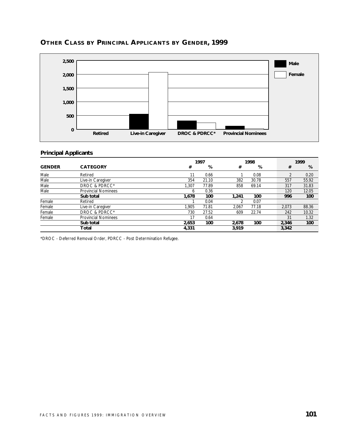

# **OTHER CLASS BY PRINCIPAL APPLICANTS BY GENDER, 1999**

# **Principal Applicants**

|               |                            |       | 1997  |       | 1998  |       |     | 1999  |  |  |
|---------------|----------------------------|-------|-------|-------|-------|-------|-----|-------|--|--|
| <b>GENDER</b> | <b>CATEGORY</b>            | #     | %     | #     | %     |       | #   | %     |  |  |
| Male          | Retired                    | 11    | 0.66  |       | 0.08  |       |     | 0.20  |  |  |
| Male          | Live-in Caregiver          | 354   | 21.10 | 382   | 30.78 |       | 557 | 55.92 |  |  |
| Male          | <b>DROC &amp; PDRCC*</b>   | 1.307 | 77.89 | 858   | 69.14 |       | 317 | 31.83 |  |  |
| Male          | <b>Provincial Nominees</b> | 6     | 0.36  |       |       |       | 120 | 12.05 |  |  |
|               | Sub total                  | 1.678 | 100   | 1,241 | 100   |       | 996 | 100   |  |  |
| Female        | Retired                    |       | 0.04  |       | 0.07  |       |     |       |  |  |
| Female        | Live-in Caregiver          | 1.905 | 71.81 | 2.067 | 77.18 | 2,073 |     | 88.36 |  |  |
| Female        | DROC & PDRCC*              | 730   | 27.52 | 609   | 22.74 |       | 242 | 10.32 |  |  |
| Female        | <b>Provincial Nominees</b> | 17    | 0.64  |       |       |       | 31  | 1.32  |  |  |
|               | Sub total                  | 2,653 | 100   | 2,678 | 100   | 2,346 |     | 100   |  |  |
|               | Total                      | 4,331 |       | 3,919 |       | 3,342 |     |       |  |  |

\*DROC - Deferred Removal Order, PDRCC - Post Determination Refugee.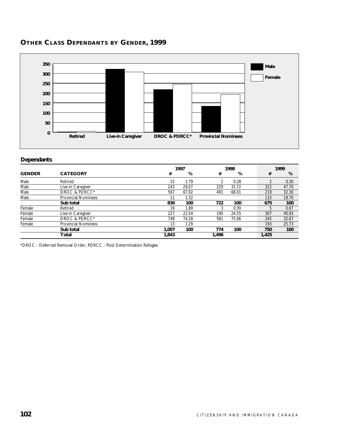

# **OTHER CLASS DEPENDANTS BY GENDER, 1999**

#### **Dependants**

|               |                            |       | 1997  |                | 1998  |       | 1999  |
|---------------|----------------------------|-------|-------|----------------|-------|-------|-------|
| <b>GENDER</b> | <b>CATEGORY</b>            | #     | %     | #              | %     | #     | %     |
| Male          | Retired                    | 15    | 1.79  | $\mathfrak{D}$ | 0.28  |       | 0.30  |
| Male          | Live-in Caregiver          | 243   | 29.07 | 229            | 31.72 | 322   | 47.70 |
| Male          | DROC & PDRCC*              | 567   | 67.82 | 491            | 68.01 | 218   | 32.30 |
| Male          | <b>Provincial Nominees</b> | 11    | 1.32  |                |       | 133   | 19.70 |
|               | Sub total                  | 836   | 100   | 722            | 100   | 675   | 100   |
| Female        | Retired                    | 19    | 1.89  | 3              | 0.39  |       | 0.67  |
| Female        | Live-in Caregiver          | 227   | 22.54 | 190            | 24.55 | 307   | 40.93 |
| Female        | DROC & PDRCC*              | 748   | 74.28 | 581            | 75.06 | 245   | 32.67 |
| Female        | <b>Provincial Nominees</b> | 13    | 1.29  |                |       | 193   | 25.73 |
|               | Sub total                  | 1.007 | 100   | 774            | 100   | 750   | 100   |
|               | Total                      | 1,843 |       | 1,496          |       | 1,425 |       |

\*DROC - Deferred Removal Order, PDRCC - Post Determination Refugee.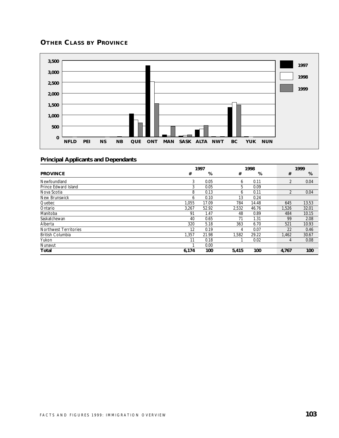# **OTHER CLASS BY PROVINCE**



|                              | 1997  |       |       | 1998  |  |                | 1999  |  |
|------------------------------|-------|-------|-------|-------|--|----------------|-------|--|
| <b>PROVINCE</b>              | #     | %     | #     | %     |  | #              | %     |  |
| Newfoundland                 | 3     | 0.05  | 6     | 0.11  |  | 2              | 0.04  |  |
| Prince Edward Island         | 3     | 0.05  | 5     | 0.09  |  |                |       |  |
| Nova Scotia                  | 8     | 0.13  | 6     | 0.11  |  | $\overline{2}$ | 0.04  |  |
| New Brunswick                | 6     | 0.10  | 13    | 0.24  |  |                |       |  |
| Quebec                       | 1.055 | 17.09 | 784   | 14.48 |  | 645            | 13.53 |  |
| Ontario                      | 3,267 | 52.92 | 2,532 | 46.76 |  | 1.526          | 32.01 |  |
| Manitoba                     | 91    | 1.47  | 48    | 0.89  |  | 484            | 10.15 |  |
| Saskatchewan                 | 40    | 0.65  | 71    | 1.31  |  | 99             | 2.08  |  |
| Alberta                      | 320   | 5.18  | 363   | 6.70  |  | 521            | 10.93 |  |
| <b>Northwest Territories</b> | 12    | 0.19  | 4     | 0.07  |  | 22             | 0.46  |  |
| <b>British Columbia</b>      | 1.357 | 21.98 | 1,582 | 29.22 |  | 1,462          | 30.67 |  |
| Yukon                        | 11    | 0.18  |       | 0.02  |  | 4              | 0.08  |  |
| Nunavut                      |       | 0.00  |       |       |  |                |       |  |
| Total                        | 6,174 | 100   | 5,415 | 100   |  | 4,767          | 100   |  |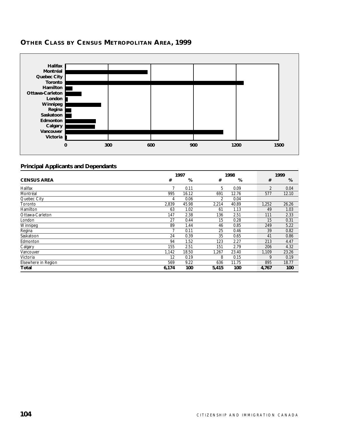

# **OTHER CLASS BY CENSUS METROPOLITAN AREA, 1999**

|                     | 1997  |       |                | 1998  |  |                | 1999  |  |  |
|---------------------|-------|-------|----------------|-------|--|----------------|-------|--|--|
| <b>CENSUS AREA</b>  | #     | %     | #              | %     |  | #              | %     |  |  |
| Halifax             |       | 0.11  | 5              | 0.09  |  | $\overline{2}$ | 0.04  |  |  |
| Montréal            | 995   | 16.12 | 691            | 12.76 |  | 577            | 12.10 |  |  |
| Quebec City         | 4     | 0.06  | $\overline{2}$ | 0.04  |  |                |       |  |  |
| Toronto             | 2,839 | 45.98 | 2,214          | 40.89 |  | 1,252          | 26.26 |  |  |
| Hamilton            | 63    | 1.02  | 61             | 1.13  |  | 49             | 1.03  |  |  |
| Ottawa-Carleton     | 147   | 2.38  | 136            | 2.51  |  | 111            | 2.33  |  |  |
| London              | 27    | 0.44  | 15             | 0.28  |  | 15             | 0.31  |  |  |
| Winnipeg            | 89    | 1.44  | 46             | 0.85  |  | 249            | 5.22  |  |  |
| Regina              |       | 0.11  | 25             | 0.46  |  | 39             | 0.82  |  |  |
| Saskatoon           | 24    | 0.39  | 35             | 0.65  |  | 41             | 0.86  |  |  |
| Edmonton            | 94    | 1.52  | 123            | 2.27  |  | 213            | 4.47  |  |  |
| Calgary             | 155   | 2.51  | 151            | 2.79  |  | 206            | 4.32  |  |  |
| Vancouver           | 1,142 | 18.50 | 1,267          | 23.40 |  | 1,109          | 23.26 |  |  |
| Victoria            | 12    | 0.19  | 8              | 0.15  |  | 9              | 0.19  |  |  |
| Elsewhere in Region | 569   | 9.22  | 636            | 11.75 |  | 895            | 18.77 |  |  |
| Total               | 6,174 | 100   | 5,415          | 100   |  | 4,767          | 100   |  |  |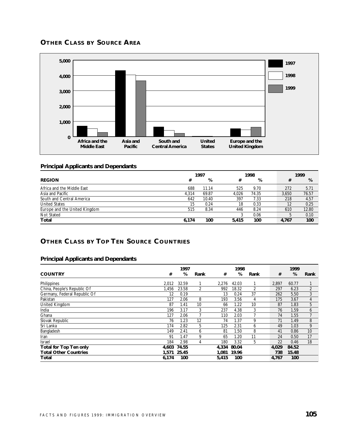## **OTHER CLASS BY SOURCE AREA**



#### **Principal Applicants and Dependants**

|                               | 1997  |       |       | 1998  |  |       | 1999  |
|-------------------------------|-------|-------|-------|-------|--|-------|-------|
| <b>REGION</b>                 | #     | %     | #     | %     |  | #     | %     |
| Africa and the Middle East    | 688   | 11.14 | 525   | 9.70  |  | 272   | 5.71  |
| Asia and Pacific              | 4.314 | 69.87 | 4.026 | 74.35 |  | 3.650 | 76.57 |
| South and Central America     | 642   | 10.40 | 397   | 7.33  |  | 218   | 4.57  |
| <b>United States</b>          | 15    | 0.24  | 18    | 0.33  |  | 12    | 0.25  |
| Europe and the United Kingdom | 515   | 8.34  | 446   | 8.24  |  | 610   | 12.80 |
| Not Stated                    |       |       |       | 0.06  |  |       | 0.10  |
| <b>Total</b>                  | 6.174 | 100   | 5.415 | 100   |  | 4.767 | 100   |

# **OTHER CLASS BY TOP TEN SOURCE COUNTRIES**

|                                        |    | 1997  |                   |       | 1998  |      |       | 1999  |      |
|----------------------------------------|----|-------|-------------------|-------|-------|------|-------|-------|------|
| <b>COUNTRY</b><br>#                    |    | %     | Rank              | #     | %     | Rank | #     | %     | Rank |
| Philippines<br>2,012                   |    | 32.59 |                   | 2,276 | 42.03 |      | 2,897 | 60.77 |      |
| China, People's Republic Of<br>1,456   |    | 23.58 | 2                 | 992   | 18.32 |      | 297   | 6.23  | 2    |
| Germany, Federal Republic Of           | 12 | 0.19  |                   | 13    | 0.24  | 37   | 262   | 5.50  | 3    |
| Pakistan<br>127                        |    | 2.06  | 8                 | 193   | 3.56  | 4    | 175   | 3.67  | 4    |
| United Kingdom<br>87                   |    | 1.41  | 10                | 66    | 1.22  | 10   | 87    | 1.83  | 5    |
| 196<br>India                           |    | 3.17  | 3                 | 237   | 4.38  | 3    | 76    | 1.59  | 6    |
| Ghana<br>127                           |    | 2.06  |                   | 110   | 2.03  |      | 74    | 1.55  | 7    |
| Slovak Republic                        | 76 | 1.23  | $12 \overline{ }$ | 74    | 1.37  | 9    | 71    | 1.49  | 8    |
| Sri Lanka<br>174                       |    | 2.82  | 5                 | 125   | 2.31  | 6    | 49    | 1.03  | 9    |
| Bangladesh<br>149                      |    | 2.41  | 6                 | 81    | 1.50  | 8    | 41    | 0.86  | 10   |
| 91<br>Iran                             |    | 1.47  | 9                 | 65    | 1.20  | 11   | 24    | 0.50  | 17   |
| 184<br><b>Israel</b>                   |    | 2.98  | 4                 | 180   | 3.32  | 5    | 22    | 0.46  | 18   |
| <b>Total for Top Ten only</b><br>4,603 |    | 74.55 |                   | 4.334 | 80.04 |      | 4.029 | 84.52 |      |
| <b>Total Other Countries</b><br>1,571  |    | 25.45 |                   | 1.081 | 19.96 |      | 738   | 15.48 |      |
| Total<br>6,174                         |    | 100   |                   | 5,415 | 100   |      | 4,767 | 100   |      |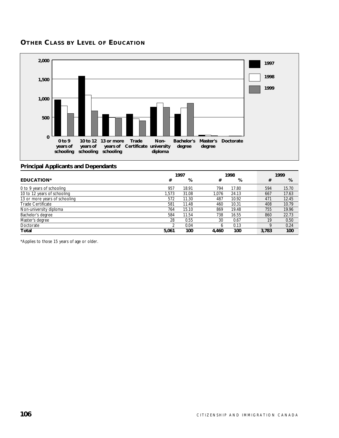## **OTHER CLASS BY LEVEL OF EDUCATION**



### **Principal Applicants and Dependants**

|                               | 1997  |       |       | 1998  |  |       | 1999  |
|-------------------------------|-------|-------|-------|-------|--|-------|-------|
| <b>EDUCATION*</b>             | #     | %     | #     | %     |  | #     | %     |
| 0 to 9 years of schooling     | 957   | 18.91 | 794   | 17.80 |  | 594   | 15.70 |
| 10 to 12 years of schooling   | 1,573 | 31.08 | 1.076 | 24.13 |  | 667   | 17.63 |
| 13 or more years of schooling | 572   | 11.30 | 487   | 10.92 |  | 471   | 12.45 |
| <b>Trade Certificate</b>      | 581   | 11.48 | 460   | 10.31 |  | 408   | 10.79 |
| Non-university diploma        | 764   | 15.10 | 869   | 19.48 |  | 755   | 19.96 |
| Bachelor's degree             | 584   | 11.54 | 738   | 16.55 |  | 860   | 22.73 |
| Master's degree               | 28    | 0.55  | 30    | 0.67  |  | 19    | 0.50  |
| Doctorate                     |       | 0.04  | 6     | 0.13  |  | ο     | 0.24  |
| Total                         | 5.061 | 100   | 4.460 | 100   |  | 3.783 | 100   |

\*Applies to those 15 years of age or older.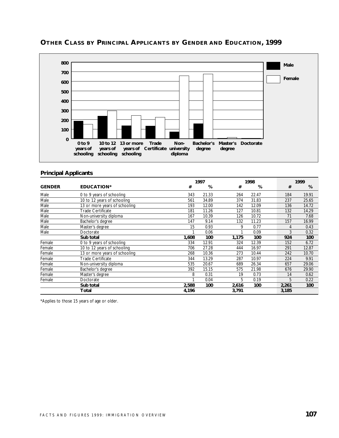

## **OTHER CLASS BY PRINCIPAL APPLICANTS BY GENDER AND EDUCATION, 1999**

#### **Principal Applicants**

|               |                               |       | 1997  |       | 1998  |       | 1999  |  |  |
|---------------|-------------------------------|-------|-------|-------|-------|-------|-------|--|--|
| <b>GENDER</b> | <b>EDUCATION*</b>             | #     | %     | #     | %     | #     | %     |  |  |
| Male          | 0 to 9 years of schooling     | 343   | 21.33 | 264   | 22.47 | 184   | 19.91 |  |  |
| Male          | 10 to 12 years of schooling   | 561   | 34.89 | 374   | 31.83 | 237   | 25.65 |  |  |
| Male          | 13 or more years of schooling | 193   | 12.00 | 142   | 12.09 | 136   | 14.72 |  |  |
| Male          | Trade Certificate             | 181   | 11.26 | 127   | 10.81 | 132   | 14.29 |  |  |
| Male          | Non-university diploma        | 167   | 10.39 | 126   | 10.72 | 71    | 7.68  |  |  |
| Male          | Bachelor's degree             | 147   | 9.14  | 132   | 11.23 | 157   | 16.99 |  |  |
| Male          | Master's degree               | 15    | 0.93  | 9     | 0.77  | 4     | 0.43  |  |  |
| Male          | Doctorate                     |       | 0.06  |       | 0.09  | 3     | 0.32  |  |  |
|               | Sub total                     | 1,608 | 100   | 1,175 | 100   | 924   | 100   |  |  |
| Female        | 0 to 9 years of schooling     | 334   | 12.91 | 324   | 12.39 | 152   | 6.72  |  |  |
| Female        | 10 to 12 years of schooling   | 706   | 27.28 | 444   | 16.97 | 291   | 12.87 |  |  |
| Female        | 13 or more years of schooling | 268   | 10.36 | 273   | 10.44 | 242   | 10.70 |  |  |
| Female        | <b>Trade Certificate</b>      | 344   | 13.29 | 287   | 10.97 | 224   | 9.91  |  |  |
| Female        | Non-university diploma        | 535   | 20.67 | 689   | 26.34 | 657   | 29.06 |  |  |
| Female        | Bachelor's degree             | 392   | 15.15 | 575   | 21.98 | 676   | 29.90 |  |  |
| Female        | Master's degree               | 8     | 0.31  | 19    | 0.73  | 14    | 0.62  |  |  |
| Female        | Doctorate                     |       | 0.04  | 5     | 0.19  | 5     | 0.22  |  |  |
|               | Sub total                     | 2,588 | 100   | 2,616 | 100   | 2,261 | 100   |  |  |
|               | Total                         | 4,196 |       | 3,791 |       | 3,185 |       |  |  |

\*Applies to those 15 years of age or older.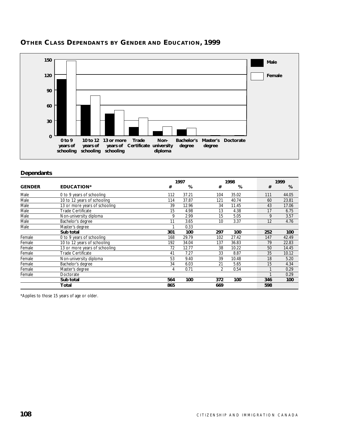

# **OTHER CLASS DEPENDANTS BY GENDER AND EDUCATION, 1999**

#### **Dependants**

|               |                               |     | 1997<br>1998 |     |       | 1999 |            |
|---------------|-------------------------------|-----|--------------|-----|-------|------|------------|
| <b>GENDER</b> | <b>EDUCATION*</b>             | #   | %            | #   | %     |      | #<br>%     |
| Male          | 0 to 9 years of schooling     | 112 | 37.21        | 104 | 35.02 | 111  | 44.05      |
| Male          | 10 to 12 years of schooling   | 114 | 37.87        | 121 | 40.74 | 60   | 23.81      |
| Male          | 13 or more years of schooling | 39  | 12.96        | 34  | 11.45 | 43   | 17.06      |
| Male          | <b>Trade Certificate</b>      | 15  | 4.98         | 13  | 4.38  | 17   | 6.75       |
| Male          | Non-university diploma        | 9   | 2.99         | 15  | 5.05  |      | 9<br>3.57  |
| Male          | Bachelor's degree             | 11  | 3.65         | 10  | 3.37  |      | 12<br>4.76 |
| Male          | Master's degree               |     | 0.33         |     |       |      |            |
|               | Sub total                     | 301 | 100          | 297 | 100   | 252  | 100        |
| Female        | 0 to 9 years of schooling     | 168 | 29.79        | 102 | 27.42 | 147  | 42.49      |
| Female        | 10 to 12 years of schooling   | 192 | 34.04        | 137 | 36.83 | 79   | 22.83      |
| Female        | 13 or more years of schooling | 72  | 12.77        | 38  | 10.22 | 50   | 14.45      |
| Female        | Trade Certificate             | 41  | 7.27         | 33  | 8.87  | 35   | 10.12      |
| Female        | Non-university diploma        | 53  | 9.40         | 39  | 10.48 |      | 18<br>5.20 |
| Female        | Bachelor's degree             | 34  | 6.03         | 21  | 5.65  |      | 15<br>4.34 |
| Female        | Master's degree               | 4   | 0.71         | 2   | 0.54  |      | 0.29       |
| Female        | Doctorate                     |     |              |     |       |      | 0.29       |
|               | Sub total                     | 564 | 100          | 372 | 100   | 346  | 100        |
|               | Total                         | 865 |              | 669 |       | 598  |            |

\*Applies to those 15 years of age or older.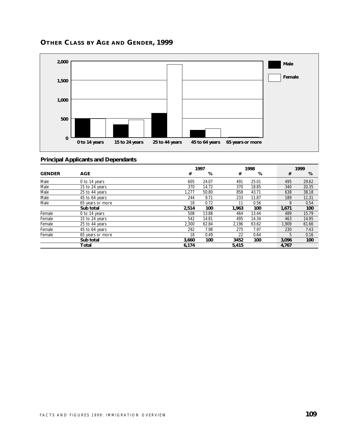

# **OTHER CLASS BY AGE AND GENDER, 1999**

|               |                  |       | 1997  |       | 1998  |  |       | 1999  |
|---------------|------------------|-------|-------|-------|-------|--|-------|-------|
| <b>GENDER</b> | <b>AGE</b>       | #     | %     | #     | %     |  | #     | %     |
| Male          | 0 to 14 years    | 605   | 24.07 | 491   | 25.01 |  | 495   | 29.62 |
| Male          | 15 to 24 years   | 370   | 14.72 | 370   | 18.85 |  | 340   | 20.35 |
| Male          | 25 to 44 years   | 1,277 | 50.80 | 858   | 43.71 |  | 638   | 38.18 |
| Male          | 45 to 64 years   | 244   | 9.71  | 233   | 11.87 |  | 189   | 11.31 |
| Male          | 65 years or more | 18    | 0.72  | 11    | 0.56  |  | 9     | 0.54  |
|               | Sub total        | 2,514 | 100   | 1,963 | 100   |  | 1,671 | 100   |
| Female        | 0 to 14 years    | 508   | 13.88 | 464   | 13.44 |  | 489   | 15.79 |
| Female        | 15 to 24 years   | 542   | 14.81 | 495   | 14.34 |  | 463   | 14.95 |
| Female        | 25 to 44 years   | 2,300 | 62.84 | 2,196 | 63.62 |  | 1,909 | 61.66 |
| Female        | 45 to 64 years   | 292   | 7.98  | 275   | 7.97  |  | 230   | 7.43  |
| Female        | 65 years or more | 18    | 0.49  | 22    | 0.64  |  | 5     | 0.16  |
|               | Sub total        | 3,660 | 100   | 3452  | 100   |  | 3,096 | 100   |
|               | Total            | 6,174 |       | 5,415 |       |  | 4,767 |       |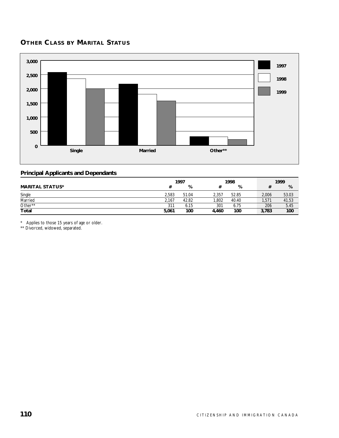# **OTHER CLASS BY MARITAL STATUS**



#### **Principal Applicants and Dependants**

|                        | 1997  |       |       | 1998  |       | 1999  |
|------------------------|-------|-------|-------|-------|-------|-------|
| <b>MARITAL STATUS*</b> |       | %     |       | %     |       | %     |
| Single                 | 2.583 | 51.04 | 2.357 | 52.85 | 2.006 | 53.03 |
| Married                | 2.167 | 42.82 | 1.802 | 40.40 | 1,571 | 41.53 |
| Other**                | 311   | 6.15  | 301   | 6.75  | 206   | 5.45  |
| <b>Total</b>           | 5,061 | 100   | 4.460 | 100   | 3,783 | 100   |

\* Applies to those 15 years of age or older.

\*\* Divorced, widowed, separated.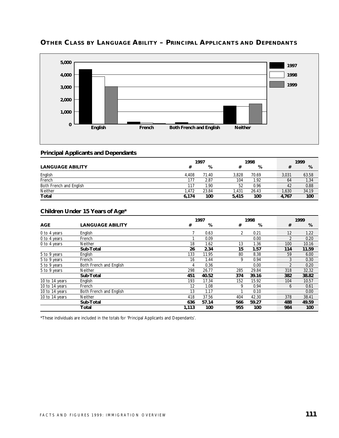

# **OTHER CLASS BY LANGUAGE ABILITY – PRINCIPAL APPLICANTS AND DEPENDANTS**

### **Principal Applicants and Dependants**

|                         | 1997  |       | 1998  |       | 1999  |       |  |
|-------------------------|-------|-------|-------|-------|-------|-------|--|
| <b>LANGUAGE ABILITY</b> | #     | %     |       | %     |       | %     |  |
| English                 | 4.408 | 71.40 | 3.828 | 70.69 | 3.031 | 63.58 |  |
| French                  | 177   | 2.87  | 104   | 1.92  | 64    | 1.34  |  |
| Both French and English | 117   | l.90  | 52    | 0.96  | 42    | 0.88  |  |
| Neither                 | 1.472 | 23.84 | .431  | 26.43 | 1,630 | 34.19 |  |
| Total                   | 6,174 | 100   | 5.415 | 100   | 4,767 | 100   |  |

### **Children Under 15 Years of Age\***

|                |                         |       | 1997  |     | 1998  |  |     | 1999  |
|----------------|-------------------------|-------|-------|-----|-------|--|-----|-------|
| <b>AGE</b>     | <b>LANGUAGE ABILITY</b> | #     | %     | #   | %     |  | #   | %     |
| 0 to 4 years   | English                 |       | 0.63  | 2   | 0.21  |  | 12  | 1.22  |
| 0 to 4 years   | French                  |       | 0.09  |     | 0.00  |  |     | 0.20  |
| 0 to 4 years   | Neither                 | 18    | 1.62  | 13  | 1.36  |  | 100 | 10.16 |
|                | Sub-Total               | 26    | 2.34  | 15  | 1.57  |  | 114 | 11.59 |
| 5 to 9 years   | English                 | 133   | 11.95 | 80  | 8.38  |  | 59  | 6.00  |
| 5 to 9 years   | French                  | 16    | 1.44  | 9   | 0.94  |  | 3   | 0.30  |
| 5 to 9 years   | Both French and English | 4     | 0.36  |     | 0.00  |  |     | 0.20  |
| 5 to 9 years   | <b>Neither</b>          | 298   | 26.77 | 285 | 29.84 |  | 318 | 32.32 |
|                | Sub-Total               | 451   | 40.52 | 374 | 39.16 |  | 382 | 38.82 |
| 10 to 14 years | English                 | 193   | 17.34 | 152 | 15.92 |  | 104 | 10.57 |
| 10 to 14 years | French                  | 12    | 1.08  | 9   | 0.94  |  | 6   | 0.61  |
| 10 to 14 years | Both French and English | 13    | 1.17  | 1   | 0.10  |  |     | 0.00  |
| 10 to 14 years | Neither                 | 418   | 37.56 | 404 | 42.30 |  | 378 | 38.41 |
|                | Sub-Total               | 636   | 57.14 | 566 | 59.27 |  | 488 | 49.59 |
|                | Total                   | 1,113 | 100   | 955 | 100   |  | 984 | 100   |

\*These individuals are included in the totals for 'Principal Applicants and Dependants'.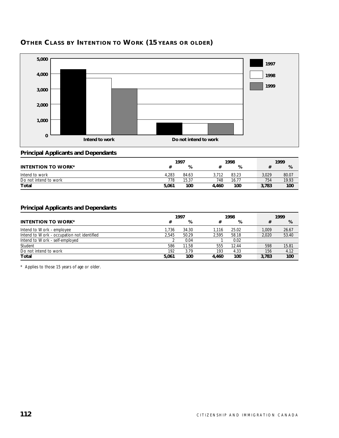

# **OTHER CLASS BY INTENTION TO WORK (15 YEARS OR OLDER)**

## **Principal Applicants and Dependants**

|                           |       | 1997  |       | 1998  |  | 1999  |       |
|---------------------------|-------|-------|-------|-------|--|-------|-------|
| <b>INTENTION TO WORK*</b> |       | %     |       | %     |  |       | %     |
| Intend to work            | 4.283 | 84.63 | 3.712 | 83.23 |  | 3.029 | 80.07 |
| Do not intend to work     | 778   | 15.37 | 748   | 16.77 |  | 754   | 19.93 |
| Total                     | 5,061 | 100   | 4.460 | 100   |  | 3,783 | 100   |

### **Principal Applicants and Dependants**

|                                            | 1997  |       |       | 1998  |  |       | 1999  |  |  |
|--------------------------------------------|-------|-------|-------|-------|--|-------|-------|--|--|
| <b>INTENTION TO WORK*</b>                  | #     | %     | #     | %     |  |       | %     |  |  |
| Intend to Work - employee                  | 1.736 | 34.30 | 1.116 | 25.02 |  | 1.009 | 26.67 |  |  |
| Intend to Work - occupation not identified | 2.545 | 50.29 | 2.595 | 58.18 |  | 2.020 | 53.40 |  |  |
| Intend to Work - self-employed             |       | 0.04  |       | 0.02  |  |       |       |  |  |
| Student                                    | 586   | 11.58 | 555   | 12.44 |  | 598   | 15.81 |  |  |
| Do not intend to work                      | 192   | 3.79  | 193   | 4.33  |  | 156   | 4.12  |  |  |
| Total                                      | 5.061 | 100   | 4.460 | 100   |  | 3.783 | 100   |  |  |

\* Applies to those 15 years of age or older.